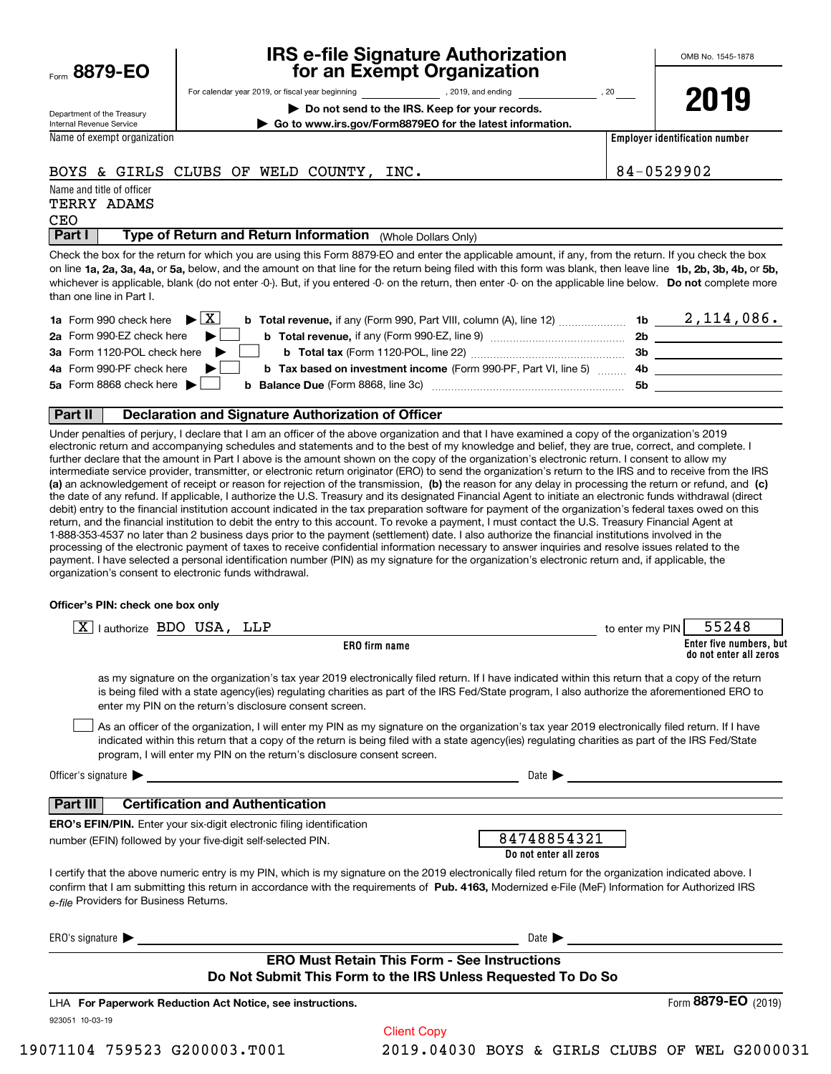Form**8879-EO**

### **IRS e-file Signature Authorization for an Exempt Organization**

OMB No. 1545-1878

Department of the Treasury Internal Revenue Service

For calendar year 2019, or fiscal year beginning and the state of the state of 2019, and ending calendary permu

**| Do not send to the IRS. Keep for your records. | Go to www.irs.gov/Form8879EO for the latest information.** **2019**

Name of exempt organization

**Employer identification number**

### BOYS & GIRLS CLUBS OF WELD COUNTY, INC.  $\vert 84-0529902 \vert$

| Name and title of officer |       |
|---------------------------|-------|
| TERRY                     | ADAMS |

# CEO

 (Whole Dollars Only) **Part I Type of Return and Return Information** 

on line **1a, 2a, 3a, 4a,** or **5a,** below, and the amount on that line for the return being filed with this form was blank, then leave line **1b, 2b, 3b, 4b,** or **5b,** whichever is applicable, blank (do not enter -0-). But, if you entered -0- on the return, then enter -0- on the applicable line below. **Do not** complete more Check the box for the return for which you are using this Form 8879-EO and enter the applicable amount, if any, from the return. If you check the box than one line in Part I.

| <b>1a</b> Form 990 check here $\triangleright \boxed{X}$<br><b>b Total revenue,</b> if any (Form 990, Part VIII, column (A), line 12) | 1b  | 2,114,086. |
|---------------------------------------------------------------------------------------------------------------------------------------|-----|------------|
| 2a Form 990-EZ check here $\blacktriangleright$<br><b>b</b> Total revenue, if any (Form 990-EZ, line 9) <i></i>                       | 2b  |            |
| 3a Form 1120-POL check here $\blacktriangleright$                                                                                     | -3b |            |
| 4a Form 990-PF check here $\blacktriangleright$<br><b>b</b> Tax based on investment income (Form 990-PF, Part VI, line 5) 4b          |     |            |
| 5a Form 8868 check here $\blacktriangleright$<br><b>b</b> Balance Due (Form 8868, line 3c)                                            | 5b  |            |
|                                                                                                                                       |     |            |

### **Part II Declaration and Signature Authorization of Officer**

**(a)** an acknowledgement of receipt or reason for rejection of the transmission, (b) the reason for any delay in processing the return or refund, and (c) Under penalties of perjury, I declare that I am an officer of the above organization and that I have examined a copy of the organization's 2019 electronic return and accompanying schedules and statements and to the best of my knowledge and belief, they are true, correct, and complete. I further declare that the amount in Part I above is the amount shown on the copy of the organization's electronic return. I consent to allow my intermediate service provider, transmitter, or electronic return originator (ERO) to send the organization's return to the IRS and to receive from the IRS the date of any refund. If applicable, I authorize the U.S. Treasury and its designated Financial Agent to initiate an electronic funds withdrawal (direct debit) entry to the financial institution account indicated in the tax preparation software for payment of the organization's federal taxes owed on this return, and the financial institution to debit the entry to this account. To revoke a payment, I must contact the U.S. Treasury Financial Agent at 1-888-353-4537 no later than 2 business days prior to the payment (settlement) date. I also authorize the financial institutions involved in the processing of the electronic payment of taxes to receive confidential information necessary to answer inquiries and resolve issues related to the payment. I have selected a personal identification number (PIN) as my signature for the organization's electronic return and, if applicable, the organization's consent to electronic funds withdrawal.

#### **Officer's PIN: check one box only**

| l authorize BDO USA, LLP<br>ΧI                                                                                                                                                                                                                                                                                                                                                   | 55248<br>to enter my PIN                          |
|----------------------------------------------------------------------------------------------------------------------------------------------------------------------------------------------------------------------------------------------------------------------------------------------------------------------------------------------------------------------------------|---------------------------------------------------|
| <b>ERO</b> firm name                                                                                                                                                                                                                                                                                                                                                             | Enter five numbers, but<br>do not enter all zeros |
| as my signature on the organization's tax year 2019 electronically filed return. If I have indicated within this return that a copy of the return<br>is being filed with a state agency(ies) regulating charities as part of the IRS Fed/State program, I also authorize the aforementioned ERO to<br>enter my PIN on the return's disclosure consent screen.                    |                                                   |
| As an officer of the organization, I will enter my PIN as my signature on the organization's tax year 2019 electronically filed return. If I have<br>indicated within this return that a copy of the return is being filed with a state agency(ies) regulating charities as part of the IRS Fed/State<br>program, I will enter my PIN on the return's disclosure consent screen. |                                                   |
| Officer's signature $\blacktriangleright$<br><u> 1980 - Jan Samuel Barbara, martin a shekara 1980 - An tsa a tsa a tsa a tsa a tsa a tsa a tsa a tsa a tsa a t</u>                                                                                                                                                                                                               | Date $\blacktriangleright$                        |
| <b>Certification and Authentication</b><br>  Part III                                                                                                                                                                                                                                                                                                                            |                                                   |
| <b>ERO's EFIN/PIN.</b> Enter your six-digit electronic filing identification                                                                                                                                                                                                                                                                                                     |                                                   |
| number (EFIN) followed by your five-digit self-selected PIN.                                                                                                                                                                                                                                                                                                                     | 84748854321<br>Do not enter all zeros             |
| I certify that the above numeric entry is my PIN, which is my signature on the 2019 electronically filed return for the organization indicated above. I<br>confirm that I am submitting this return in accordance with the requirements of Pub. 4163, Modernized e-File (MeF) Information for Authorized IRS<br>e-file Providers for Business Returns.                           |                                                   |
| ERO's signature $\blacktriangleright$                                                                                                                                                                                                                                                                                                                                            | Date $\blacktriangleright$                        |
| <b>ERO Must Retain This Form - See Instructions</b>                                                                                                                                                                                                                                                                                                                              |                                                   |
| Do Not Submit This Form to the IRS Unless Requested To Do So                                                                                                                                                                                                                                                                                                                     |                                                   |
| LHA For Paperwork Reduction Act Notice, see instructions.                                                                                                                                                                                                                                                                                                                        | Form 8879-EO (2019)                               |
| 923051 10-03-19<br><b>Client Copy</b>                                                                                                                                                                                                                                                                                                                                            |                                                   |
|                                                                                                                                                                                                                                                                                                                                                                                  |                                                   |

19071104 759523 G200003.T001 2019.04030 BOYS & GIRLS CLUBS OF WEL G2000031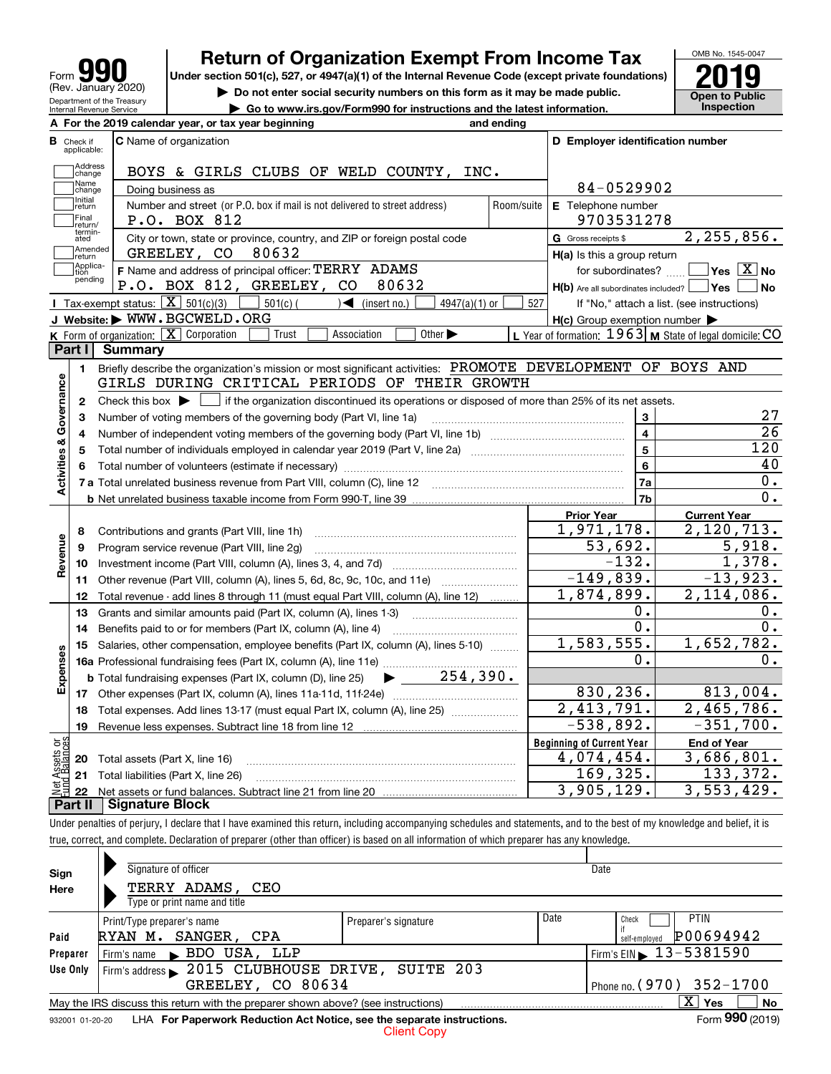| Form                                                   |
|--------------------------------------------------------|
| (Rev. January 2020)                                    |
| Department of the Treasury<br>Internal Revenue Service |

# **Return of Organization Exempt From Income Tax**

Under section 501(c), 527, or 4947(a)(1) of the Internal Revenue Code (except private foundations) **2019** 



**| Do not enter social security numbers on this form as it may be made public. | Go to www.irs.gov/Form990 for instructions and the latest information. Inspection**

|                         |                                  | A For the 2019 calendar year, or tax year beginning                                                                                         | and ending |                                                         |                                                                |
|-------------------------|----------------------------------|---------------------------------------------------------------------------------------------------------------------------------------------|------------|---------------------------------------------------------|----------------------------------------------------------------|
|                         | <b>B</b> Check if<br>applicable: | <b>C</b> Name of organization                                                                                                               |            | D Employer identification number                        |                                                                |
|                         | Address<br>change                | BOYS & GIRLS CLUBS OF WELD COUNTY, INC.                                                                                                     |            |                                                         |                                                                |
|                         | Name<br>change                   | Doing business as                                                                                                                           |            | 84-0529902                                              |                                                                |
|                         | Initial<br>return                | Number and street (or P.O. box if mail is not delivered to street address)                                                                  | Room/suite | E Telephone number                                      |                                                                |
|                         | Final<br>return/                 | P.O. BOX 812                                                                                                                                |            | 9703531278                                              |                                                                |
|                         | termin-<br>ated                  | City or town, state or province, country, and ZIP or foreign postal code                                                                    |            | G Gross receipts \$                                     | 2,255,856.                                                     |
|                         | Amended<br>return                | GREELEY, CO<br>80632                                                                                                                        |            | $H(a)$ is this a group return                           |                                                                |
|                         | Applica-<br>tion                 | F Name and address of principal officer: TERRY ADAMS                                                                                        |            | for subordinates?                                       | $\overline{\mathsf{Yes}\mathrel{\hspace{0.05cm}\mathbf{X}}$ No |
|                         | pending                          | P.O. BOX 812, GREELEY, CO<br>80632                                                                                                          |            | $H(b)$ Are all subordinates included? $\Box$ Yes $\Box$ | <b>No</b>                                                      |
|                         |                                  | Tax-exempt status: $\boxed{\mathbf{X}}$ 501(c)(3) $\boxed{\mathbf{X}}$<br>$\sqrt{2}$ (insert no.)<br>$501(c)$ (<br>$4947(a)(1)$ or          | 527        |                                                         | If "No," attach a list. (see instructions)                     |
|                         |                                  | J Website: WWW.BGCWELD.ORG                                                                                                                  |            | $H(c)$ Group exemption number $\blacktriangleright$     |                                                                |
|                         |                                  | K Form of organization: $X$ Corporation<br>Association<br>Other $\blacktriangleright$<br>Trust                                              |            |                                                         | L Year of formation: $1963$ M State of legal domicile: CO      |
|                         | Part I                           | Summary                                                                                                                                     |            |                                                         |                                                                |
|                         | 1.                               | Briefly describe the organization's mission or most significant activities: PROMOTE DEVELOPMENT OF BOYS AND                                 |            |                                                         |                                                                |
|                         |                                  | GIRLS DURING CRITICAL PERIODS OF THEIR GROWTH                                                                                               |            |                                                         |                                                                |
| Activities & Governance | $\mathbf{2}$                     | Check this box $\blacktriangleright$ $\Box$ if the organization discontinued its operations or disposed of more than 25% of its net assets. |            |                                                         |                                                                |
|                         | з                                | Number of voting members of the governing body (Part VI, line 1a)                                                                           |            | 3                                                       | 27                                                             |
|                         | 4                                |                                                                                                                                             |            | $\overline{4}$                                          | 26                                                             |
|                         | 5                                |                                                                                                                                             |            | $\overline{5}$                                          | $\overline{120}$                                               |
|                         | 6                                |                                                                                                                                             |            | 6                                                       | 40                                                             |
|                         |                                  |                                                                                                                                             |            | 7a                                                      | 0.                                                             |
|                         |                                  |                                                                                                                                             |            | 7b                                                      | 0.                                                             |
|                         |                                  |                                                                                                                                             |            | <b>Prior Year</b>                                       | <b>Current Year</b>                                            |
|                         | 8                                | Contributions and grants (Part VIII, line 1h)                                                                                               |            | 1,971,178.                                              | 2,120,713.                                                     |
| Revenue                 | 9                                | Program service revenue (Part VIII, line 2g)                                                                                                |            | 53,692.                                                 | 5,918.                                                         |
|                         | 10                               |                                                                                                                                             |            | $-132.$                                                 | 1,378.                                                         |
|                         | 11                               |                                                                                                                                             |            | $-149,839.$                                             | $-13,923.$                                                     |
|                         | 12 <sup>2</sup>                  | Total revenue - add lines 8 through 11 (must equal Part VIII, column (A), line 12)                                                          |            | 1,874,899.                                              | $\overline{2,114}$ , 086.                                      |
|                         | 13                               | Grants and similar amounts paid (Part IX, column (A), lines 1-3) <i>manual community container</i>                                          |            | Ο.                                                      | 0.                                                             |
|                         | 14                               |                                                                                                                                             |            | $\overline{0}$ .                                        | $\overline{0}$ .                                               |
|                         | 15                               | Salaries, other compensation, employee benefits (Part IX, column (A), lines 5-10)                                                           |            | 1,583,555.                                              | 1,652,782.                                                     |
| Expenses                |                                  |                                                                                                                                             |            | Ο.                                                      | 0.                                                             |
|                         |                                  | $\blacktriangleright$ 254,390.<br><b>b</b> Total fundraising expenses (Part IX, column (D), line 25)                                        |            |                                                         |                                                                |
|                         |                                  |                                                                                                                                             |            | 830, 236.                                               | 813,004.                                                       |
|                         | 18                               | Total expenses. Add lines 13-17 (must equal Part IX, column (A), line 25) <i>marronomical</i>                                               |            | 2,413,791.                                              | 2,465,786.                                                     |
|                         | 19                               |                                                                                                                                             |            | $-538,892.$                                             | $-351,700.$                                                    |
| ăğ                      |                                  |                                                                                                                                             |            | <b>Beginning of Current Year</b>                        | <b>End of Year</b>                                             |
| Assets                  |                                  | <b>20</b> Total assets (Part X, line 16)                                                                                                    |            | 4,074,454.                                              | 3,686,801.                                                     |
|                         |                                  | 21 Total liabilities (Part X, line 26)                                                                                                      |            | 169,325.                                                | 133,372.                                                       |
|                         | 22                               |                                                                                                                                             |            | 3,905,129.                                              | 3,553,429.                                                     |
|                         | Part II                          | <b>Signature Block</b>                                                                                                                      |            |                                                         |                                                                |

Under penalties of perjury, I declare that I have examined this return, including accompanying schedules and statements, and to the best of my knowledge and belief, it is true, correct, and complete. Declaration of preparer (other than officer) is based on all information of which preparer has any knowledge.

| Sign                                 | Signature of officer                                                                                           |                      |      | Date                                   |  |  |  |  |
|--------------------------------------|----------------------------------------------------------------------------------------------------------------|----------------------|------|----------------------------------------|--|--|--|--|
| Here                                 | TERRY ADAMS, CEO                                                                                               |                      |      |                                        |  |  |  |  |
|                                      | Type or print name and title                                                                                   |                      |      |                                        |  |  |  |  |
|                                      | Print/Type preparer's name                                                                                     | Preparer's signature | Date | <b>PTIN</b><br>Check                   |  |  |  |  |
| Paid                                 | SANGER, CPA<br>RYAN M.                                                                                         |                      |      | P00694942<br>self-emploved             |  |  |  |  |
| Firm's name BDO USA, LLP<br>Preparer |                                                                                                                |                      |      | Firm's EIN $\triangleright$ 13-5381590 |  |  |  |  |
| Use Only                             | Firm's address > 2015 CLUBHOUSE DRIVE, SUITE 203                                                               |                      |      |                                        |  |  |  |  |
|                                      | GREELEY, CO 80634<br>Phone no. (970) 352-1700                                                                  |                      |      |                                        |  |  |  |  |
|                                      | $\mathbf{X}$<br>No<br>Yes<br>May the IRS discuss this return with the preparer shown above? (see instructions) |                      |      |                                        |  |  |  |  |
|                                      | Form 990 (2019)<br>LHA For Paperwork Reduction Act Notice, see the separate instructions.<br>932001 01-20-20   |                      |      |                                        |  |  |  |  |
|                                      | <b>Client Copy</b>                                                                                             |                      |      |                                        |  |  |  |  |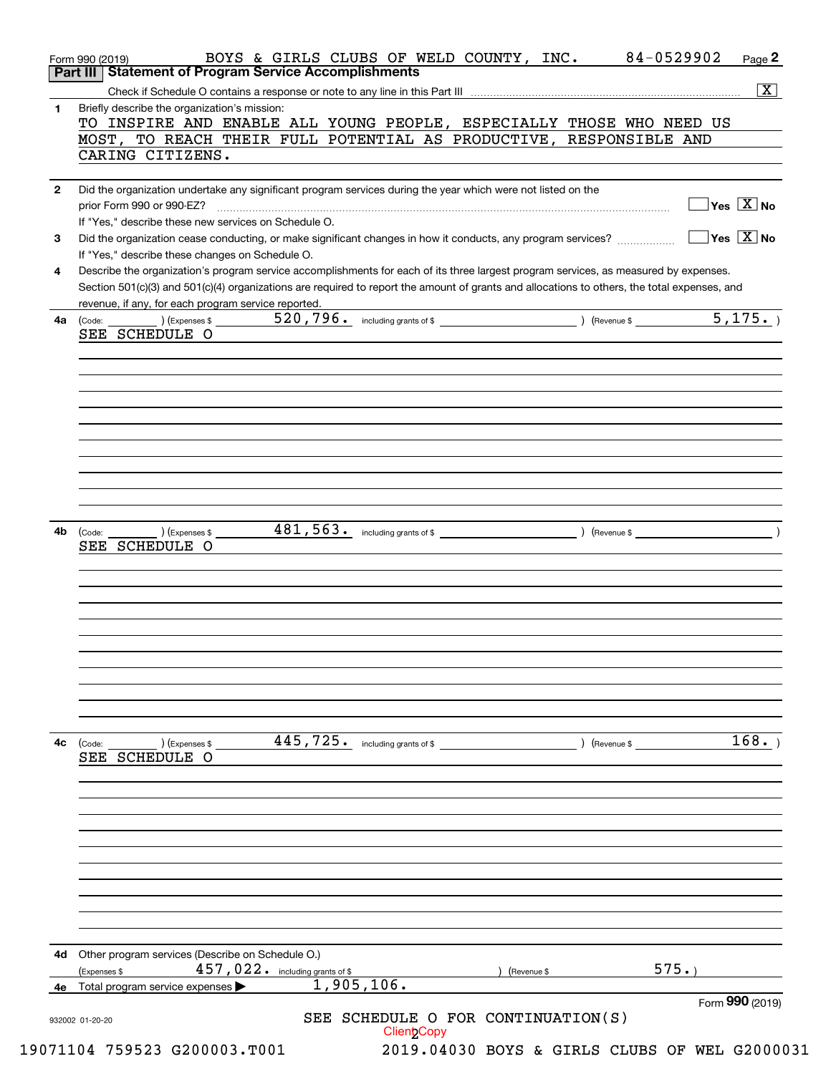| 1. | Briefly describe the organization's mission:                                                                                                                                                                                                                                                                                            |                                                       |                                                                            |             | $\overline{\mathbf{X}}$                         |
|----|-----------------------------------------------------------------------------------------------------------------------------------------------------------------------------------------------------------------------------------------------------------------------------------------------------------------------------------------|-------------------------------------------------------|----------------------------------------------------------------------------|-------------|-------------------------------------------------|
|    | TO INSPIRE AND ENABLE ALL YOUNG PEOPLE, ESPECIALLY THOSE WHO NEED US<br>MOST, TO REACH THEIR FULL POTENTIAL AS PRODUCTIVE, RESPONSIBLE AND<br>CARING CITIZENS.                                                                                                                                                                          |                                                       |                                                                            |             |                                                 |
|    |                                                                                                                                                                                                                                                                                                                                         |                                                       |                                                                            |             |                                                 |
| 2  | Did the organization undertake any significant program services during the year which were not listed on the<br>prior Form 990 or 990-EZ?                                                                                                                                                                                               |                                                       |                                                                            |             | $\Box$ Yes $[\overline{\mathrm{X}}]$ No         |
| 3  | If "Yes," describe these new services on Schedule O.<br>Did the organization cease conducting, or make significant changes in how it conducts, any program services?                                                                                                                                                                    |                                                       |                                                                            |             | $\boxed{\phantom{1}}$ Yes $\boxed{\text{X}}$ No |
| 4  | If "Yes," describe these changes on Schedule O.<br>Describe the organization's program service accomplishments for each of its three largest program services, as measured by expenses.<br>Section 501(c)(3) and 501(c)(4) organizations are required to report the amount of grants and allocations to others, the total expenses, and |                                                       |                                                                            |             |                                                 |
|    | revenue, if any, for each program service reported.                                                                                                                                                                                                                                                                                     |                                                       | the control of the control of the control of the control of the control of |             |                                                 |
| 4a | $\overline{\phantom{a}}$ (Expenses \$<br>(Code:<br>SEE SCHEDULE O                                                                                                                                                                                                                                                                       | 520, 796. including grants of \$ (Revenue \$ 5, 175.) |                                                                            |             |                                                 |
|    |                                                                                                                                                                                                                                                                                                                                         |                                                       |                                                                            |             |                                                 |
|    |                                                                                                                                                                                                                                                                                                                                         |                                                       |                                                                            |             |                                                 |
|    |                                                                                                                                                                                                                                                                                                                                         |                                                       |                                                                            |             |                                                 |
|    |                                                                                                                                                                                                                                                                                                                                         |                                                       |                                                                            |             |                                                 |
| 4b | $\overline{\phantom{a}}$ ) (Expenses \$<br>(Code:<br>SEE SCHEDULE O                                                                                                                                                                                                                                                                     |                                                       |                                                                            |             |                                                 |
|    |                                                                                                                                                                                                                                                                                                                                         |                                                       |                                                                            |             |                                                 |
|    |                                                                                                                                                                                                                                                                                                                                         |                                                       |                                                                            |             |                                                 |
|    |                                                                                                                                                                                                                                                                                                                                         |                                                       |                                                                            |             |                                                 |
|    |                                                                                                                                                                                                                                                                                                                                         |                                                       |                                                                            |             |                                                 |
| 4c | 445,725.<br>) (Expenses \$<br>(Code:<br>SEE SCHEDULE O                                                                                                                                                                                                                                                                                  | including grants of \$                                |                                                                            | (Revenue \$ | 168.                                            |
|    |                                                                                                                                                                                                                                                                                                                                         |                                                       |                                                                            |             |                                                 |
|    |                                                                                                                                                                                                                                                                                                                                         |                                                       |                                                                            |             |                                                 |
|    |                                                                                                                                                                                                                                                                                                                                         |                                                       |                                                                            |             |                                                 |
|    |                                                                                                                                                                                                                                                                                                                                         |                                                       |                                                                            |             |                                                 |
| 4d | Other program services (Describe on Schedule O.)                                                                                                                                                                                                                                                                                        |                                                       |                                                                            |             |                                                 |
| 4е | 457,022. including grants of \$<br>(Expenses \$<br>1,905,106.<br>Total program service expenses                                                                                                                                                                                                                                         |                                                       | (Revenue \$                                                                |             | 575.                                            |
|    |                                                                                                                                                                                                                                                                                                                                         |                                                       | SEE SCHEDULE O FOR CONTINUATION(S)                                         |             | Form 990 (2019)                                 |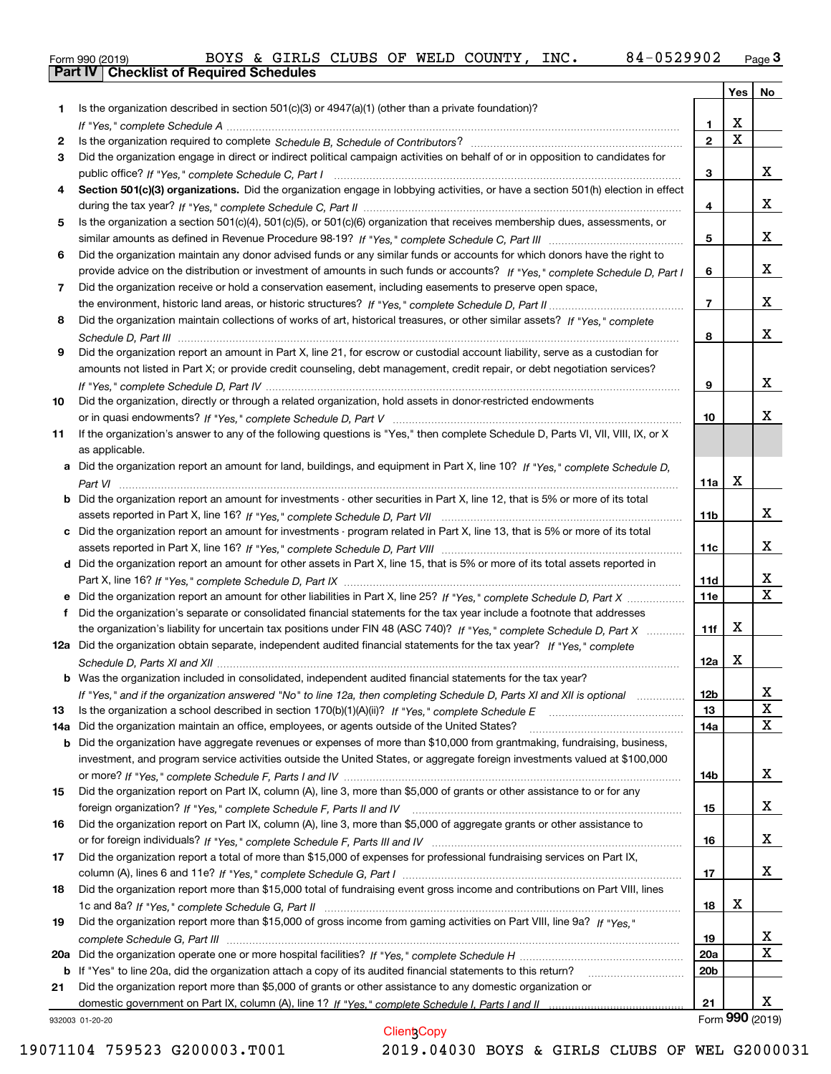|  | Form 990 (2019) |
|--|-----------------|

|     |                                                                                                                                                                                                                               |                 | Yes $ $     | No                           |
|-----|-------------------------------------------------------------------------------------------------------------------------------------------------------------------------------------------------------------------------------|-----------------|-------------|------------------------------|
| 1   | Is the organization described in section $501(c)(3)$ or $4947(a)(1)$ (other than a private foundation)?                                                                                                                       |                 |             |                              |
|     |                                                                                                                                                                                                                               | 1               | х           |                              |
| 2   |                                                                                                                                                                                                                               | $\overline{2}$  | $\mathbf X$ |                              |
| 3   | Did the organization engage in direct or indirect political campaign activities on behalf of or in opposition to candidates for                                                                                               |                 |             |                              |
|     |                                                                                                                                                                                                                               | 3               |             | X.                           |
| 4   | Section 501(c)(3) organizations. Did the organization engage in lobbying activities, or have a section 501(h) election in effect                                                                                              |                 |             |                              |
|     |                                                                                                                                                                                                                               | 4               |             | X.                           |
| 5   | Is the organization a section 501(c)(4), 501(c)(5), or 501(c)(6) organization that receives membership dues, assessments, or                                                                                                  |                 |             |                              |
|     |                                                                                                                                                                                                                               | 5               |             | X.                           |
| 6   | Did the organization maintain any donor advised funds or any similar funds or accounts for which donors have the right to                                                                                                     |                 |             |                              |
|     | provide advice on the distribution or investment of amounts in such funds or accounts? If "Yes," complete Schedule D, Part I                                                                                                  | 6               |             | X.                           |
| 7   | Did the organization receive or hold a conservation easement, including easements to preserve open space,                                                                                                                     |                 |             |                              |
|     |                                                                                                                                                                                                                               | $\overline{7}$  |             | x                            |
| 8   | Did the organization maintain collections of works of art, historical treasures, or other similar assets? If "Yes," complete                                                                                                  |                 |             |                              |
|     |                                                                                                                                                                                                                               | 8               |             | x                            |
| 9   | Did the organization report an amount in Part X, line 21, for escrow or custodial account liability, serve as a custodian for                                                                                                 |                 |             |                              |
|     | amounts not listed in Part X; or provide credit counseling, debt management, credit repair, or debt negotiation services?                                                                                                     |                 |             |                              |
|     |                                                                                                                                                                                                                               | 9               |             | x                            |
| 10  | Did the organization, directly or through a related organization, hold assets in donor-restricted endowments                                                                                                                  |                 |             |                              |
|     |                                                                                                                                                                                                                               | 10              |             | x.                           |
| 11  | If the organization's answer to any of the following questions is "Yes," then complete Schedule D, Parts VI, VII, VIII, IX, or X                                                                                              |                 |             |                              |
|     | as applicable.                                                                                                                                                                                                                |                 |             |                              |
|     | Did the organization report an amount for land, buildings, and equipment in Part X, line 10? If "Yes," complete Schedule D,                                                                                                   |                 |             |                              |
|     |                                                                                                                                                                                                                               | 11a             | X           |                              |
| b   | Did the organization report an amount for investments - other securities in Part X, line 12, that is 5% or more of its total                                                                                                  |                 |             |                              |
|     |                                                                                                                                                                                                                               | 11b             |             | X.                           |
| c   | Did the organization report an amount for investments - program related in Part X, line 13, that is 5% or more of its total                                                                                                   |                 |             |                              |
|     |                                                                                                                                                                                                                               | 11c             |             | X.                           |
|     | d Did the organization report an amount for other assets in Part X, line 15, that is 5% or more of its total assets reported in                                                                                               |                 |             |                              |
|     |                                                                                                                                                                                                                               | 11d             |             | X<br>$\overline{\mathbf{x}}$ |
|     | Did the organization report an amount for other liabilities in Part X, line 25? If "Yes," complete Schedule D, Part X                                                                                                         | <b>11e</b>      |             |                              |
| f   | Did the organization's separate or consolidated financial statements for the tax year include a footnote that addresses                                                                                                       |                 |             |                              |
|     | the organization's liability for uncertain tax positions under FIN 48 (ASC 740)? If "Yes," complete Schedule D, Part X                                                                                                        | 11f             | x           |                              |
|     | 12a Did the organization obtain separate, independent audited financial statements for the tax year? If "Yes," complete                                                                                                       |                 |             |                              |
|     |                                                                                                                                                                                                                               | 12a             | X           |                              |
|     | <b>b</b> Was the organization included in consolidated, independent audited financial statements for the tax year?                                                                                                            |                 |             |                              |
|     | If "Yes," and if the organization answered "No" to line 12a, then completing Schedule D, Parts XI and XII is optional                                                                                                         | 12 <sub>b</sub> |             | x                            |
| 13  | Is the organization a school described in section 170(b)(1)(A)(ii)? If "Yes," complete Schedule E                                                                                                                             | 13              |             | X                            |
| 14a | Did the organization maintain an office, employees, or agents outside of the United States?                                                                                                                                   | <b>14a</b>      |             | X                            |
| b   | Did the organization have aggregate revenues or expenses of more than \$10,000 from grantmaking, fundraising, business,                                                                                                       |                 |             |                              |
|     | investment, and program service activities outside the United States, or aggregate foreign investments valued at \$100,000                                                                                                    |                 |             |                              |
|     |                                                                                                                                                                                                                               | 14b             |             | X.                           |
| 15  | Did the organization report on Part IX, column (A), line 3, more than \$5,000 of grants or other assistance to or for any                                                                                                     |                 |             | X.                           |
|     |                                                                                                                                                                                                                               | 15              |             |                              |
| 16  | Did the organization report on Part IX, column (A), line 3, more than \$5,000 of aggregate grants or other assistance to                                                                                                      | 16              |             | X.                           |
|     |                                                                                                                                                                                                                               |                 |             |                              |
| 17  | Did the organization report a total of more than \$15,000 of expenses for professional fundraising services on Part IX,                                                                                                       |                 |             | X.                           |
|     | Did the organization report more than \$15,000 total of fundraising event gross income and contributions on Part VIII, lines                                                                                                  | 17              |             |                              |
| 18  |                                                                                                                                                                                                                               |                 | X           |                              |
|     |                                                                                                                                                                                                                               | 18              |             |                              |
| 19  | Did the organization report more than \$15,000 of gross income from gaming activities on Part VIII, line 9a? If "Yes."                                                                                                        |                 |             | X.                           |
|     |                                                                                                                                                                                                                               | 19              |             | X                            |
| 20a |                                                                                                                                                                                                                               | <b>20a</b>      |             |                              |
|     | b If "Yes" to line 20a, did the organization attach a copy of its audited financial statements to this return?<br>Did the organization report more than \$5,000 of grants or other assistance to any domestic organization or | 20 <sub>b</sub> |             |                              |
| 21  |                                                                                                                                                                                                                               | 21              |             | X.                           |
|     | 932003 01-20-20                                                                                                                                                                                                               |                 |             | Form 990 (2019)              |
|     | <b>Client Copy</b>                                                                                                                                                                                                            |                 |             |                              |

932003 01-20-20

Client Copy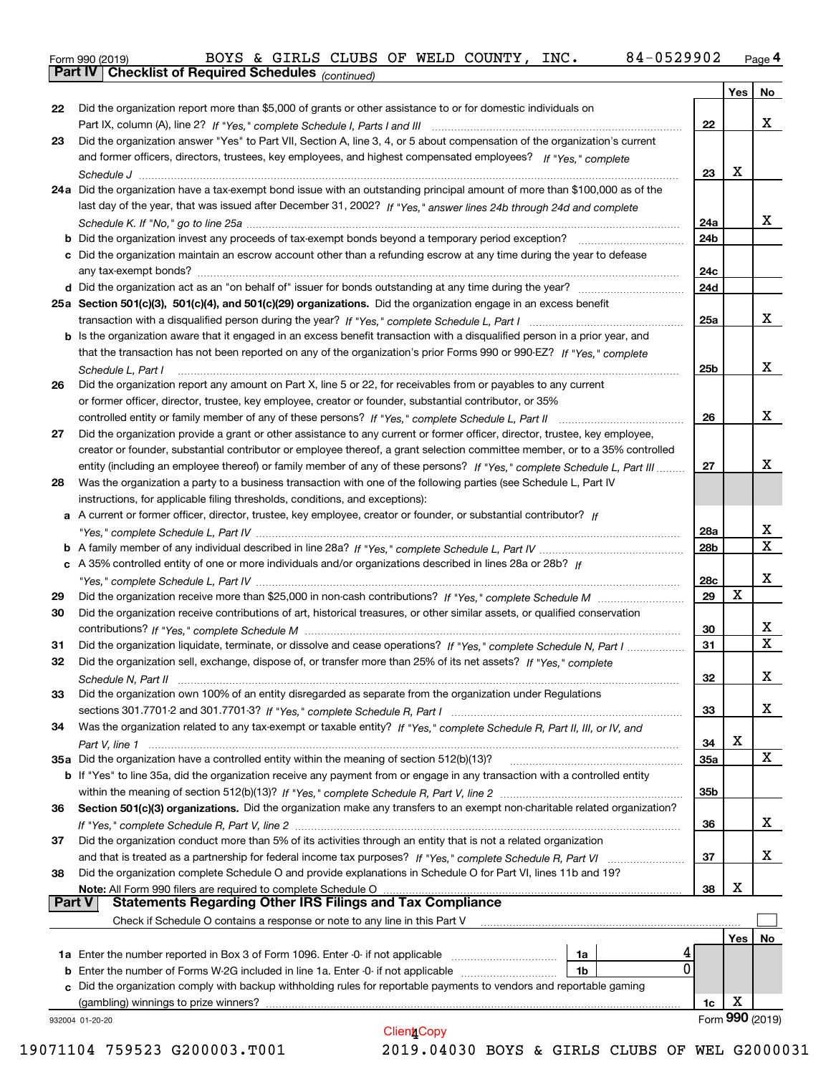|  | Form 990 (2019) |
|--|-----------------|

*(continued)*

|               |                                                                                                                                   |                 | Yes | No                      |
|---------------|-----------------------------------------------------------------------------------------------------------------------------------|-----------------|-----|-------------------------|
| 22            | Did the organization report more than \$5,000 of grants or other assistance to or for domestic individuals on                     |                 |     |                         |
|               |                                                                                                                                   | 22              |     | X                       |
| 23            | Did the organization answer "Yes" to Part VII, Section A, line 3, 4, or 5 about compensation of the organization's current        |                 |     |                         |
|               | and former officers, directors, trustees, key employees, and highest compensated employees? If "Yes," complete                    |                 |     |                         |
|               |                                                                                                                                   | 23              | х   |                         |
|               | 24a Did the organization have a tax-exempt bond issue with an outstanding principal amount of more than \$100,000 as of the       |                 |     |                         |
|               | last day of the year, that was issued after December 31, 2002? If "Yes," answer lines 24b through 24d and complete                |                 |     |                         |
|               |                                                                                                                                   | 24a             |     | x                       |
|               | <b>b</b> Did the organization invest any proceeds of tax-exempt bonds beyond a temporary period exception?                        | 24b             |     |                         |
|               | c Did the organization maintain an escrow account other than a refunding escrow at any time during the year to defease            |                 |     |                         |
|               |                                                                                                                                   | 24c             |     |                         |
|               |                                                                                                                                   | 24d             |     |                         |
|               | 25a Section 501(c)(3), 501(c)(4), and 501(c)(29) organizations. Did the organization engage in an excess benefit                  |                 |     |                         |
|               |                                                                                                                                   | 25a             |     | х                       |
|               | b Is the organization aware that it engaged in an excess benefit transaction with a disqualified person in a prior year, and      |                 |     |                         |
|               | that the transaction has not been reported on any of the organization's prior Forms 990 or 990-EZ? If "Yes," complete             |                 |     |                         |
|               | Schedule L, Part I                                                                                                                | 25 <sub>b</sub> |     | X                       |
| 26            | Did the organization report any amount on Part X, line 5 or 22, for receivables from or payables to any current                   |                 |     |                         |
|               | or former officer, director, trustee, key employee, creator or founder, substantial contributor, or 35%                           |                 |     |                         |
|               | controlled entity or family member of any of these persons? If "Yes," complete Schedule L, Part II                                | 26              |     | х                       |
| 27            | Did the organization provide a grant or other assistance to any current or former officer, director, trustee, key employee,       |                 |     |                         |
|               | creator or founder, substantial contributor or employee thereof, a grant selection committee member, or to a 35% controlled       |                 |     |                         |
|               | entity (including an employee thereof) or family member of any of these persons? If "Yes," complete Schedule L, Part III          | 27              |     | х                       |
| 28            | Was the organization a party to a business transaction with one of the following parties (see Schedule L, Part IV                 |                 |     |                         |
|               | instructions, for applicable filing thresholds, conditions, and exceptions):                                                      |                 |     |                         |
|               | a A current or former officer, director, trustee, key employee, creator or founder, or substantial contributor? If                |                 |     |                         |
|               |                                                                                                                                   | 28a             |     | x                       |
|               |                                                                                                                                   | 28b             |     | $\overline{\mathbf{x}}$ |
|               | c A 35% controlled entity of one or more individuals and/or organizations described in lines 28a or 28b? If                       |                 |     |                         |
|               |                                                                                                                                   | 28c             |     | х                       |
| 29            |                                                                                                                                   | 29              | X   |                         |
| 30            | Did the organization receive contributions of art, historical treasures, or other similar assets, or qualified conservation       |                 |     |                         |
|               |                                                                                                                                   | 30              |     | х                       |
| 31            | Did the organization liquidate, terminate, or dissolve and cease operations? If "Yes," complete Schedule N, Part I                | 31              |     | $\mathbf X$             |
| 32            | Did the organization sell, exchange, dispose of, or transfer more than 25% of its net assets? If "Yes," complete                  |                 |     |                         |
|               |                                                                                                                                   | 32              |     | х                       |
|               | Did the organization own 100% of an entity disregarded as separate from the organization under Regulations                        |                 |     |                         |
|               |                                                                                                                                   |                 |     | x                       |
|               |                                                                                                                                   | 33              |     |                         |
| 34            | Was the organization related to any tax-exempt or taxable entity? If "Yes," complete Schedule R, Part II, III, or IV, and         |                 | х   |                         |
|               | 35a Did the organization have a controlled entity within the meaning of section 512(b)(13)?                                       | 34              |     | x                       |
|               |                                                                                                                                   | <b>35a</b>      |     |                         |
|               | b If "Yes" to line 35a, did the organization receive any payment from or engage in any transaction with a controlled entity       | 35 <sub>b</sub> |     |                         |
|               |                                                                                                                                   |                 |     |                         |
| 36            | Section 501(c)(3) organizations. Did the organization make any transfers to an exempt non-charitable related organization?        |                 |     | x                       |
|               |                                                                                                                                   | 36              |     |                         |
| 37            | Did the organization conduct more than 5% of its activities through an entity that is not a related organization                  |                 |     | x                       |
|               |                                                                                                                                   | 37              |     |                         |
| 38            | Did the organization complete Schedule O and provide explanations in Schedule O for Part VI, lines 11b and 19?                    |                 |     |                         |
| <b>Part V</b> | Note: All Form 990 filers are required to complete Schedule O<br><b>Statements Regarding Other IRS Filings and Tax Compliance</b> | 38              | х   |                         |
|               | Check if Schedule O contains a response or note to any line in this Part V                                                        |                 |     |                         |
|               |                                                                                                                                   |                 |     |                         |
|               |                                                                                                                                   |                 | Yes | No                      |
|               | 1a                                                                                                                                | 4<br>0          |     |                         |
| b             | Enter the number of Forms W-2G included in line 1a. Enter -0- if not applicable<br>1b                                             |                 |     |                         |
|               | c Did the organization comply with backup withholding rules for reportable payments to vendors and reportable gaming              |                 |     |                         |
|               | (gambling) winnings to prize winners?                                                                                             | 1c              | х   |                         |
|               | 932004 01-20-20<br><b>Client</b> Copy                                                                                             |                 |     | Form 990 (2019)         |
|               |                                                                                                                                   |                 |     |                         |

 <sup>19071104 759523</sup> G200003.T001 2019.04030 BOYS & GIRLS CLUBS OF WEL G2000031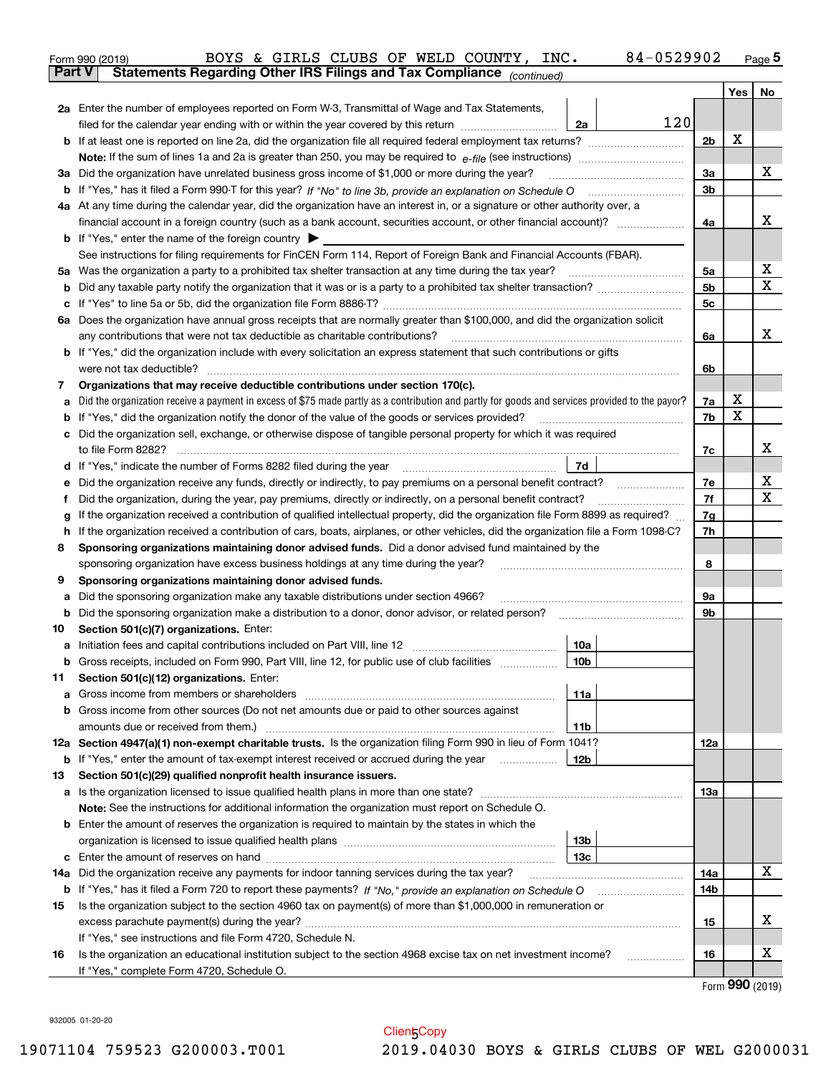|               | 84-0529902<br>BOYS & GIRLS CLUBS OF WELD COUNTY, INC.<br>Form 990 (2019)                                                                        |                |     | $Page$ <sup>5</sup>                 |
|---------------|-------------------------------------------------------------------------------------------------------------------------------------------------|----------------|-----|-------------------------------------|
| <b>Part V</b> | Statements Regarding Other IRS Filings and Tax Compliance (continued)                                                                           |                |     |                                     |
|               |                                                                                                                                                 |                | Yes | No                                  |
|               | 2a Enter the number of employees reported on Form W-3, Transmittal of Wage and Tax Statements,                                                  |                |     |                                     |
|               | 120<br>filed for the calendar year ending with or within the year covered by this return <i>manumumumum</i><br>2a                               |                |     |                                     |
|               |                                                                                                                                                 | 2 <sub>b</sub> | х   |                                     |
|               |                                                                                                                                                 |                |     |                                     |
|               | 3a Did the organization have unrelated business gross income of \$1,000 or more during the year?                                                | 3a             |     | х                                   |
|               |                                                                                                                                                 | 3b             |     |                                     |
|               | 4a At any time during the calendar year, did the organization have an interest in, or a signature or other authority over, a                    |                |     |                                     |
|               |                                                                                                                                                 | 4a             |     | х                                   |
|               | <b>b</b> If "Yes," enter the name of the foreign country $\blacktriangleright$                                                                  |                |     |                                     |
|               | See instructions for filing requirements for FinCEN Form 114, Report of Foreign Bank and Financial Accounts (FBAR).                             |                |     |                                     |
|               |                                                                                                                                                 | 5a             |     | х                                   |
| b             |                                                                                                                                                 | 5b             |     | Χ                                   |
| с             |                                                                                                                                                 | 5c             |     |                                     |
|               | 6a Does the organization have annual gross receipts that are normally greater than \$100,000, and did the organization solicit                  |                |     |                                     |
|               |                                                                                                                                                 | 6a             |     | х                                   |
|               | <b>b</b> If "Yes," did the organization include with every solicitation an express statement that such contributions or gifts                   |                |     |                                     |
|               | were not tax deductible?                                                                                                                        | 6b             |     |                                     |
| 7             | Organizations that may receive deductible contributions under section 170(c).                                                                   |                |     |                                     |
| a             | Did the organization receive a payment in excess of \$75 made partly as a contribution and partly for goods and services provided to the payor? | 7a             | X   |                                     |
|               | <b>b</b> If "Yes," did the organization notify the donor of the value of the goods or services provided?                                        | 7b             | х   |                                     |
|               | c Did the organization sell, exchange, or otherwise dispose of tangible personal property for which it was required                             |                |     |                                     |
|               |                                                                                                                                                 | 7c             |     | х                                   |
|               | 7d<br>d If "Yes," indicate the number of Forms 8282 filed during the year [11,111] The Section of Holder and The Year                           |                |     |                                     |
| е             | Did the organization receive any funds, directly or indirectly, to pay premiums on a personal benefit contract?                                 | 7e             |     | х                                   |
| f             | Did the organization, during the year, pay premiums, directly or indirectly, on a personal benefit contract?                                    | 7f             |     | х                                   |
| g             | If the organization received a contribution of qualified intellectual property, did the organization file Form 8899 as required?                | 7g             |     |                                     |
| h.            | If the organization received a contribution of cars, boats, airplanes, or other vehicles, did the organization file a Form 1098-C?              | 7h             |     |                                     |
| 8             | Sponsoring organizations maintaining donor advised funds. Did a donor advised fund maintained by the                                            |                |     |                                     |
|               | sponsoring organization have excess business holdings at any time during the year?                                                              | 8              |     |                                     |
| 9             | Sponsoring organizations maintaining donor advised funds.                                                                                       |                |     |                                     |
| а             | Did the sponsoring organization make any taxable distributions under section 4966?                                                              | 9а             |     |                                     |
| b             | Did the sponsoring organization make a distribution to a donor, donor advisor, or related person?                                               | 9b             |     |                                     |
| 10            | Section 501(c)(7) organizations. Enter:                                                                                                         |                |     |                                     |
|               | 10a                                                                                                                                             |                |     |                                     |
|               | 10b <br>Gross receipts, included on Form 990, Part VIII, line 12, for public use of club facilities                                             |                |     |                                     |
| 11            | Section 501(c)(12) organizations. Enter:                                                                                                        |                |     |                                     |
| a             | Gross income from members or shareholders<br>11a                                                                                                |                |     |                                     |
|               | b Gross income from other sources (Do not net amounts due or paid to other sources against                                                      |                |     |                                     |
|               | 11b                                                                                                                                             |                |     |                                     |
|               | 12a Section 4947(a)(1) non-exempt charitable trusts. Is the organization filing Form 990 in lieu of Form 1041?                                  | 12a            |     |                                     |
|               | 12b<br><b>b</b> If "Yes," enter the amount of tax-exempt interest received or accrued during the year <i>manument</i> of                        |                |     |                                     |
| 13            | Section 501(c)(29) qualified nonprofit health insurance issuers.                                                                                |                |     |                                     |
|               | a Is the organization licensed to issue qualified health plans in more than one state?                                                          | 13а            |     |                                     |
|               | Note: See the instructions for additional information the organization must report on Schedule O.                                               |                |     |                                     |
|               | <b>b</b> Enter the amount of reserves the organization is required to maintain by the states in which the                                       |                |     |                                     |
|               | 13 <sub>b</sub>                                                                                                                                 |                |     |                                     |
|               | 13с                                                                                                                                             |                |     |                                     |
| 14a           | Did the organization receive any payments for indoor tanning services during the tax year?                                                      | 14a            |     | x                                   |
|               | <b>b</b> If "Yes," has it filed a Form 720 to report these payments? If "No," provide an explanation on Schedule O                              | 14b            |     |                                     |
| 15            | Is the organization subject to the section 4960 tax on payment(s) of more than \$1,000,000 in remuneration or                                   |                |     |                                     |
|               |                                                                                                                                                 | 15             |     | x                                   |
|               | If "Yes," see instructions and file Form 4720, Schedule N.                                                                                      |                |     |                                     |
| 16            | Is the organization an educational institution subject to the section 4968 excise tax on net investment income?                                 | 16             |     | x                                   |
|               | If "Yes," complete Form 4720, Schedule O.                                                                                                       |                |     |                                     |
|               |                                                                                                                                                 |                |     | $F_{\text{arm}}$ QQ $\Omega$ (2010) |

Form (2019) **990**

932005 01-20-20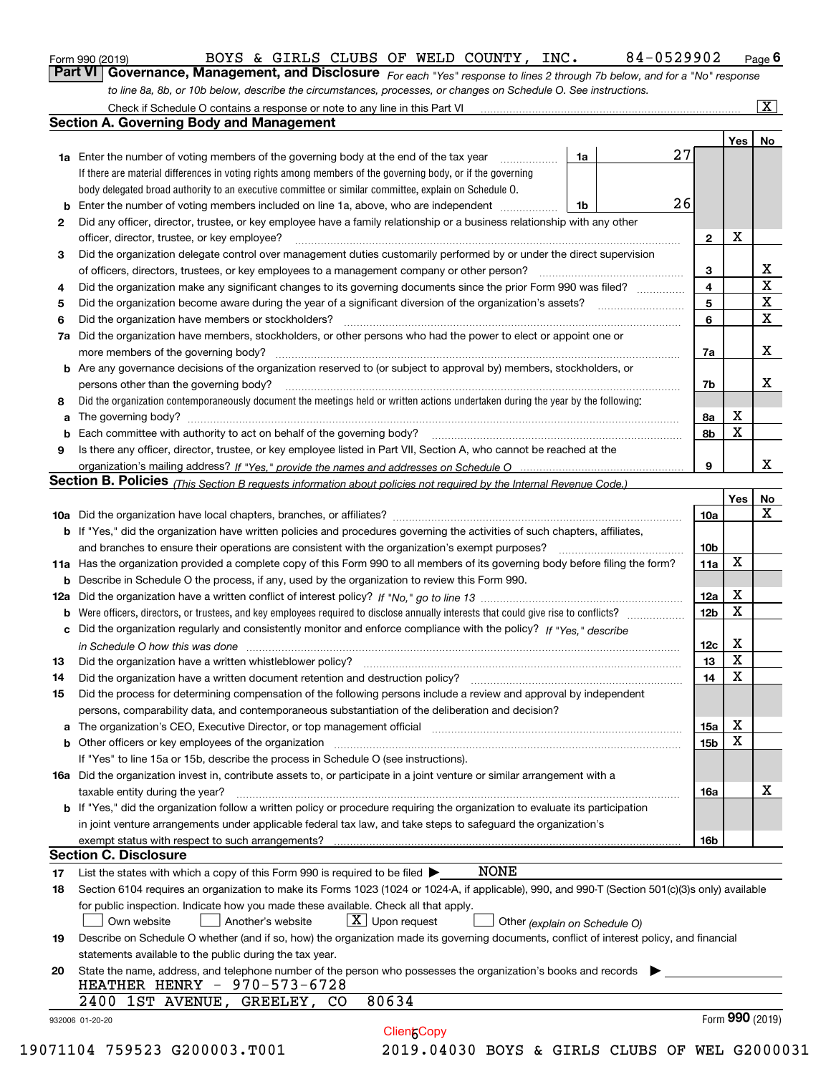| Form 990 (2019) |  |  |
|-----------------|--|--|
|                 |  |  |

*For each "Yes" response to lines 2 through 7b below, and for a "No" response to line 8a, 8b, or 10b below, describe the circumstances, processes, or changes on Schedule O. See instructions.* Form 990 (2019) Page **6Part VI Governance, Management, and Disclosure**  BOYS & GIRLS CLUBS OF WELD COUNTY, INC. 84-0529902

|    | <b>1a</b> Enter the number of voting members of the governing body at the end of the tax year                                                                                                                                  | 1a | 27 |                         | Yes             | No                      |
|----|--------------------------------------------------------------------------------------------------------------------------------------------------------------------------------------------------------------------------------|----|----|-------------------------|-----------------|-------------------------|
|    | If there are material differences in voting rights among members of the governing body, or if the governing                                                                                                                    |    |    |                         |                 |                         |
|    | body delegated broad authority to an executive committee or similar committee, explain on Schedule O.                                                                                                                          |    |    |                         |                 |                         |
| b  | Enter the number of voting members included on line 1a, above, who are independent                                                                                                                                             | 1b | 26 |                         |                 |                         |
| 2  | Did any officer, director, trustee, or key employee have a family relationship or a business relationship with any other                                                                                                       |    |    |                         |                 |                         |
|    | officer, director, trustee, or key employee?                                                                                                                                                                                   |    |    | $\mathbf{2}$            | X               |                         |
| З  | Did the organization delegate control over management duties customarily performed by or under the direct supervision                                                                                                          |    |    |                         |                 |                         |
|    | of officers, directors, trustees, or key employees to a management company or other person?                                                                                                                                    |    |    | 3                       |                 | X                       |
| 4  | Did the organization make any significant changes to its governing documents since the prior Form 990 was filed?                                                                                                               |    |    | $\overline{\mathbf{4}}$ |                 | $\overline{\mathtt{x}}$ |
| 5  |                                                                                                                                                                                                                                |    |    | 5                       |                 | $\overline{\textbf{X}}$ |
|    | Did the organization have members or stockholders?                                                                                                                                                                             |    |    | 6                       |                 | $\mathbf X$             |
| 6  | Did the organization have members, stockholders, or other persons who had the power to elect or appoint one or                                                                                                                 |    |    |                         |                 |                         |
| 7a |                                                                                                                                                                                                                                |    |    |                         |                 | X                       |
|    |                                                                                                                                                                                                                                |    |    | 7a                      |                 |                         |
|    | <b>b</b> Are any governance decisions of the organization reserved to (or subject to approval by) members, stockholders, or                                                                                                    |    |    |                         |                 |                         |
|    | persons other than the governing body?                                                                                                                                                                                         |    |    | 7b                      |                 | х                       |
| 8  | Did the organization contemporaneously document the meetings held or written actions undertaken during the year by the following:                                                                                              |    |    |                         |                 |                         |
| a  |                                                                                                                                                                                                                                |    |    | 8а                      | x               |                         |
| b  |                                                                                                                                                                                                                                |    |    | 8b                      | X               |                         |
| 9  | Is there any officer, director, trustee, or key employee listed in Part VII, Section A, who cannot be reached at the                                                                                                           |    |    |                         |                 |                         |
|    |                                                                                                                                                                                                                                |    |    | 9                       |                 | X                       |
|    | Section B. Policies (This Section B requests information about policies not required by the Internal Revenue Code.)                                                                                                            |    |    |                         |                 |                         |
|    |                                                                                                                                                                                                                                |    |    |                         | Yes             | No                      |
|    |                                                                                                                                                                                                                                |    |    | 10a                     |                 | X                       |
|    | <b>b</b> If "Yes," did the organization have written policies and procedures governing the activities of such chapters, affiliates,                                                                                            |    |    |                         |                 |                         |
|    |                                                                                                                                                                                                                                |    |    | 10 <sub>b</sub>         |                 |                         |
|    | 11a Has the organization provided a complete copy of this Form 990 to all members of its governing body before filing the form?                                                                                                |    |    | 11a                     | X               |                         |
|    | <b>b</b> Describe in Schedule O the process, if any, used by the organization to review this Form 990.                                                                                                                         |    |    |                         |                 |                         |
|    |                                                                                                                                                                                                                                |    |    | 12a                     | X               |                         |
|    |                                                                                                                                                                                                                                |    |    | 12 <sub>b</sub>         | X               |                         |
|    | c Did the organization regularly and consistently monitor and enforce compliance with the policy? If "Yes," describe                                                                                                           |    |    |                         |                 |                         |
|    | in Schedule O how this was done manufactured and continuum control of the Schedule O how this was done manufactured and continuum control of the Schedule O how this was done                                                  |    |    | 12c                     | X               |                         |
| 13 |                                                                                                                                                                                                                                |    |    | 13                      | X               |                         |
| 14 |                                                                                                                                                                                                                                |    |    | 14                      | X               |                         |
| 15 | Did the process for determining compensation of the following persons include a review and approval by independent                                                                                                             |    |    |                         |                 |                         |
|    | persons, comparability data, and contemporaneous substantiation of the deliberation and decision?                                                                                                                              |    |    |                         |                 |                         |
|    | a The organization's CEO, Executive Director, or top management official manufactured content content of the organization's CEO, Executive Director, or top management official manufactured content of the state of the conte |    |    | 15a                     | X               |                         |
|    |                                                                                                                                                                                                                                |    |    | 15b                     | X               |                         |
|    | If "Yes" to line 15a or 15b, describe the process in Schedule O (see instructions).                                                                                                                                            |    |    |                         |                 |                         |
|    | 16a Did the organization invest in, contribute assets to, or participate in a joint venture or similar arrangement with a                                                                                                      |    |    |                         |                 |                         |
|    | taxable entity during the year?                                                                                                                                                                                                |    |    | 16a                     |                 | X                       |
|    | b If "Yes," did the organization follow a written policy or procedure requiring the organization to evaluate its participation                                                                                                 |    |    |                         |                 |                         |
|    | in joint venture arrangements under applicable federal tax law, and take steps to safeguard the organization's                                                                                                                 |    |    |                         |                 |                         |
|    | exempt status with respect to such arrangements?                                                                                                                                                                               |    |    | 16b                     |                 |                         |
|    | <b>Section C. Disclosure</b>                                                                                                                                                                                                   |    |    |                         |                 |                         |
| 17 | <b>NONE</b><br>List the states with which a copy of this Form 990 is required to be filed $\blacktriangleright$                                                                                                                |    |    |                         |                 |                         |
| 18 | Section 6104 requires an organization to make its Forms 1023 (1024 or 1024-A, if applicable), 990, and 990-T (Section 501(c)(3)s only) available                                                                               |    |    |                         |                 |                         |
|    | for public inspection. Indicate how you made these available. Check all that apply.                                                                                                                                            |    |    |                         |                 |                         |
|    | $X$ Upon request<br>Own website<br>Another's website<br>Other (explain on Schedule O)                                                                                                                                          |    |    |                         |                 |                         |
| 19 | Describe on Schedule O whether (and if so, how) the organization made its governing documents, conflict of interest policy, and financial                                                                                      |    |    |                         |                 |                         |
|    | statements available to the public during the tax year.                                                                                                                                                                        |    |    |                         |                 |                         |
| 20 | State the name, address, and telephone number of the person who possesses the organization's books and records                                                                                                                 |    |    |                         |                 |                         |
|    | HEATHER HENRY - 970-573-6728                                                                                                                                                                                                   |    |    |                         |                 |                         |
|    | 80634<br>2400 1ST AVENUE, GREELEY,<br>CO.                                                                                                                                                                                      |    |    |                         |                 |                         |
|    |                                                                                                                                                                                                                                |    |    |                         | Form 990 (2019) |                         |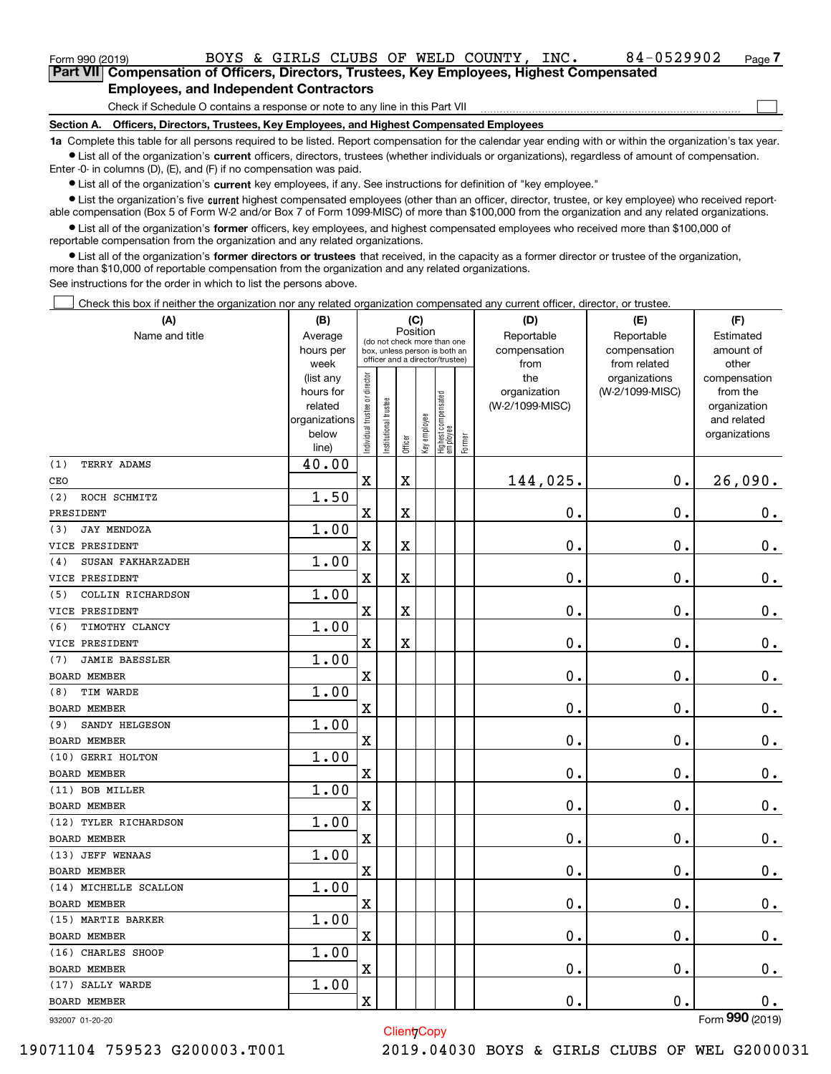| Form 990 (2019)                                                                             |                                                                              |  |  |  |  |  | BOYS & GIRLS CLUBS OF WELD COUNTY, | $\_INC$ . | 84-0529902 | Page 7 |
|---------------------------------------------------------------------------------------------|------------------------------------------------------------------------------|--|--|--|--|--|------------------------------------|-----------|------------|--------|
| Part VIII Compensation of Officers, Directors, Trustees, Key Employees, Highest Compensated |                                                                              |  |  |  |  |  |                                    |           |            |        |
| <b>Employees, and Independent Contractors</b>                                               |                                                                              |  |  |  |  |  |                                    |           |            |        |
|                                                                                             | Check if Schedule O contains a response or note to any line in this Part VII |  |  |  |  |  |                                    |           |            |        |

Check if Schedule O contains a response or note to any line in this Part VII

**Section A. Officers, Directors, Trustees, Key Employees, and Highest Compensated Employees**

**1a**  Complete this table for all persons required to be listed. Report compensation for the calendar year ending with or within the organization's tax year. **•** List all of the organization's current officers, directors, trustees (whether individuals or organizations), regardless of amount of compensation.

Enter -0- in columns (D), (E), and (F) if no compensation was paid.

 $\bullet$  List all of the organization's  $\,$ current key employees, if any. See instructions for definition of "key employee."

• List the organization's five current highest compensated employees (other than an officer, director, trustee, or key employee) who received report-■ List the organization's five current highest compensated employees (other than an officer, director, trustee, or key employee) who received report-<br>able compensation (Box 5 of Form W-2 and/or Box 7 of Form 1099-MISC) of

**•** List all of the organization's former officers, key employees, and highest compensated employees who received more than \$100,000 of reportable compensation from the organization and any related organizations.

**former directors or trustees**  ¥ List all of the organization's that received, in the capacity as a former director or trustee of the organization, more than \$10,000 of reportable compensation from the organization and any related organizations.

See instructions for the order in which to list the persons above.

Check this box if neither the organization nor any related organization compensated any current officer, director, or trustee.  $\mathcal{L}^{\text{max}}$ 

| (A)                          | (B)               |                               |                                                                  | (C)         |              |                                  |        | (D)             | (E)                           | (F)                   |
|------------------------------|-------------------|-------------------------------|------------------------------------------------------------------|-------------|--------------|----------------------------------|--------|-----------------|-------------------------------|-----------------------|
| Name and title               | Average           |                               | (do not check more than one                                      | Position    |              |                                  |        | Reportable      | Reportable                    | Estimated             |
|                              | hours per         |                               | box, unless person is both an<br>officer and a director/trustee) |             |              |                                  |        | compensation    | compensation                  | amount of             |
|                              | week<br>(list any |                               |                                                                  |             |              |                                  |        | from<br>the     | from related<br>organizations | other<br>compensation |
|                              | hours for         |                               |                                                                  |             |              |                                  |        | organization    | (W-2/1099-MISC)               | from the              |
|                              | related           |                               |                                                                  |             |              |                                  |        | (W-2/1099-MISC) |                               | organization          |
|                              | organizations     |                               |                                                                  |             |              |                                  |        |                 |                               | and related           |
|                              | below             | ndividual trustee or director | nstitutional trustee                                             |             | Key employee | Highest compensated<br> employee | Former |                 |                               | organizations         |
|                              | line)             |                               |                                                                  | Officer     |              |                                  |        |                 |                               |                       |
| (1)<br>TERRY ADAMS           | 40.00             |                               |                                                                  |             |              |                                  |        |                 |                               |                       |
| CEO                          |                   | $\overline{\textbf{X}}$       |                                                                  | $\mathbf X$ |              |                                  |        | 144,025.        | 0.                            | 26,090.               |
| (2)<br>ROCH SCHMITZ          | 1.50              |                               |                                                                  |             |              |                                  |        |                 |                               |                       |
| PRESIDENT                    |                   | $\overline{\mathbf{X}}$       |                                                                  | $\mathbf X$ |              |                                  |        | 0.              | $\mathbf 0$ .                 | $\mathbf 0$ .         |
| <b>JAY MENDOZA</b><br>(3)    | 1.00              |                               |                                                                  |             |              |                                  |        |                 |                               |                       |
| VICE PRESIDENT               |                   | X                             |                                                                  | $\mathbf X$ |              |                                  |        | 0.              | $\mathbf 0$ .                 | $\mathbf 0$ .         |
| SUSAN FAKHARZADEH<br>(4)     | 1.00              |                               |                                                                  |             |              |                                  |        |                 |                               |                       |
| VICE PRESIDENT               |                   | $\overline{\mathbf{X}}$       |                                                                  | $\mathbf X$ |              |                                  |        | 0.              | $\mathbf 0$ .                 | $\mathbf 0$ .         |
| COLLIN RICHARDSON<br>(5)     | 1.00              |                               |                                                                  |             |              |                                  |        |                 |                               |                       |
| VICE PRESIDENT               |                   | $\overline{\mathbf{X}}$       |                                                                  | $\mathbf X$ |              |                                  |        | 0.              | $\mathbf 0$ .                 | $\mathbf 0$ .         |
| TIMOTHY CLANCY<br>(6)        | 1.00              |                               |                                                                  |             |              |                                  |        |                 |                               |                       |
| VICE PRESIDENT               |                   | $\overline{\mathbf{X}}$       |                                                                  | $\rm X$     |              |                                  |        | 0.              | $\mathbf 0$ .                 | 0.                    |
| <b>JAMIE BAESSLER</b><br>(7) | 1.00              |                               |                                                                  |             |              |                                  |        |                 |                               |                       |
| <b>BOARD MEMBER</b>          |                   | $\overline{\mathbf{X}}$       |                                                                  |             |              |                                  |        | 0.              | $\mathbf 0$ .                 | $\mathbf 0$ .         |
| TIM WARDE<br>(8)             | 1.00              |                               |                                                                  |             |              |                                  |        |                 |                               |                       |
| BOARD MEMBER                 |                   | $\overline{\mathbf{X}}$       |                                                                  |             |              |                                  |        | 0.              | $\mathbf 0$ .                 | $\mathbf 0$ .         |
| SANDY HELGESON<br>(9)        | 1.00              |                               |                                                                  |             |              |                                  |        |                 |                               |                       |
| <b>BOARD MEMBER</b>          |                   | $\overline{\mathbf{X}}$       |                                                                  |             |              |                                  |        | 0.              | $\mathbf 0$ .                 | $\mathbf 0$ .         |
| (10) GERRI HOLTON            | 1.00              |                               |                                                                  |             |              |                                  |        |                 |                               |                       |
| <b>BOARD MEMBER</b>          |                   | $\bar{\mathbf{X}}$            |                                                                  |             |              |                                  |        | $\mathbf{0}$ .  | $\mathbf 0$ .                 | 0.                    |
| (11) BOB MILLER              | 1.00              |                               |                                                                  |             |              |                                  |        |                 |                               |                       |
| <b>BOARD MEMBER</b>          |                   | $\overline{\mathbf{X}}$       |                                                                  |             |              |                                  |        | $\mathbf{0}$ .  | $\mathbf 0$ .                 | $\mathbf 0$ .         |
| (12) TYLER RICHARDSON        | 1.00              |                               |                                                                  |             |              |                                  |        |                 |                               |                       |
| <b>BOARD MEMBER</b>          |                   | $\overline{\mathbf{X}}$       |                                                                  |             |              |                                  |        | 0.              | $\mathbf 0$ .                 | $\mathbf 0$ .         |
| (13) JEFF WENAAS             | 1.00              |                               |                                                                  |             |              |                                  |        |                 |                               |                       |
| BOARD MEMBER                 |                   | $\overline{\text{X}}$         |                                                                  |             |              |                                  |        | 0.              | $\mathbf 0$ .                 | $\mathbf 0$ .         |
| (14) MICHELLE SCALLON        | 1.00              |                               |                                                                  |             |              |                                  |        |                 |                               |                       |
| <b>BOARD MEMBER</b>          |                   | $\overline{\text{X}}$         |                                                                  |             |              |                                  |        | 0.              | $\mathbf 0$ .                 | $\mathbf 0$ .         |
| (15) MARTIE BARKER           | 1.00              |                               |                                                                  |             |              |                                  |        |                 |                               |                       |
| <b>BOARD MEMBER</b>          |                   | $\overline{\mathbf{X}}$       |                                                                  |             |              |                                  |        | 0.              | $\mathbf 0$ .                 | $0$ .                 |
| (16) CHARLES SHOOP           | 1.00              |                               |                                                                  |             |              |                                  |        |                 |                               |                       |
| <b>BOARD MEMBER</b>          |                   | $\overline{\mathbf{X}}$       |                                                                  |             |              |                                  |        | 0.              | 0.                            | $\mathbf 0$ .         |
| (17) SALLY WARDE             | 1.00              |                               |                                                                  |             |              |                                  |        |                 |                               |                       |
| <b>BOARD MEMBER</b>          |                   | $\overline{\mathbf{X}}$       |                                                                  |             |              |                                  |        | 0.              | $\mathbf 0$ .                 | $\mathbf 0$ .         |
|                              |                   |                               |                                                                  |             |              |                                  |        |                 |                               |                       |

Client<sub>/Copy</sub>

932007 01-20-20

Form (2019) **990**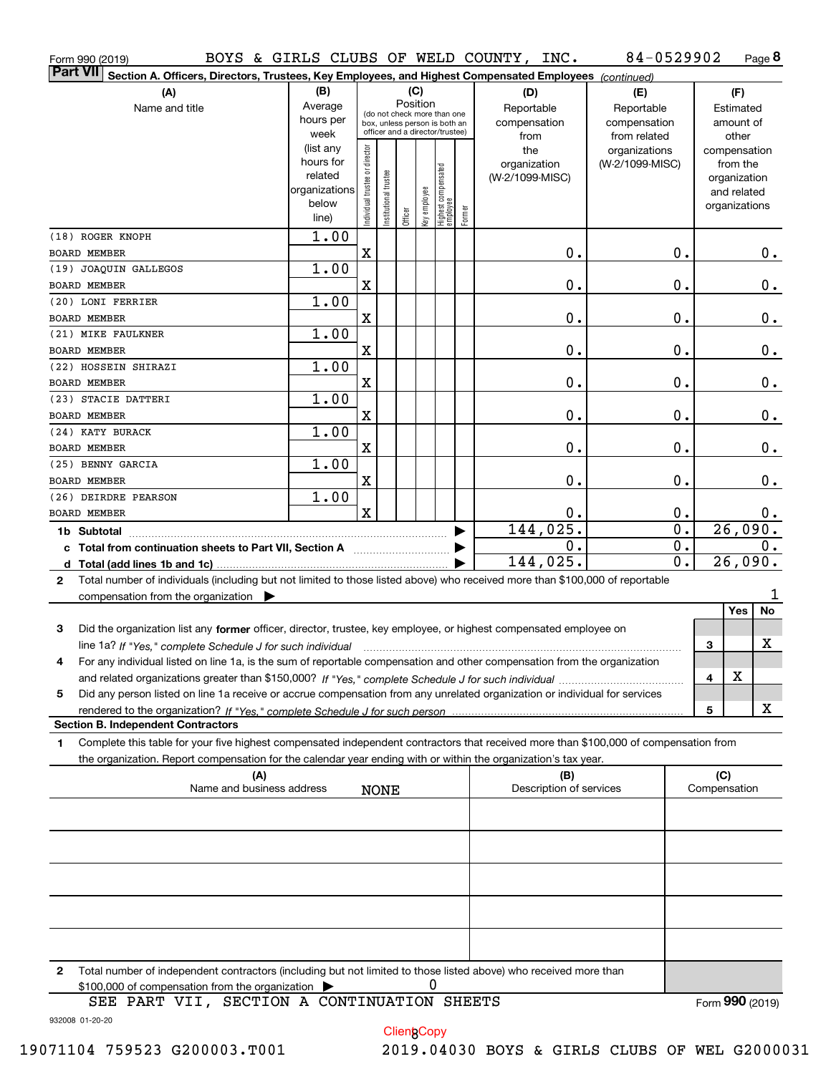| Form 990 (2019)                                                                                                                              |                                                                      |                                |                       |                                                                                                                    |   |                                                 |        | BOYS & GIRLS CLUBS OF WELD COUNTY, INC.   | 84-0529902                                        |                  |                               |                                         | Page 8  |
|----------------------------------------------------------------------------------------------------------------------------------------------|----------------------------------------------------------------------|--------------------------------|-----------------------|--------------------------------------------------------------------------------------------------------------------|---|-------------------------------------------------|--------|-------------------------------------------|---------------------------------------------------|------------------|-------------------------------|-----------------------------------------|---------|
| <b>Part VII</b><br>Section A. Officers, Directors, Trustees, Key Employees, and Highest Compensated Employees (continued)                    |                                                                      |                                |                       |                                                                                                                    |   |                                                 |        |                                           |                                                   |                  |                               |                                         |         |
| (A)<br>Name and title                                                                                                                        | (B)<br>Average<br>hours per<br>week                                  |                                |                       | (C)<br>Position<br>(do not check more than one<br>box, unless person is both an<br>officer and a director/trustee) |   |                                                 |        | (D)<br>Reportable<br>compensation<br>from | (E)<br>Reportable<br>compensation<br>from related |                  |                               | (F)<br>Estimated<br>amount of<br>other  |         |
|                                                                                                                                              | (list any<br>hours for<br>related<br>organizations<br>below<br>line) | Individual trustee or director | Institutional trustee | Officer                                                                                                            |   | key employee<br>Highest compensated<br>employee | Former | the<br>organization<br>(W-2/1099-MISC)    | organizations<br>(W-2/1099-MISC)                  |                  | compensation<br>organizations | from the<br>organization<br>and related |         |
| (18) ROGER KNOPH<br><b>BOARD MEMBER</b>                                                                                                      | 1.00                                                                 | X                              |                       |                                                                                                                    |   |                                                 |        | $\mathbf 0$ .                             |                                                   | 0.               |                               |                                         |         |
| (19) JOAQUIN GALLEGOS                                                                                                                        | 1.00                                                                 |                                |                       |                                                                                                                    |   |                                                 |        |                                           |                                                   |                  |                               |                                         | $0$ .   |
| <b>BOARD MEMBER</b>                                                                                                                          |                                                                      | $\mathbf X$                    |                       |                                                                                                                    |   |                                                 |        | $\mathbf 0$ .                             |                                                   | 0.               |                               |                                         | $0$ .   |
| (20) LONI FERRIER                                                                                                                            | 1.00                                                                 |                                |                       |                                                                                                                    |   |                                                 |        |                                           |                                                   |                  |                               |                                         |         |
| <b>BOARD MEMBER</b>                                                                                                                          |                                                                      | $\mathbf X$                    |                       |                                                                                                                    |   |                                                 |        | $\mathbf 0$ .                             |                                                   | 0.               |                               |                                         | $0$ .   |
| (21) MIKE FAULKNER                                                                                                                           | 1.00                                                                 |                                |                       |                                                                                                                    |   |                                                 |        |                                           |                                                   |                  |                               |                                         |         |
| <b>BOARD MEMBER</b>                                                                                                                          |                                                                      | $\mathbf X$                    |                       |                                                                                                                    |   |                                                 |        | $\mathbf 0$ .                             |                                                   | 0.               |                               |                                         | $0$ .   |
| (22) HOSSEIN SHIRAZI                                                                                                                         | 1.00                                                                 |                                |                       |                                                                                                                    |   |                                                 |        |                                           |                                                   |                  |                               |                                         |         |
| BOARD MEMBER                                                                                                                                 |                                                                      | X                              |                       |                                                                                                                    |   |                                                 |        | $\mathbf 0$ .                             |                                                   | 0.               |                               |                                         | $0$ .   |
| (23) STACIE DATTERI                                                                                                                          | 1.00                                                                 |                                |                       |                                                                                                                    |   |                                                 |        |                                           |                                                   |                  |                               |                                         |         |
| BOARD MEMBER                                                                                                                                 |                                                                      | X                              |                       |                                                                                                                    |   |                                                 |        | $\mathbf 0$ .                             |                                                   | 0.               |                               |                                         | $0$ .   |
| (24) KATY BURACK                                                                                                                             | 1.00                                                                 |                                |                       |                                                                                                                    |   |                                                 |        |                                           |                                                   |                  |                               |                                         |         |
| BOARD MEMBER                                                                                                                                 |                                                                      | X                              |                       |                                                                                                                    |   |                                                 |        | $\mathbf 0$ .                             |                                                   | 0.               |                               |                                         | 0.      |
| (25) BENNY GARCIA                                                                                                                            | 1.00                                                                 |                                |                       |                                                                                                                    |   |                                                 |        |                                           |                                                   |                  |                               |                                         |         |
| <b>BOARD MEMBER</b>                                                                                                                          |                                                                      | $\mathbf X$                    |                       |                                                                                                                    |   |                                                 |        | $\mathbf 0$ .                             |                                                   | 0.               |                               |                                         | 0.      |
| (26) DEIRDRE PEARSON                                                                                                                         | 1.00                                                                 |                                |                       |                                                                                                                    |   |                                                 |        |                                           |                                                   |                  |                               |                                         |         |
| <b>BOARD MEMBER</b>                                                                                                                          |                                                                      | $\mathbf x$                    |                       |                                                                                                                    |   |                                                 |        | 0.                                        |                                                   | 0.               |                               |                                         | 0.      |
|                                                                                                                                              |                                                                      |                                |                       |                                                                                                                    |   |                                                 |        | 144,025.                                  |                                                   | $\overline{0}$ . |                               | 26,090.                                 |         |
| c Total from continuation sheets to Part VII, Section A                                                                                      |                                                                      |                                |                       |                                                                                                                    |   |                                                 |        | 0.                                        |                                                   | $\overline{0}$ . |                               |                                         | $0$ .   |
|                                                                                                                                              |                                                                      |                                |                       |                                                                                                                    |   |                                                 |        | 144,025.                                  |                                                   | 0.               |                               |                                         | 26,090. |
| Total number of individuals (including but not limited to those listed above) who received more than \$100,000 of reportable<br>$\mathbf{2}$ |                                                                      |                                |                       |                                                                                                                    |   |                                                 |        |                                           |                                                   |                  |                               |                                         |         |
| compensation from the organization $\blacktriangleright$                                                                                     |                                                                      |                                |                       |                                                                                                                    |   |                                                 |        |                                           |                                                   |                  |                               |                                         | 1       |
|                                                                                                                                              |                                                                      |                                |                       |                                                                                                                    |   |                                                 |        |                                           |                                                   |                  |                               | Yes                                     | No      |
| 3<br>Did the organization list any former officer, director, trustee, key employee, or highest compensated employee on                       |                                                                      |                                |                       |                                                                                                                    |   |                                                 |        |                                           |                                                   |                  |                               |                                         |         |
| line 1a? If "Yes," complete Schedule J for such individual manufactured contained and the New York Communication                             |                                                                      |                                |                       |                                                                                                                    |   |                                                 |        |                                           |                                                   |                  | З                             |                                         | X       |
| For any individual listed on line 1a, is the sum of reportable compensation and other compensation from the organization                     |                                                                      |                                |                       |                                                                                                                    |   |                                                 |        |                                           |                                                   |                  |                               | х                                       |         |
|                                                                                                                                              |                                                                      |                                |                       |                                                                                                                    |   |                                                 |        |                                           |                                                   |                  | 4                             |                                         |         |
| Did any person listed on line 1a receive or accrue compensation from any unrelated organization or individual for services<br>5              |                                                                      |                                |                       |                                                                                                                    |   |                                                 |        |                                           |                                                   |                  | 5                             |                                         | x       |
| <b>Section B. Independent Contractors</b>                                                                                                    |                                                                      |                                |                       |                                                                                                                    |   |                                                 |        |                                           |                                                   |                  |                               |                                         |         |
| Complete this table for your five highest compensated independent contractors that received more than \$100,000 of compensation from<br>1    |                                                                      |                                |                       |                                                                                                                    |   |                                                 |        |                                           |                                                   |                  |                               |                                         |         |
| the organization. Report compensation for the calendar year ending with or within the organization's tax year.                               |                                                                      |                                |                       |                                                                                                                    |   |                                                 |        |                                           |                                                   |                  |                               |                                         |         |
|                                                                                                                                              | (A)                                                                  |                                |                       |                                                                                                                    |   |                                                 |        | (B)                                       |                                                   |                  | (C)                           |                                         |         |
|                                                                                                                                              | Name and business address                                            |                                | <b>NONE</b>           |                                                                                                                    |   |                                                 |        | Description of services                   |                                                   |                  | Compensation                  |                                         |         |
|                                                                                                                                              |                                                                      |                                |                       |                                                                                                                    |   |                                                 |        |                                           |                                                   |                  |                               |                                         |         |
|                                                                                                                                              |                                                                      |                                |                       |                                                                                                                    |   |                                                 |        |                                           |                                                   |                  |                               |                                         |         |
|                                                                                                                                              |                                                                      |                                |                       |                                                                                                                    |   |                                                 |        |                                           |                                                   |                  |                               |                                         |         |
|                                                                                                                                              |                                                                      |                                |                       |                                                                                                                    |   |                                                 |        |                                           |                                                   |                  |                               |                                         |         |
|                                                                                                                                              |                                                                      |                                |                       |                                                                                                                    |   |                                                 |        |                                           |                                                   |                  |                               |                                         |         |
|                                                                                                                                              |                                                                      |                                |                       |                                                                                                                    |   |                                                 |        |                                           |                                                   |                  |                               |                                         |         |
|                                                                                                                                              |                                                                      |                                |                       |                                                                                                                    |   |                                                 |        |                                           |                                                   |                  |                               |                                         |         |
| Total number of independent contractors (including but not limited to those listed above) who received more than<br>2                        |                                                                      |                                |                       |                                                                                                                    |   |                                                 |        |                                           |                                                   |                  |                               |                                         |         |
| \$100,000 of compensation from the organization                                                                                              |                                                                      |                                |                       |                                                                                                                    | 0 |                                                 |        |                                           |                                                   |                  |                               |                                         |         |
| SEE PART VII, SECTION A CONTINUATION SHEETS                                                                                                  |                                                                      |                                |                       |                                                                                                                    |   |                                                 |        |                                           |                                                   |                  | Form 990 (2019)               |                                         |         |

**Client Copy** 

Form (2019) **990**

932008 01-20-20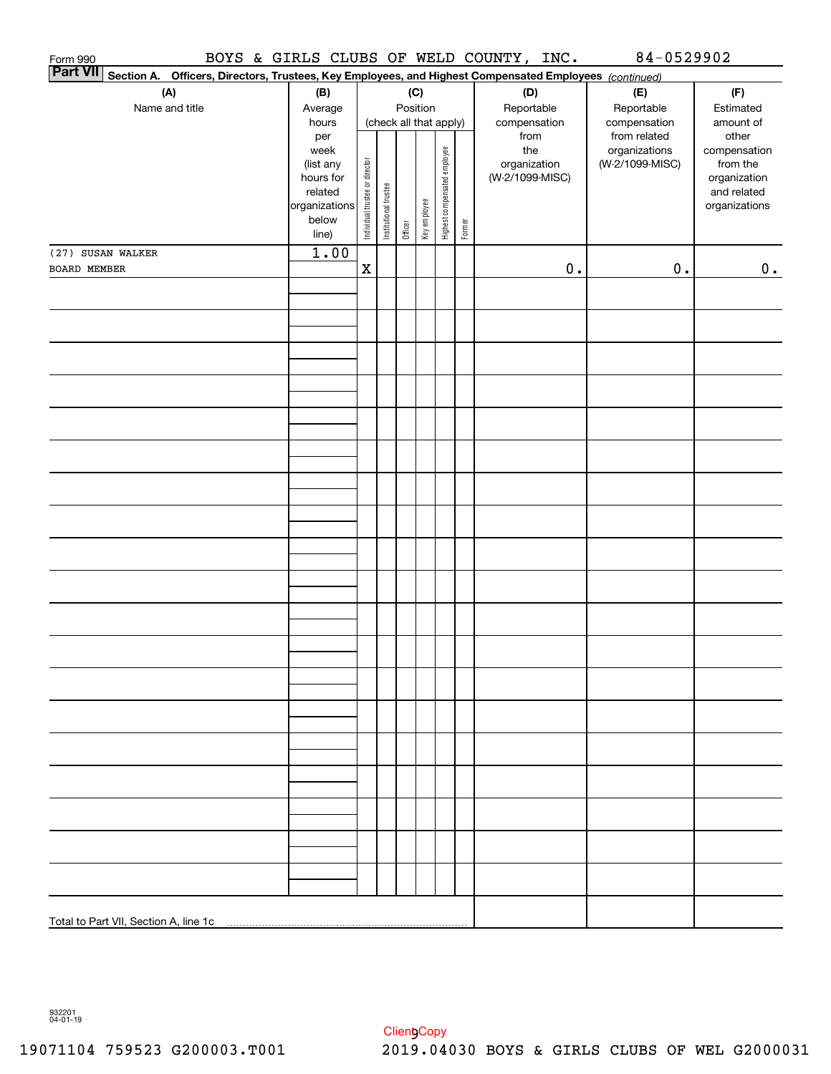| Form 990     |                                                                                                                 |                        |                                |                       |         |                        |                              |        | BOYS & GIRLS CLUBS OF WELD COUNTY, INC. |               | 84-0529902                       |                          |
|--------------|-----------------------------------------------------------------------------------------------------------------|------------------------|--------------------------------|-----------------------|---------|------------------------|------------------------------|--------|-----------------------------------------|---------------|----------------------------------|--------------------------|
|              | Part VII Section A. Officers, Directors, Trustees, Key Employees, and Highest Compensated Employees (continued) |                        |                                |                       |         |                        |                              |        |                                         |               |                                  |                          |
|              | (A)                                                                                                             | (B)                    |                                |                       |         | (C)                    |                              |        | (D)                                     |               | (E)                              | (F)                      |
|              | Name and title                                                                                                  | Average                |                                |                       |         | Position               |                              |        | Reportable                              |               | Reportable                       | Estimated                |
|              |                                                                                                                 | hours                  |                                |                       |         | (check all that apply) |                              |        | compensation                            |               | compensation                     | amount of                |
|              |                                                                                                                 | per                    |                                |                       |         |                        |                              |        | from                                    |               | from related                     | other                    |
|              |                                                                                                                 | week                   |                                |                       |         |                        |                              |        | the<br>organization                     |               | organizations<br>(W-2/1099-MISC) | compensation<br>from the |
|              |                                                                                                                 | (list any<br>hours for |                                |                       |         |                        |                              |        | (W-2/1099-MISC)                         |               |                                  | organization             |
|              |                                                                                                                 | related                |                                |                       |         |                        |                              |        |                                         |               |                                  | and related              |
|              |                                                                                                                 | organizations          | Individual trustee or director | Institutional trustee |         | Key employee           | Highest compensated employee |        |                                         |               |                                  | organizations            |
|              |                                                                                                                 | below                  |                                |                       |         |                        |                              | Former |                                         |               |                                  |                          |
|              |                                                                                                                 | line)                  |                                |                       | Officer |                        |                              |        |                                         |               |                                  |                          |
|              | (27) SUSAN WALKER                                                                                               | 1.00                   |                                |                       |         |                        |                              |        |                                         |               |                                  |                          |
| BOARD MEMBER |                                                                                                                 |                        | $\mathbf x$                    |                       |         |                        |                              |        |                                         | $\mathbf 0$ . | $0$ .                            | 0.                       |
|              |                                                                                                                 |                        |                                |                       |         |                        |                              |        |                                         |               |                                  |                          |
|              |                                                                                                                 |                        |                                |                       |         |                        |                              |        |                                         |               |                                  |                          |
|              |                                                                                                                 |                        |                                |                       |         |                        |                              |        |                                         |               |                                  |                          |
|              |                                                                                                                 |                        |                                |                       |         |                        |                              |        |                                         |               |                                  |                          |
|              |                                                                                                                 |                        |                                |                       |         |                        |                              |        |                                         |               |                                  |                          |
|              |                                                                                                                 |                        |                                |                       |         |                        |                              |        |                                         |               |                                  |                          |
|              |                                                                                                                 |                        |                                |                       |         |                        |                              |        |                                         |               |                                  |                          |
|              |                                                                                                                 |                        |                                |                       |         |                        |                              |        |                                         |               |                                  |                          |
|              |                                                                                                                 |                        |                                |                       |         |                        |                              |        |                                         |               |                                  |                          |
|              |                                                                                                                 |                        |                                |                       |         |                        |                              |        |                                         |               |                                  |                          |
|              |                                                                                                                 |                        |                                |                       |         |                        |                              |        |                                         |               |                                  |                          |
|              |                                                                                                                 |                        |                                |                       |         |                        |                              |        |                                         |               |                                  |                          |
|              |                                                                                                                 |                        |                                |                       |         |                        |                              |        |                                         |               |                                  |                          |
|              |                                                                                                                 |                        |                                |                       |         |                        |                              |        |                                         |               |                                  |                          |
|              |                                                                                                                 |                        |                                |                       |         |                        |                              |        |                                         |               |                                  |                          |
|              |                                                                                                                 |                        |                                |                       |         |                        |                              |        |                                         |               |                                  |                          |
|              |                                                                                                                 |                        |                                |                       |         |                        |                              |        |                                         |               |                                  |                          |
|              |                                                                                                                 |                        |                                |                       |         |                        |                              |        |                                         |               |                                  |                          |
|              |                                                                                                                 |                        |                                |                       |         |                        |                              |        |                                         |               |                                  |                          |
|              |                                                                                                                 |                        |                                |                       |         |                        |                              |        |                                         |               |                                  |                          |
|              |                                                                                                                 |                        |                                |                       |         |                        |                              |        |                                         |               |                                  |                          |
|              |                                                                                                                 |                        |                                |                       |         |                        |                              |        |                                         |               |                                  |                          |
|              |                                                                                                                 |                        |                                |                       |         |                        |                              |        |                                         |               |                                  |                          |
|              |                                                                                                                 |                        |                                |                       |         |                        |                              |        |                                         |               |                                  |                          |
|              |                                                                                                                 |                        |                                |                       |         |                        |                              |        |                                         |               |                                  |                          |
|              |                                                                                                                 |                        |                                |                       |         |                        |                              |        |                                         |               |                                  |                          |
|              |                                                                                                                 |                        |                                |                       |         |                        |                              |        |                                         |               |                                  |                          |
|              |                                                                                                                 |                        |                                |                       |         |                        |                              |        |                                         |               |                                  |                          |
|              |                                                                                                                 |                        |                                |                       |         |                        |                              |        |                                         |               |                                  |                          |
|              |                                                                                                                 |                        |                                |                       |         |                        |                              |        |                                         |               |                                  |                          |
|              |                                                                                                                 |                        |                                |                       |         |                        |                              |        |                                         |               |                                  |                          |
|              |                                                                                                                 |                        |                                |                       |         |                        |                              |        |                                         |               |                                  |                          |
|              |                                                                                                                 |                        |                                |                       |         |                        |                              |        |                                         |               |                                  |                          |
|              |                                                                                                                 |                        |                                |                       |         |                        |                              |        |                                         |               |                                  |                          |
|              |                                                                                                                 |                        |                                |                       |         |                        |                              |        |                                         |               |                                  |                          |
|              |                                                                                                                 |                        |                                |                       |         |                        |                              |        |                                         |               |                                  |                          |
|              |                                                                                                                 |                        |                                |                       |         |                        |                              |        |                                         |               |                                  |                          |
|              |                                                                                                                 |                        |                                |                       |         |                        |                              |        |                                         |               |                                  |                          |

932201 04-01-19

Client<sub>y</sub>Copy 19071104 759523 G200003.T001 2019.04030 BOYS & GIRLS CLUBS OF WEL G2000031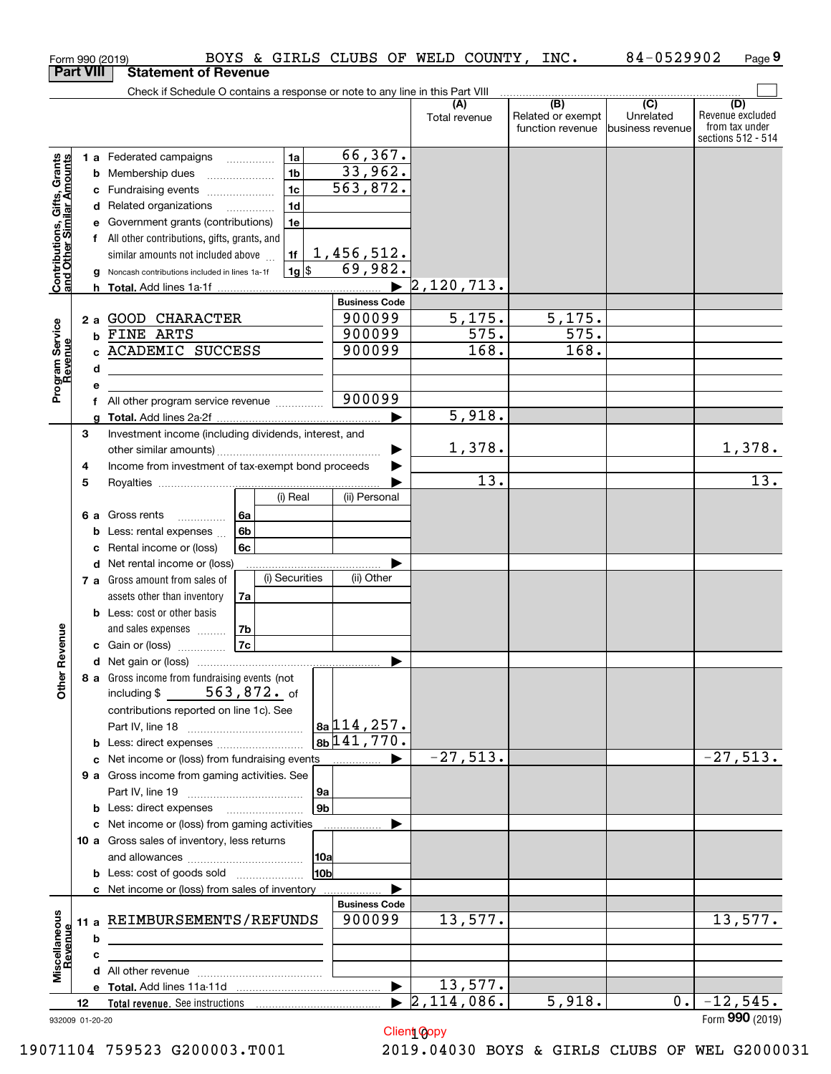|                                                           |                  |   | BOYS & GIRLS CLUBS OF WELD COUNTY,<br>Form 990 (2019)                         |                           |                      | INC.                                         | 84-0529902                                        | Page 9                                                          |
|-----------------------------------------------------------|------------------|---|-------------------------------------------------------------------------------|---------------------------|----------------------|----------------------------------------------|---------------------------------------------------|-----------------------------------------------------------------|
|                                                           | <b>Part VIII</b> |   | <b>Statement of Revenue</b>                                                   |                           |                      |                                              |                                                   |                                                                 |
|                                                           |                  |   | Check if Schedule O contains a response or note to any line in this Part VIII |                           |                      |                                              |                                                   |                                                                 |
|                                                           |                  |   |                                                                               |                           | (A)<br>Total revenue | (B)<br>Related or exempt<br>function revenue | $\overline{(C)}$<br>Unrelated<br>business revenue | (D)<br>Revenue excluded<br>from tax under<br>sections 512 - 514 |
|                                                           |                  |   | 1a<br>1 a Federated campaigns                                                 | 66, 367.                  |                      |                                              |                                                   |                                                                 |
| Contributions, Gifts, Grants<br>and Other Similar Amounts |                  |   | 1 <sub>b</sub><br><b>b</b> Membership dues                                    | 33,962.                   |                      |                                              |                                                   |                                                                 |
|                                                           |                  |   | 1 <sub>c</sub>                                                                | 563,872.                  |                      |                                              |                                                   |                                                                 |
|                                                           |                  |   | c Fundraising events<br>1 <sub>d</sub>                                        |                           |                      |                                              |                                                   |                                                                 |
|                                                           |                  |   | d Related organizations                                                       |                           |                      |                                              |                                                   |                                                                 |
|                                                           |                  |   | e Government grants (contributions)<br>1e                                     |                           |                      |                                              |                                                   |                                                                 |
|                                                           |                  |   | f All other contributions, gifts, grants, and                                 |                           |                      |                                              |                                                   |                                                                 |
|                                                           |                  |   | similar amounts not included above<br>1f                                      | 1,456,512.                |                      |                                              |                                                   |                                                                 |
|                                                           |                  |   | $1g$ \$<br>Noncash contributions included in lines 1a-1f                      | 69,982.                   |                      |                                              |                                                   |                                                                 |
|                                                           |                  |   |                                                                               |                           | 2,120,713.           |                                              |                                                   |                                                                 |
|                                                           |                  |   |                                                                               | <b>Business Code</b>      |                      |                                              |                                                   |                                                                 |
|                                                           |                  |   | 2 a GOOD CHARACTER                                                            | 900099                    | 5,175.               | 5,175.                                       |                                                   |                                                                 |
|                                                           |                  |   | b FINE ARTS                                                                   | 900099                    | 575.                 | 575.                                         |                                                   |                                                                 |
|                                                           |                  |   | c ACADEMIC SUCCESS                                                            | 900099                    | 168.                 | 168.                                         |                                                   |                                                                 |
|                                                           |                  | d | <u> 1980 - Jan Barnett, fransk politiker (d. 1980)</u>                        |                           |                      |                                              |                                                   |                                                                 |
| Program Service<br>Revenue                                |                  | е |                                                                               |                           |                      |                                              |                                                   |                                                                 |
|                                                           |                  |   | f All other program service revenue                                           | 900099                    |                      |                                              |                                                   |                                                                 |
|                                                           |                  | a |                                                                               |                           | 5,918.               |                                              |                                                   |                                                                 |
|                                                           | З                |   | Investment income (including dividends, interest, and                         |                           |                      |                                              |                                                   |                                                                 |
|                                                           |                  |   |                                                                               |                           | 1,378.               |                                              |                                                   | 1,378.                                                          |
|                                                           | 4                |   | Income from investment of tax-exempt bond proceeds                            |                           |                      |                                              |                                                   |                                                                 |
|                                                           | 5                |   |                                                                               |                           | 13.                  |                                              |                                                   | 13.                                                             |
|                                                           |                  |   | (i) Real                                                                      | (ii) Personal             |                      |                                              |                                                   |                                                                 |
|                                                           |                  |   | 6 a Gross rents<br>l 6a<br>$\overline{a}$                                     |                           |                      |                                              |                                                   |                                                                 |
|                                                           |                  |   | 6b<br><b>b</b> Less: rental expenses $\ldots$                                 |                           |                      |                                              |                                                   |                                                                 |
|                                                           |                  |   | c Rental income or (loss)<br>6с                                               |                           |                      |                                              |                                                   |                                                                 |
|                                                           |                  |   | <b>d</b> Net rental income or (loss)                                          |                           |                      |                                              |                                                   |                                                                 |
|                                                           |                  |   | (i) Securities<br>7 a Gross amount from sales of                              | (ii) Other                |                      |                                              |                                                   |                                                                 |
|                                                           |                  |   | assets other than inventory<br>7a                                             |                           |                      |                                              |                                                   |                                                                 |
|                                                           |                  |   | <b>b</b> Less: cost or other basis                                            |                           |                      |                                              |                                                   |                                                                 |
|                                                           |                  |   | 7b<br>and sales expenses                                                      |                           |                      |                                              |                                                   |                                                                 |
| evenue                                                    |                  |   | 7c<br>c Gain or (loss)                                                        |                           |                      |                                              |                                                   |                                                                 |
|                                                           |                  |   |                                                                               |                           |                      |                                              |                                                   |                                                                 |
| Other R                                                   |                  |   | 8 a Gross income from fundraising events (not                                 |                           |                      |                                              |                                                   |                                                                 |
|                                                           |                  |   | including \$ $563,872.$ of                                                    |                           |                      |                                              |                                                   |                                                                 |
|                                                           |                  |   | contributions reported on line 1c). See                                       |                           |                      |                                              |                                                   |                                                                 |
|                                                           |                  |   |                                                                               | 8a 114, 257.              |                      |                                              |                                                   |                                                                 |
|                                                           |                  |   |                                                                               | $8b \overline{141,770}$ . |                      |                                              |                                                   |                                                                 |
|                                                           |                  |   | c Net income or (loss) from fundraising events                                | ▶                         | $-27,513.$           |                                              |                                                   | $-27,513.$                                                      |
|                                                           |                  |   | 9 a Gross income from gaming activities. See                                  |                           |                      |                                              |                                                   |                                                                 |
|                                                           |                  |   | 9a                                                                            |                           |                      |                                              |                                                   |                                                                 |
|                                                           |                  |   | 9 <sub>b</sub><br><b>b</b> Less: direct expenses <b>manually</b>              |                           |                      |                                              |                                                   |                                                                 |
|                                                           |                  |   | c Net income or (loss) from gaming activities                                 |                           |                      |                                              |                                                   |                                                                 |
|                                                           |                  |   | 10 a Gross sales of inventory, less returns                                   |                           |                      |                                              |                                                   |                                                                 |
|                                                           |                  |   | 10a                                                                           |                           |                      |                                              |                                                   |                                                                 |
|                                                           |                  |   | 10 <sub>b</sub>                                                               |                           |                      |                                              |                                                   |                                                                 |
|                                                           |                  |   | c Net income or (loss) from sales of inventory                                |                           |                      |                                              |                                                   |                                                                 |
|                                                           |                  |   |                                                                               | <b>Business Code</b>      |                      |                                              |                                                   |                                                                 |
|                                                           |                  |   | 11 a REIMBURSEMENTS/REFUNDS                                                   | 900099                    | 13,577.              |                                              |                                                   | 13,577.                                                         |
|                                                           |                  | b |                                                                               |                           |                      |                                              |                                                   |                                                                 |
| Miscellaneous<br>Revenue                                  |                  | c |                                                                               |                           |                      |                                              |                                                   |                                                                 |
|                                                           |                  |   |                                                                               |                           |                      |                                              |                                                   |                                                                 |
|                                                           |                  |   |                                                                               | $\blacktriangleright$     | 13,577.              |                                              |                                                   |                                                                 |
|                                                           | 12               |   |                                                                               | $\blacktriangleright$     | $\sqrt{2,114,086}$ . | 5,918.                                       | 0.1                                               | $-12,545.$                                                      |
|                                                           | 932009 01-20-20  |   |                                                                               |                           |                      |                                              |                                                   | Form 990 (2019)                                                 |
|                                                           |                  |   |                                                                               |                           | Client Copy          |                                              |                                                   |                                                                 |

Client Copy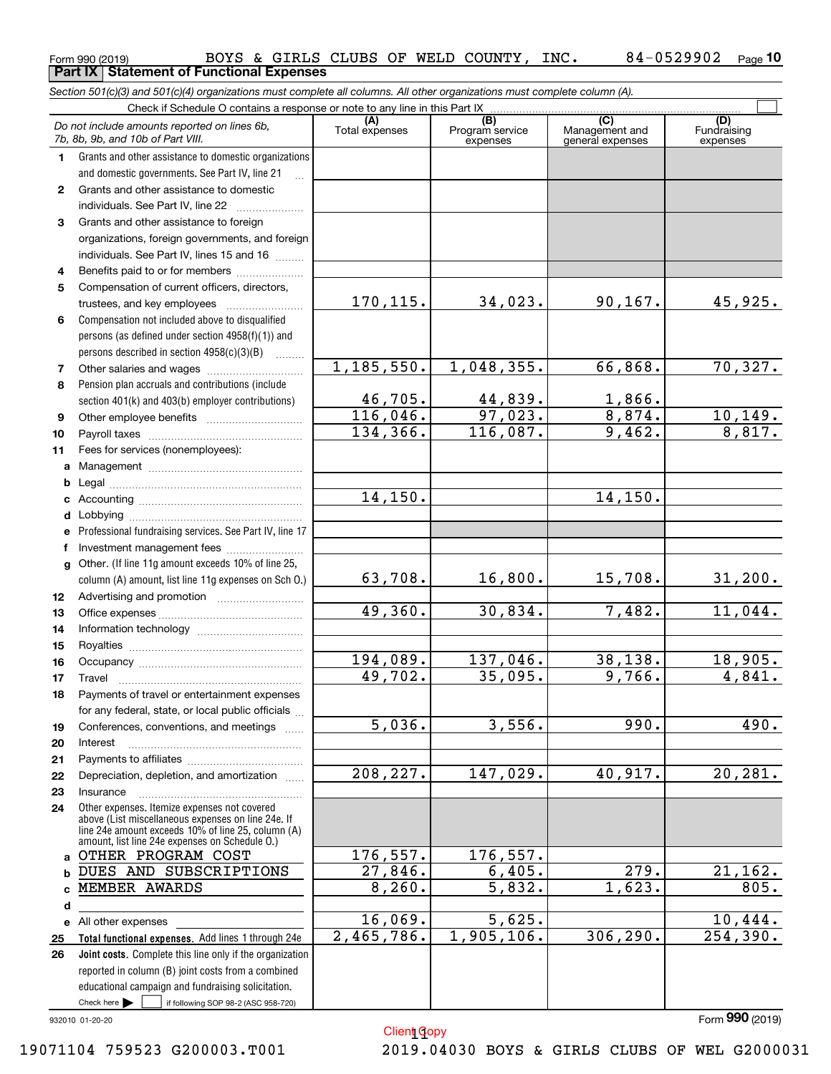|              | Section 501(c)(3) and 501(c)(4) organizations must complete all columns. All other organizations must complete column (A). |                       |                                    |                                                      |                                |
|--------------|----------------------------------------------------------------------------------------------------------------------------|-----------------------|------------------------------------|------------------------------------------------------|--------------------------------|
|              | Check if Schedule O contains a response or note to any line in this Part IX.                                               |                       |                                    |                                                      |                                |
|              | Do not include amounts reported on lines 6b,<br>7b, 8b, 9b, and 10b of Part VIII.                                          | (A)<br>Total expenses | (B)<br>Program service<br>expenses | $\overline{C}$<br>Management and<br>general expenses | (D)<br>Fundraising<br>expenses |
| 1.           | Grants and other assistance to domestic organizations                                                                      |                       |                                    |                                                      |                                |
|              | and domestic governments. See Part IV, line 21                                                                             |                       |                                    |                                                      |                                |
| $\mathbf{2}$ | Grants and other assistance to domestic                                                                                    |                       |                                    |                                                      |                                |
|              | individuals. See Part IV, line 22                                                                                          |                       |                                    |                                                      |                                |
| 3            | Grants and other assistance to foreign                                                                                     |                       |                                    |                                                      |                                |
|              | organizations, foreign governments, and foreign                                                                            |                       |                                    |                                                      |                                |
|              | individuals. See Part IV, lines 15 and 16                                                                                  |                       |                                    |                                                      |                                |
| 4            | Benefits paid to or for members                                                                                            |                       |                                    |                                                      |                                |
| 5            | Compensation of current officers, directors,                                                                               |                       |                                    |                                                      |                                |
|              |                                                                                                                            | 170,115.              | 34,023.                            | 90, 167.                                             | 45,925.                        |
| 6            | Compensation not included above to disqualified                                                                            |                       |                                    |                                                      |                                |
|              | persons (as defined under section 4958(f)(1)) and                                                                          |                       |                                    |                                                      |                                |
|              | persons described in section $4958(c)(3)(B)$                                                                               | 1, 185, 550.          | 1,048,355.                         | 66,868.                                              | 70, 327.                       |
| 7            | Other salaries and wages                                                                                                   |                       |                                    |                                                      |                                |
| 8            | Pension plan accruals and contributions (include                                                                           | 46,705.               | 44,839.                            | 1,866.                                               |                                |
| 9            | section 401(k) and 403(b) employer contributions)                                                                          | 116,046.              | 97,023.                            | 8,874.                                               | 10, 149.                       |
| 10           |                                                                                                                            | 134, 366.             | 116,087.                           | 9,462.                                               | 8,817.                         |
| 11           | Fees for services (nonemployees):                                                                                          |                       |                                    |                                                      |                                |
| a            |                                                                                                                            |                       |                                    |                                                      |                                |
| b            |                                                                                                                            |                       |                                    |                                                      |                                |
| c            |                                                                                                                            | 14, 150.              |                                    | 14,150.                                              |                                |
| d            |                                                                                                                            |                       |                                    |                                                      |                                |
| е            | Professional fundraising services. See Part IV, line 17                                                                    |                       |                                    |                                                      |                                |
| f            | Investment management fees                                                                                                 |                       |                                    |                                                      |                                |
| g            | Other. (If line 11g amount exceeds 10% of line 25,                                                                         |                       |                                    |                                                      |                                |
|              | column (A) amount, list line 11g expenses on Sch 0.)                                                                       | 63,708.               | 16,800.                            | 15,708.                                              | 31,200.                        |
| 12           |                                                                                                                            |                       |                                    |                                                      |                                |
| 13           |                                                                                                                            | 49,360.               | 30,834.                            | 7,482.                                               | 11,044.                        |
| 14           |                                                                                                                            |                       |                                    |                                                      |                                |
| 15           |                                                                                                                            |                       |                                    |                                                      |                                |
| 16           |                                                                                                                            | 194,089.              | 137,046.                           | 38,138.                                              | 18,905.                        |
| 17           |                                                                                                                            | 49,702.               | 35,095.                            | 9,766.                                               | 4,841.                         |
| 18           | Payments of travel or entertainment expenses                                                                               |                       |                                    |                                                      |                                |
|              | for any federal, state, or local public officials                                                                          |                       |                                    |                                                      |                                |
| 19           | Conferences, conventions, and meetings                                                                                     | $\overline{5,036}$ .  | 3,556.                             | 990.                                                 | 490.                           |
| 20           | Interest                                                                                                                   |                       |                                    |                                                      |                                |
| 21           |                                                                                                                            | 208, 227.             | 147,029.                           | 40,917.                                              | $\overline{20,281}$ .          |
| 22           | Depreciation, depletion, and amortization                                                                                  |                       |                                    |                                                      |                                |
| 23<br>24     | Insurance<br>Other expenses. Itemize expenses not covered                                                                  |                       |                                    |                                                      |                                |
|              | above (List miscellaneous expenses on line 24e. If                                                                         |                       |                                    |                                                      |                                |
|              | line 24e amount exceeds 10% of line 25, column (A)<br>amount, list line 24e expenses on Schedule O.)                       |                       |                                    |                                                      |                                |
|              | a OTHER PROGRAM COST                                                                                                       | 176,557.              | 176,557.                           |                                                      |                                |
| b            | DUES AND SUBSCRIPTIONS                                                                                                     | 27,846.               | 6,405.                             | $\overline{279}$ .                                   | 21, 162.                       |
| c            | MEMBER AWARDS                                                                                                              | 8, 260.               | 5,832.                             | 1,623.                                               | 805.                           |
| d            |                                                                                                                            |                       |                                    |                                                      |                                |
| е            | All other expenses                                                                                                         | 16,069.               | 5,625.                             |                                                      | 10,444.                        |
| 25           | Total functional expenses. Add lines 1 through 24e                                                                         | 2,465,786.            | 1,905,106.                         | 306, 290.                                            | 254, 390.                      |
| 26           | Joint costs. Complete this line only if the organization                                                                   |                       |                                    |                                                      |                                |
|              | reported in column (B) joint costs from a combined                                                                         |                       |                                    |                                                      |                                |
|              | educational campaign and fundraising solicitation.                                                                         |                       |                                    |                                                      |                                |
|              | Check here $\blacktriangleright$<br>if following SOP 98-2 (ASC 958-720)                                                    |                       |                                    |                                                      |                                |

Client Gopy

932010 01-20-20

Form (2019) **990**

19071104 759523 G200003.T001 2019.04030 BOYS & GIRLS CLUBS OF WEL G2000031

### Form 990 (2019) BOYS & GIRLS CLUBS OF WELD COUNTY, INC**.** 8 4-0 5 2990 2 <sub>Page</sub><br><mark>Part IX | Statement of Functional Expenses</mark> **10**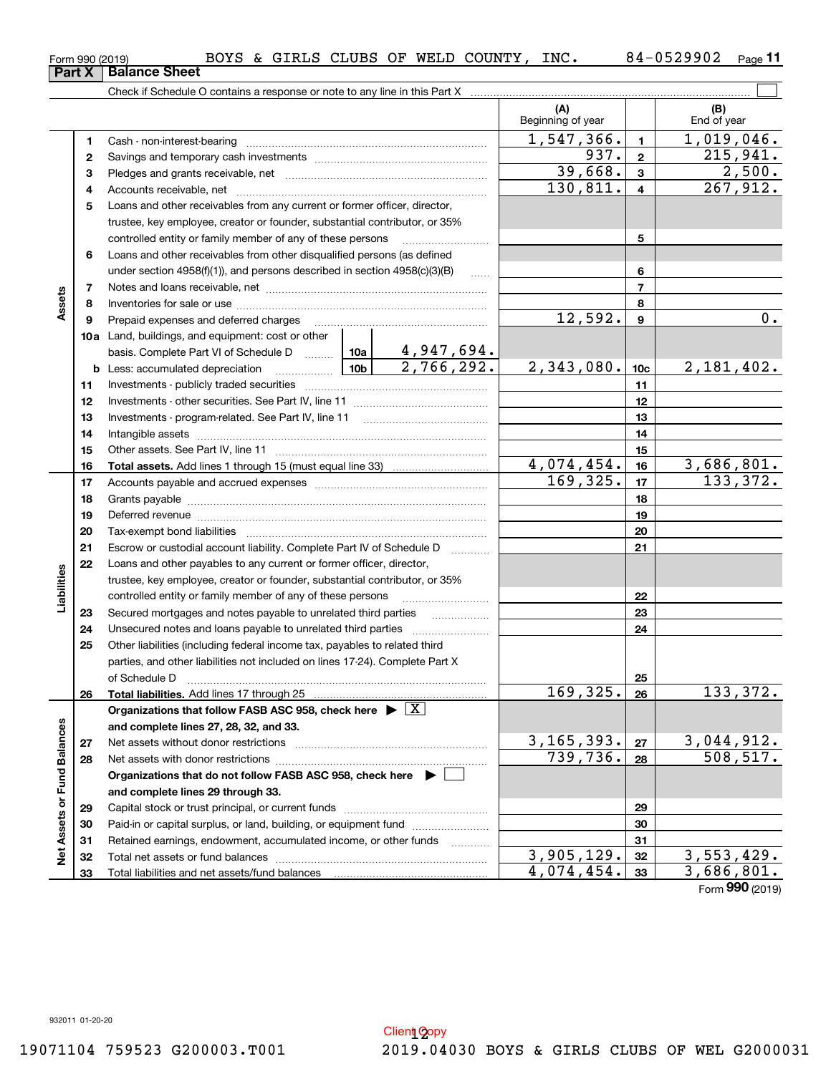**Net Assets or Fund Balances**

Net Assets or Fund Balances

**and complete lines 29 through 33.**

Total liabilities and net assets/fund balances

Capital stock or trust principal, or current funds ~~~~~~~~~~~~~~~ Paid-in or capital surplus, or land, building, or equipment fund www.commun.com Retained earnings, endowment, accumulated income, or other funds we have all the Total net assets or fund balances ~~~~~~~~~~~~~~~~~~~~~~

**678910a1112131415161718192021222324252627285678910c11121314151617181920212223242526b10a10bTotal assets. Total liabilities. Organizations that follow FASB ASC 958, check here and complete lines 27, 28, 32, and 33. 2728Organizations that do not follow FASB ASC 958, check here** | controlled entity or family member of any of these persons ……………………<br>Loans and other receivables from other disqualified persons (as defined under section 4958(f)(1)), and persons described in section 4958(c)(3)(B)  $\qquad \qquad \ldots \ldots$ Notes and loans receivable, net Inventories for sale or use Prepaid expenses and deferred charges Land, buildings, and equipment: cost or other basis. Complete Part VI of Schedule D Less: accumulated depreciation Investments - publicly traded securities Investments - other securities. See Part IV, line 11 Investments - program-related. See Part IV, line 11 Intangible assets 0ther assets. See Part IV, line 11<br>Total capata. Add lines 1 through 15 (must caugl line 23) Add lines 1 through 15 (must equal line 33) Accounts payable and accrued expenses Grants payable Deferred revenue Tax-exempt bond liabilities Escrow or custodial account liability. Complete Part IV of Schedule D Loans and other payables to any current or former officer, director, trustee, key employee, creator or founder, substantial contributor, or 35% controlled entity or family member of any of these persons \_\_\_\_\_\_\_\_\_\_\_\_\_\_\_\_\_\_\_\_ Secured mortgages and notes payable to unrelated third parties ~~~~~~~~~~~~~~~~<br>Unecoured notes and loops payable to unrelated third parties Unsecured notes and loans payable to unrelated third parties ~~~~~~~~~~~~~~~~~~~<br>Other ligbilities (including federal income tox, payables to related third Other liabilities (including federal income tax, payables to related third parties, and other liabilities not included on lines 17-24). Complete Part X of Schedule D ~~~~~~~~~~~~~~~~~~~~~~~~~~~~~~~ Add lines 17 through 25  $\blacktriangleright$ Net assets without donor restrictions Net assets with donor restrictions  $\boxed{\text{X}}$ 4,947,694. X

Form 990 (2019) BOYS & GIRLS CLUBS OF WELD COUNTY, INC.  $84\text{--}0529902$   $_\text{Page}$ **Part X** | Balance Sheet

**3** Pledges and grants receivable, net  $\ldots$  **multimes contained and grants receivable**, net **multimes contained and grants receivable**, net **multimes contained and grants receivable 4**Accounts receivable, net ~~~~~~~~~~~~~~~~~~~~~~~~~~ **5**Loans and other receivables from any current or former officer, director,

trustee, key employee, creator or founder, substantial contributor, or 35%

Cash - non-interest-bearing ~~~~~~~~~~~~~~~~~~~~~~~~~ Savings and temporary cash investments ~~~~~~~~~~~~~~~~~~

Check if Schedule O contains a response or note to any line in this Part X

**11**

 $\mathcal{L}^{\text{max}}$ 

937. 215,941.

**(A) (B)**

Beginning of year | | End of year

1,547,366. 1, 1,019,046.<br>937. 2, 215,941.

 $130,811. | 4 | 267,912.$  $39,668.$  3 2,500.

 $\frac{3,905,129. \mid 32 \mid}{4,074,454. \mid 33 \mid}$   $\frac{3,553,429. \mid}{3,686,801. \mid}$ 

Form (2019) **990**4,074,454. 3,686,801.

| Loans and other receivables from other disqualified persons (as defined                                    |                                                                           |                         |                 |                 |            |  |  |  |
|------------------------------------------------------------------------------------------------------------|---------------------------------------------------------------------------|-------------------------|-----------------|-----------------|------------|--|--|--|
|                                                                                                            | under section 4958(f)(1)), and persons described in section 4958(c)(3)(B) |                         |                 |                 |            |  |  |  |
|                                                                                                            |                                                                           |                         |                 | 7               |            |  |  |  |
|                                                                                                            |                                                                           |                         |                 | 8               |            |  |  |  |
| Prepaid expenses and deferred charges                                                                      |                                                                           |                         | 12,592.         | 9               | $0$ .      |  |  |  |
| Land, buildings, and equipment: cost or other                                                              |                                                                           |                         |                 |                 |            |  |  |  |
|                                                                                                            |                                                                           |                         |                 |                 |            |  |  |  |
| Less: accumulated depreciation                                                                             | 10 <sub>b</sub>                                                           | $\overline{2,766,292.}$ | 2,343,080.      | 10 <sub>c</sub> | 2,181,402. |  |  |  |
|                                                                                                            |                                                                           |                         |                 | 11              |            |  |  |  |
|                                                                                                            |                                                                           |                         | 12 <sup>2</sup> |                 |            |  |  |  |
|                                                                                                            |                                                                           |                         | 13              |                 |            |  |  |  |
|                                                                                                            |                                                                           |                         |                 | 14              |            |  |  |  |
|                                                                                                            |                                                                           |                         | 15              |                 |            |  |  |  |
|                                                                                                            |                                                                           |                         | 4,074,454.      | 16              | 3,686,801. |  |  |  |
|                                                                                                            |                                                                           |                         | 169,325.        | 17              | 133,372.   |  |  |  |
|                                                                                                            |                                                                           |                         |                 | 18              |            |  |  |  |
|                                                                                                            |                                                                           |                         |                 | 19              |            |  |  |  |
|                                                                                                            |                                                                           |                         |                 | 20              |            |  |  |  |
| Escrow or custodial account liability. Complete Part IV of Schedule D                                      |                                                                           |                         |                 | 21              |            |  |  |  |
| Loans and other payables to any current or former officer, director,                                       |                                                                           |                         |                 |                 |            |  |  |  |
| trustee, key employee, creator or founder, substantial contributor, or 35%                                 |                                                                           |                         |                 |                 |            |  |  |  |
| controlled entity or family member of any of these persons                                                 |                                                                           |                         |                 | 22              |            |  |  |  |
| Secured mortgages and notes payable to unrelated third parties                                             |                                                                           |                         |                 | 23              |            |  |  |  |
| Unsecured notes and loans payable to unrelated third parties                                               |                                                                           |                         |                 | 24              |            |  |  |  |
| Other liabilities (including federal income tax, payables to related third                                 |                                                                           |                         |                 |                 |            |  |  |  |
| parties, and other liabilities not included on lines 17-24). Complete Part X                               |                                                                           |                         |                 |                 |            |  |  |  |
| of Schedule D                                                                                              |                                                                           |                         |                 | 25              |            |  |  |  |
|                                                                                                            |                                                                           |                         | 169,325.        | 26              | 133,372.   |  |  |  |
| Organizations that follow FASB ASC 958, check here $\blacktriangleright \lfloor \text{\texttt{X}} \rfloor$ |                                                                           |                         |                 |                 |            |  |  |  |
| and complete lines 27, 28, 32, and 33.                                                                     |                                                                           | 3, 165, 393.            |                 | 3,044,912.      |            |  |  |  |
| Net assets without donor restrictions                                                                      |                                                                           |                         |                 |                 |            |  |  |  |
|                                                                                                            |                                                                           |                         | 739,736.        | 28              | 508, 517.  |  |  |  |

**12**

**Assets**

**Liabilities**

Liabilities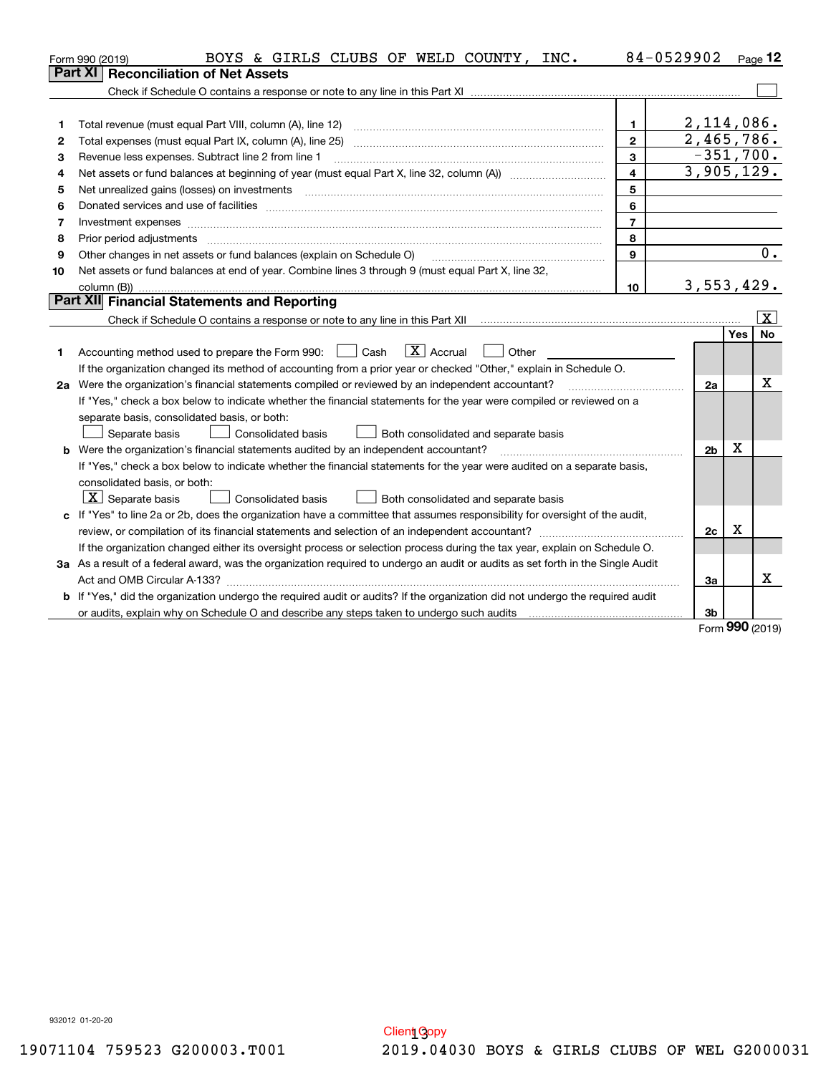|    | BOYS & GIRLS CLUBS OF WELD COUNTY, INC.<br>Form 990 (2019)                                                                                                                                                                     |                | 84-0529902     |     | Page 12                 |
|----|--------------------------------------------------------------------------------------------------------------------------------------------------------------------------------------------------------------------------------|----------------|----------------|-----|-------------------------|
|    | <b>Reconciliation of Net Assets</b><br><b>Part XI</b>                                                                                                                                                                          |                |                |     |                         |
|    |                                                                                                                                                                                                                                |                |                |     |                         |
|    |                                                                                                                                                                                                                                |                |                |     |                         |
| 1  | Total revenue (must equal Part VIII, column (A), line 12)                                                                                                                                                                      | $\mathbf{1}$   | $2,114,086$ .  |     |                         |
| 2  |                                                                                                                                                                                                                                | $\overline{2}$ | 2,465,786.     |     |                         |
| 3  | Revenue less expenses. Subtract line 2 from line 1                                                                                                                                                                             | $\mathbf{3}$   | $-351,700.$    |     |                         |
| 4  |                                                                                                                                                                                                                                | $\overline{4}$ | 3,905,129.     |     |                         |
| 5  |                                                                                                                                                                                                                                | 5              |                |     |                         |
| 6  | Donated services and use of facilities [111] Donated and the service of facilities [11] Donated services and use of facilities [11] Donated and the service of the service of the service of the service of the service of the | 6              |                |     |                         |
| 7  | Investment expenses www.communication.com/www.communication.com/www.communication.com/www.com                                                                                                                                  | $\overline{7}$ |                |     |                         |
| 8  | Prior period adjustments                                                                                                                                                                                                       | 8              |                |     |                         |
| 9  | Other changes in net assets or fund balances (explain on Schedule O)                                                                                                                                                           | 9              |                |     | 0.                      |
| 10 | Net assets or fund balances at end of year. Combine lines 3 through 9 (must equal Part X, line 32,                                                                                                                             |                |                |     |                         |
|    |                                                                                                                                                                                                                                | 10             | 3,553,429.     |     |                         |
|    | Part XII Financial Statements and Reporting                                                                                                                                                                                    |                |                |     |                         |
|    |                                                                                                                                                                                                                                |                |                |     | $\overline{\mathbf{x}}$ |
|    |                                                                                                                                                                                                                                |                |                | Yes | <b>No</b>               |
| 1  | $\boxed{\mathbf{X}}$ Accrual<br>Accounting method used to prepare the Form 990: <u>June</u> Cash<br>Other                                                                                                                      |                |                |     |                         |
|    | If the organization changed its method of accounting from a prior year or checked "Other," explain in Schedule O.                                                                                                              |                |                |     |                         |
|    | 2a Were the organization's financial statements compiled or reviewed by an independent accountant?                                                                                                                             |                | 2a             |     | x                       |
|    | If "Yes," check a box below to indicate whether the financial statements for the year were compiled or reviewed on a                                                                                                           |                |                |     |                         |
|    | separate basis, consolidated basis, or both:                                                                                                                                                                                   |                |                |     |                         |
|    | Separate basis<br><b>Consolidated basis</b><br>Both consolidated and separate basis                                                                                                                                            |                |                |     |                         |
|    | <b>b</b> Were the organization's financial statements audited by an independent accountant?                                                                                                                                    |                | 2 <sub>b</sub> | Х   |                         |
|    | If "Yes," check a box below to indicate whether the financial statements for the year were audited on a separate basis,                                                                                                        |                |                |     |                         |
|    | consolidated basis, or both:                                                                                                                                                                                                   |                |                |     |                         |
|    | $ \mathbf{X} $ Separate basis<br><b>Consolidated basis</b><br>Both consolidated and separate basis                                                                                                                             |                |                |     |                         |
|    | c If "Yes" to line 2a or 2b, does the organization have a committee that assumes responsibility for oversight of the audit,                                                                                                    |                |                |     |                         |
|    |                                                                                                                                                                                                                                |                | 2c             | x   |                         |
|    | If the organization changed either its oversight process or selection process during the tax year, explain on Schedule O.                                                                                                      |                |                |     |                         |
|    | 3a As a result of a federal award, was the organization required to undergo an audit or audits as set forth in the Single Audit                                                                                                |                |                |     |                         |
|    |                                                                                                                                                                                                                                |                | 3a             |     | x                       |
|    | b If "Yes," did the organization undergo the required audit or audits? If the organization did not undergo the required audit                                                                                                  |                |                |     |                         |
|    |                                                                                                                                                                                                                                |                | 3b             |     |                         |

Form (2019) **990**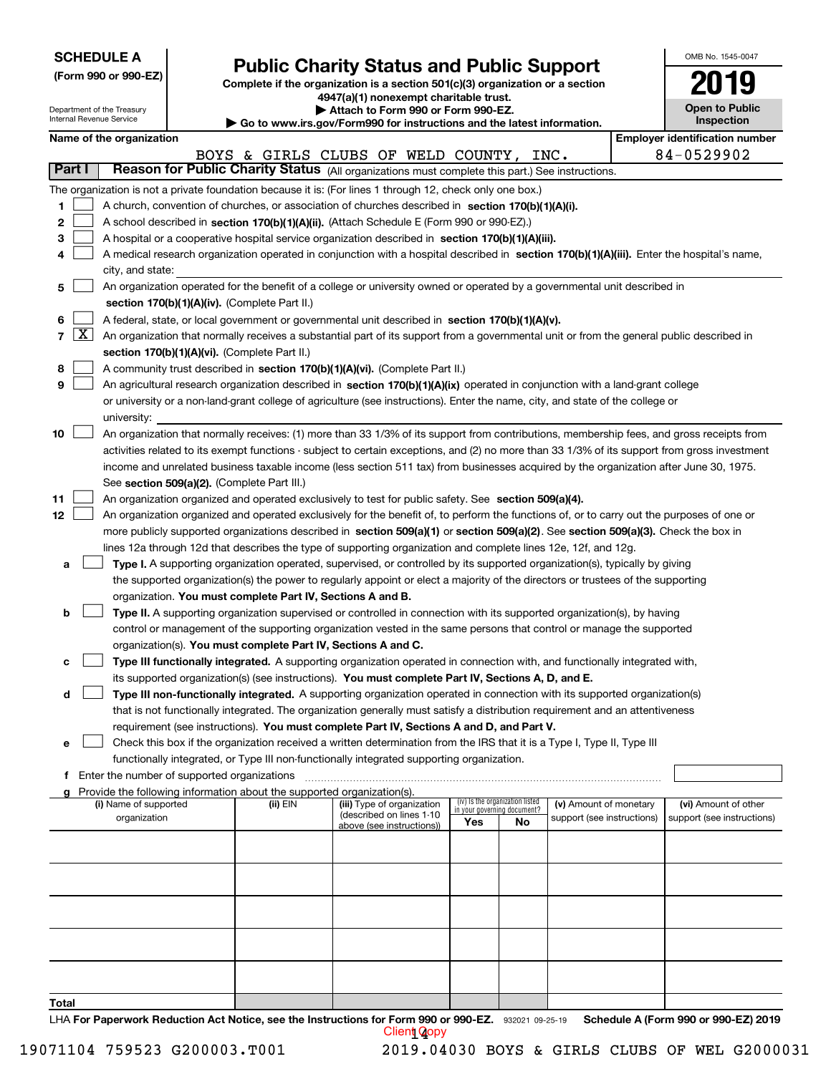| <b>SCHEDULE A</b> |  |
|-------------------|--|
|-------------------|--|

Department of the Treasury

|  |  |  | (Form 990 or 990-EZ) |  |
|--|--|--|----------------------|--|
|--|--|--|----------------------|--|

# **Public Charity Status and Public Support**

**Complete if the organization is a section 501(c)(3) organization or a section 4947(a)(1) nonexempt charitable trust. | Attach to Form 990 or Form 990-EZ.** 

| OMB No. 1545-0047     |
|-----------------------|
| 2019                  |
| <b>Open to Public</b> |

٦

| Internal Revenue Service |                     |                                       |                                             |                                                                        | Go to www.irs.gov/Form990 for instructions and the latest information.                                                                        |     |                                 |                                                      |  | Inspection                                         |  |
|--------------------------|---------------------|---------------------------------------|---------------------------------------------|------------------------------------------------------------------------|-----------------------------------------------------------------------------------------------------------------------------------------------|-----|---------------------------------|------------------------------------------------------|--|----------------------------------------------------|--|
|                          |                     | Name of the organization              |                                             |                                                                        |                                                                                                                                               |     |                                 |                                                      |  | <b>Employer identification number</b>              |  |
|                          |                     |                                       |                                             |                                                                        | BOYS & GIRLS CLUBS OF WELD COUNTY,                                                                                                            |     |                                 | INC.                                                 |  | 84-0529902                                         |  |
| <b>Part I</b>            |                     |                                       |                                             |                                                                        | Reason for Public Charity Status (All organizations must complete this part.) See instructions.                                               |     |                                 |                                                      |  |                                                    |  |
|                          |                     |                                       |                                             |                                                                        | The organization is not a private foundation because it is: (For lines 1 through 12, check only one box.)                                     |     |                                 |                                                      |  |                                                    |  |
| 1                        |                     |                                       |                                             |                                                                        | A church, convention of churches, or association of churches described in section 170(b)(1)(A)(i).                                            |     |                                 |                                                      |  |                                                    |  |
| 2                        |                     |                                       |                                             |                                                                        | A school described in section 170(b)(1)(A)(ii). (Attach Schedule E (Form 990 or 990-EZ).)                                                     |     |                                 |                                                      |  |                                                    |  |
| 3                        |                     |                                       |                                             |                                                                        | A hospital or a cooperative hospital service organization described in section 170(b)(1)(A)(iii).                                             |     |                                 |                                                      |  |                                                    |  |
| 4                        |                     |                                       |                                             |                                                                        | A medical research organization operated in conjunction with a hospital described in section 170(b)(1)(A)(iii). Enter the hospital's name,    |     |                                 |                                                      |  |                                                    |  |
|                          |                     | city, and state:                      |                                             |                                                                        |                                                                                                                                               |     |                                 |                                                      |  |                                                    |  |
| 5                        |                     |                                       |                                             |                                                                        | An organization operated for the benefit of a college or university owned or operated by a governmental unit described in                     |     |                                 |                                                      |  |                                                    |  |
|                          |                     |                                       |                                             | section 170(b)(1)(A)(iv). (Complete Part II.)                          |                                                                                                                                               |     |                                 |                                                      |  |                                                    |  |
| 6                        |                     |                                       |                                             |                                                                        | A federal, state, or local government or governmental unit described in section 170(b)(1)(A)(v).                                              |     |                                 |                                                      |  |                                                    |  |
| 7                        | $\lfloor x \rfloor$ |                                       |                                             |                                                                        | An organization that normally receives a substantial part of its support from a governmental unit or from the general public described in     |     |                                 |                                                      |  |                                                    |  |
|                          |                     |                                       |                                             | section 170(b)(1)(A)(vi). (Complete Part II.)                          |                                                                                                                                               |     |                                 |                                                      |  |                                                    |  |
| 8                        |                     |                                       |                                             |                                                                        | A community trust described in section 170(b)(1)(A)(vi). (Complete Part II.)                                                                  |     |                                 |                                                      |  |                                                    |  |
| 9                        |                     |                                       |                                             |                                                                        | An agricultural research organization described in section 170(b)(1)(A)(ix) operated in conjunction with a land-grant college                 |     |                                 |                                                      |  |                                                    |  |
|                          |                     |                                       |                                             |                                                                        | or university or a non-land-grant college of agriculture (see instructions). Enter the name, city, and state of the college or                |     |                                 |                                                      |  |                                                    |  |
|                          |                     | university:                           |                                             |                                                                        |                                                                                                                                               |     |                                 |                                                      |  |                                                    |  |
| 10                       |                     |                                       |                                             |                                                                        | An organization that normally receives: (1) more than 33 1/3% of its support from contributions, membership fees, and gross receipts from     |     |                                 |                                                      |  |                                                    |  |
|                          |                     |                                       |                                             |                                                                        | activities related to its exempt functions - subject to certain exceptions, and (2) no more than 33 1/3% of its support from gross investment |     |                                 |                                                      |  |                                                    |  |
|                          |                     |                                       |                                             |                                                                        | income and unrelated business taxable income (less section 511 tax) from businesses acquired by the organization after June 30, 1975.         |     |                                 |                                                      |  |                                                    |  |
|                          |                     |                                       |                                             |                                                                        |                                                                                                                                               |     |                                 |                                                      |  |                                                    |  |
|                          |                     |                                       |                                             | See section 509(a)(2). (Complete Part III.)                            | An organization organized and operated exclusively to test for public safety. See section 509(a)(4).                                          |     |                                 |                                                      |  |                                                    |  |
| 11                       |                     |                                       |                                             |                                                                        |                                                                                                                                               |     |                                 |                                                      |  |                                                    |  |
| 12                       |                     |                                       |                                             |                                                                        | An organization organized and operated exclusively for the benefit of, to perform the functions of, or to carry out the purposes of one or    |     |                                 |                                                      |  |                                                    |  |
|                          |                     |                                       |                                             |                                                                        | more publicly supported organizations described in section 509(a)(1) or section 509(a)(2). See section 509(a)(3). Check the box in            |     |                                 |                                                      |  |                                                    |  |
|                          |                     |                                       |                                             |                                                                        | lines 12a through 12d that describes the type of supporting organization and complete lines 12e, 12f, and 12g.                                |     |                                 |                                                      |  |                                                    |  |
| а                        |                     |                                       |                                             |                                                                        | Type I. A supporting organization operated, supervised, or controlled by its supported organization(s), typically by giving                   |     |                                 |                                                      |  |                                                    |  |
|                          |                     |                                       |                                             |                                                                        | the supported organization(s) the power to regularly appoint or elect a majority of the directors or trustees of the supporting               |     |                                 |                                                      |  |                                                    |  |
|                          |                     |                                       |                                             | organization. You must complete Part IV, Sections A and B.             |                                                                                                                                               |     |                                 |                                                      |  |                                                    |  |
| b                        |                     |                                       |                                             |                                                                        | Type II. A supporting organization supervised or controlled in connection with its supported organization(s), by having                       |     |                                 |                                                      |  |                                                    |  |
|                          |                     |                                       |                                             |                                                                        | control or management of the supporting organization vested in the same persons that control or manage the supported                          |     |                                 |                                                      |  |                                                    |  |
|                          |                     |                                       |                                             | organization(s). You must complete Part IV, Sections A and C.          |                                                                                                                                               |     |                                 |                                                      |  |                                                    |  |
| с                        |                     |                                       |                                             |                                                                        | Type III functionally integrated. A supporting organization operated in connection with, and functionally integrated with,                    |     |                                 |                                                      |  |                                                    |  |
|                          |                     |                                       |                                             |                                                                        | its supported organization(s) (see instructions). You must complete Part IV, Sections A, D, and E.                                            |     |                                 |                                                      |  |                                                    |  |
| d                        |                     |                                       |                                             |                                                                        | Type III non-functionally integrated. A supporting organization operated in connection with its supported organization(s)                     |     |                                 |                                                      |  |                                                    |  |
|                          |                     |                                       |                                             |                                                                        | that is not functionally integrated. The organization generally must satisfy a distribution requirement and an attentiveness                  |     |                                 |                                                      |  |                                                    |  |
|                          |                     |                                       |                                             |                                                                        | requirement (see instructions). You must complete Part IV, Sections A and D, and Part V.                                                      |     |                                 |                                                      |  |                                                    |  |
| е                        |                     |                                       |                                             |                                                                        | Check this box if the organization received a written determination from the IRS that it is a Type I, Type II, Type III                       |     |                                 |                                                      |  |                                                    |  |
|                          |                     |                                       |                                             |                                                                        | functionally integrated, or Type III non-functionally integrated supporting organization.                                                     |     |                                 |                                                      |  |                                                    |  |
| f                        |                     |                                       | Enter the number of supported organizations |                                                                        |                                                                                                                                               |     |                                 |                                                      |  |                                                    |  |
|                          |                     |                                       |                                             | Provide the following information about the supported organization(s). |                                                                                                                                               |     | (iv) Is the organization listed |                                                      |  |                                                    |  |
|                          |                     | (i) Name of supported<br>organization |                                             | (ii) EIN                                                               | (iii) Type of organization<br>(described on lines 1-10                                                                                        |     | in your governing document?     | (v) Amount of monetary<br>support (see instructions) |  | (vi) Amount of other<br>support (see instructions) |  |
|                          |                     |                                       |                                             |                                                                        | above (see instructions))                                                                                                                     | Yes | No                              |                                                      |  |                                                    |  |
|                          |                     |                                       |                                             |                                                                        |                                                                                                                                               |     |                                 |                                                      |  |                                                    |  |
|                          |                     |                                       |                                             |                                                                        |                                                                                                                                               |     |                                 |                                                      |  |                                                    |  |
|                          |                     |                                       |                                             |                                                                        |                                                                                                                                               |     |                                 |                                                      |  |                                                    |  |
|                          |                     |                                       |                                             |                                                                        |                                                                                                                                               |     |                                 |                                                      |  |                                                    |  |
|                          |                     |                                       |                                             |                                                                        |                                                                                                                                               |     |                                 |                                                      |  |                                                    |  |
|                          |                     |                                       |                                             |                                                                        |                                                                                                                                               |     |                                 |                                                      |  |                                                    |  |
|                          |                     |                                       |                                             |                                                                        |                                                                                                                                               |     |                                 |                                                      |  |                                                    |  |
|                          |                     |                                       |                                             |                                                                        |                                                                                                                                               |     |                                 |                                                      |  |                                                    |  |
|                          |                     |                                       |                                             |                                                                        |                                                                                                                                               |     |                                 |                                                      |  |                                                    |  |
|                          |                     |                                       |                                             |                                                                        |                                                                                                                                               |     |                                 |                                                      |  |                                                    |  |
| Total                    |                     |                                       |                                             |                                                                        |                                                                                                                                               |     |                                 |                                                      |  |                                                    |  |

LHA For Paperwork Reduction Act Notice, see the Instructions for Form 990 or 990-EZ. 932021 09-25-19 Schedule A (Form 990 or 990-EZ) 2019 Client **Q**opy

19071104 759523 G200003.T001 2019.04030 BOYS & GIRLS CLUBS OF WEL G2000031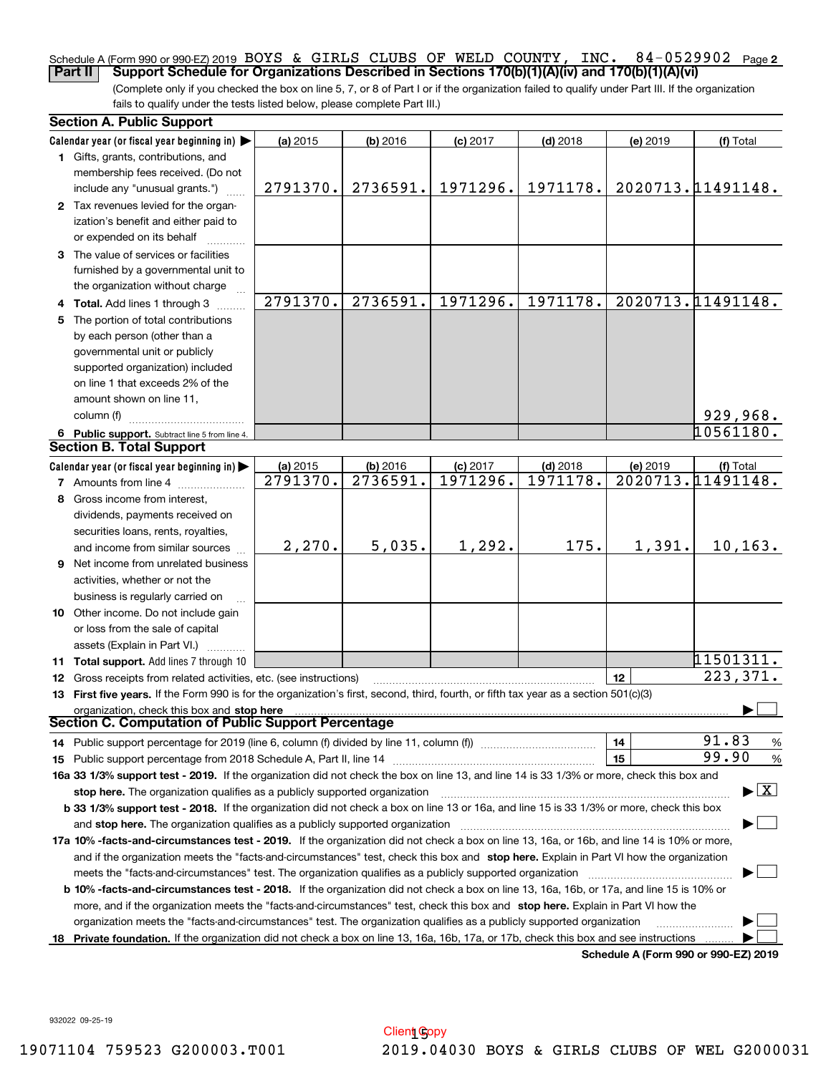#### **2** Schedule A (Form 990 or 990-EZ) 2019 BOYS & GIRLS CLUBS OF WELD COUNTY, INC. 84-0529902 Page<br>Part II Support Schedule for Organizations Described in Sections 170(b)(1)(A)(v) and 170(b)(1)(A)(vi) **Part II Support Schedule for Organizations Described in Sections 170(b)(1)(A)(iv) and 170(b)(1)(A)(vi)**

(Complete only if you checked the box on line 5, 7, or 8 of Part I or if the organization failed to qualify under Part III. If the organization fails to qualify under the tests listed below, please complete Part III.)

| <b>Section A. Public Support</b>                                                                                                                                                                                                                           |          |            |            |            |          |                                          |  |  |  |
|------------------------------------------------------------------------------------------------------------------------------------------------------------------------------------------------------------------------------------------------------------|----------|------------|------------|------------|----------|------------------------------------------|--|--|--|
| Calendar year (or fiscal year beginning in)                                                                                                                                                                                                                | (a) 2015 | $(b)$ 2016 | $(c)$ 2017 | $(d)$ 2018 | (e) 2019 | (f) Total                                |  |  |  |
| 1 Gifts, grants, contributions, and                                                                                                                                                                                                                        |          |            |            |            |          |                                          |  |  |  |
| membership fees received. (Do not                                                                                                                                                                                                                          |          |            |            |            |          |                                          |  |  |  |
| include any "unusual grants.")                                                                                                                                                                                                                             | 2791370. | 2736591.   | 1971296.   | 1971178.   |          | 2020713.11491148.                        |  |  |  |
| 2 Tax revenues levied for the organ-                                                                                                                                                                                                                       |          |            |            |            |          |                                          |  |  |  |
| ization's benefit and either paid to                                                                                                                                                                                                                       |          |            |            |            |          |                                          |  |  |  |
| or expended on its behalf                                                                                                                                                                                                                                  |          |            |            |            |          |                                          |  |  |  |
| 3 The value of services or facilities                                                                                                                                                                                                                      |          |            |            |            |          |                                          |  |  |  |
| furnished by a governmental unit to                                                                                                                                                                                                                        |          |            |            |            |          |                                          |  |  |  |
| the organization without charge                                                                                                                                                                                                                            |          |            |            |            |          |                                          |  |  |  |
| 4 Total. Add lines 1 through 3                                                                                                                                                                                                                             | 2791370. | 2736591.   | 1971296.   | 1971178.   |          | 2020713.11491148.                        |  |  |  |
| 5 The portion of total contributions                                                                                                                                                                                                                       |          |            |            |            |          |                                          |  |  |  |
| by each person (other than a                                                                                                                                                                                                                               |          |            |            |            |          |                                          |  |  |  |
| governmental unit or publicly                                                                                                                                                                                                                              |          |            |            |            |          |                                          |  |  |  |
| supported organization) included                                                                                                                                                                                                                           |          |            |            |            |          |                                          |  |  |  |
| on line 1 that exceeds 2% of the                                                                                                                                                                                                                           |          |            |            |            |          |                                          |  |  |  |
| amount shown on line 11,                                                                                                                                                                                                                                   |          |            |            |            |          |                                          |  |  |  |
| column (f)                                                                                                                                                                                                                                                 |          |            |            |            |          | 929,968.                                 |  |  |  |
| 6 Public support. Subtract line 5 from line 4.                                                                                                                                                                                                             |          |            |            |            |          | 10561180.                                |  |  |  |
| <b>Section B. Total Support</b>                                                                                                                                                                                                                            |          |            |            |            |          |                                          |  |  |  |
| Calendar year (or fiscal year beginning in)                                                                                                                                                                                                                | (a) 2015 | (b) 2016   | $(c)$ 2017 | $(d)$ 2018 | (e) 2019 | (f) Total                                |  |  |  |
| <b>7</b> Amounts from line 4                                                                                                                                                                                                                               | 2791370. | 2736591.   | 1971296.   | 1971178.   |          | 2020713.11491148.                        |  |  |  |
| 8 Gross income from interest,                                                                                                                                                                                                                              |          |            |            |            |          |                                          |  |  |  |
| dividends, payments received on                                                                                                                                                                                                                            |          |            |            |            |          |                                          |  |  |  |
| securities loans, rents, royalties,                                                                                                                                                                                                                        |          |            |            |            |          |                                          |  |  |  |
| and income from similar sources                                                                                                                                                                                                                            | 2,270.   | 5,035.     | 1,292.     | 175.       | 1,391.   | 10, 163.                                 |  |  |  |
| <b>9</b> Net income from unrelated business                                                                                                                                                                                                                |          |            |            |            |          |                                          |  |  |  |
| activities, whether or not the                                                                                                                                                                                                                             |          |            |            |            |          |                                          |  |  |  |
| business is regularly carried on                                                                                                                                                                                                                           |          |            |            |            |          |                                          |  |  |  |
| 10 Other income. Do not include gain                                                                                                                                                                                                                       |          |            |            |            |          |                                          |  |  |  |
| or loss from the sale of capital                                                                                                                                                                                                                           |          |            |            |            |          |                                          |  |  |  |
| assets (Explain in Part VI.) <b>Constant</b>                                                                                                                                                                                                               |          |            |            |            |          |                                          |  |  |  |
| 11 Total support. Add lines 7 through 10                                                                                                                                                                                                                   |          |            |            |            |          | 11501311.                                |  |  |  |
| 12 Gross receipts from related activities, etc. (see instructions)                                                                                                                                                                                         |          |            |            |            | 12       | 223, 371.                                |  |  |  |
| 13 First five years. If the Form 990 is for the organization's first, second, third, fourth, or fifth tax year as a section 501(c)(3)                                                                                                                      |          |            |            |            |          |                                          |  |  |  |
| organization, check this box and stop here<br>Section C. Computation of Public Support Percentage                                                                                                                                                          |          |            |            |            |          |                                          |  |  |  |
|                                                                                                                                                                                                                                                            |          |            |            |            |          | 91.83                                    |  |  |  |
| 14 Public support percentage for 2019 (line 6, column (f) divided by line 11, column (f) <i>mummumumum</i>                                                                                                                                                 |          |            |            |            | 14       | %<br>99.90                               |  |  |  |
| 15 Public support percentage from 2018 Schedule A, Part II, line 14 [11] [11] manument continuum manument of Public support percentage from 2018 Schedule A, Part II, line 14 [11] manument continuum manument of Public suppo                             |          |            |            |            | 15       | $\%$                                     |  |  |  |
| 16a 33 1/3% support test - 2019. If the organization did not check the box on line 13, and line 14 is 33 1/3% or more, check this box and                                                                                                                  |          |            |            |            |          | $\blacktriangleright$ $\boxed{\text{X}}$ |  |  |  |
| stop here. The organization qualifies as a publicly supported organization                                                                                                                                                                                 |          |            |            |            |          |                                          |  |  |  |
| b 33 1/3% support test - 2018. If the organization did not check a box on line 13 or 16a, and line 15 is 33 1/3% or more, check this box                                                                                                                   |          |            |            |            |          |                                          |  |  |  |
| and stop here. The organization qualifies as a publicly supported organization                                                                                                                                                                             |          |            |            |            |          |                                          |  |  |  |
| 17a 10% -facts-and-circumstances test - 2019. If the organization did not check a box on line 13, 16a, or 16b, and line 14 is 10% or more,                                                                                                                 |          |            |            |            |          |                                          |  |  |  |
| and if the organization meets the "facts-and-circumstances" test, check this box and stop here. Explain in Part VI how the organization<br>meets the "facts-and-circumstances" test. The organization qualifies as a publicly supported organization       |          |            |            |            |          |                                          |  |  |  |
|                                                                                                                                                                                                                                                            |          |            |            |            |          |                                          |  |  |  |
| <b>b 10% -facts-and-circumstances test - 2018.</b> If the organization did not check a box on line 13, 16a, 16b, or 17a, and line 15 is 10% or                                                                                                             |          |            |            |            |          |                                          |  |  |  |
| more, and if the organization meets the "facts-and-circumstances" test, check this box and stop here. Explain in Part VI how the<br>organization meets the "facts-and-circumstances" test. The organization qualifies as a publicly supported organization |          |            |            |            |          |                                          |  |  |  |
|                                                                                                                                                                                                                                                            |          |            |            |            |          |                                          |  |  |  |
| 18 Private foundation. If the organization did not check a box on line 13, 16a, 16b, 17a, or 17b, check this box and see instructions<br>Schedule A (Form 990 or 990-F7) 2019                                                                              |          |            |            |            |          |                                          |  |  |  |

**Schedule A (Form 990 or 990-EZ) 2019**

932022 09-25-19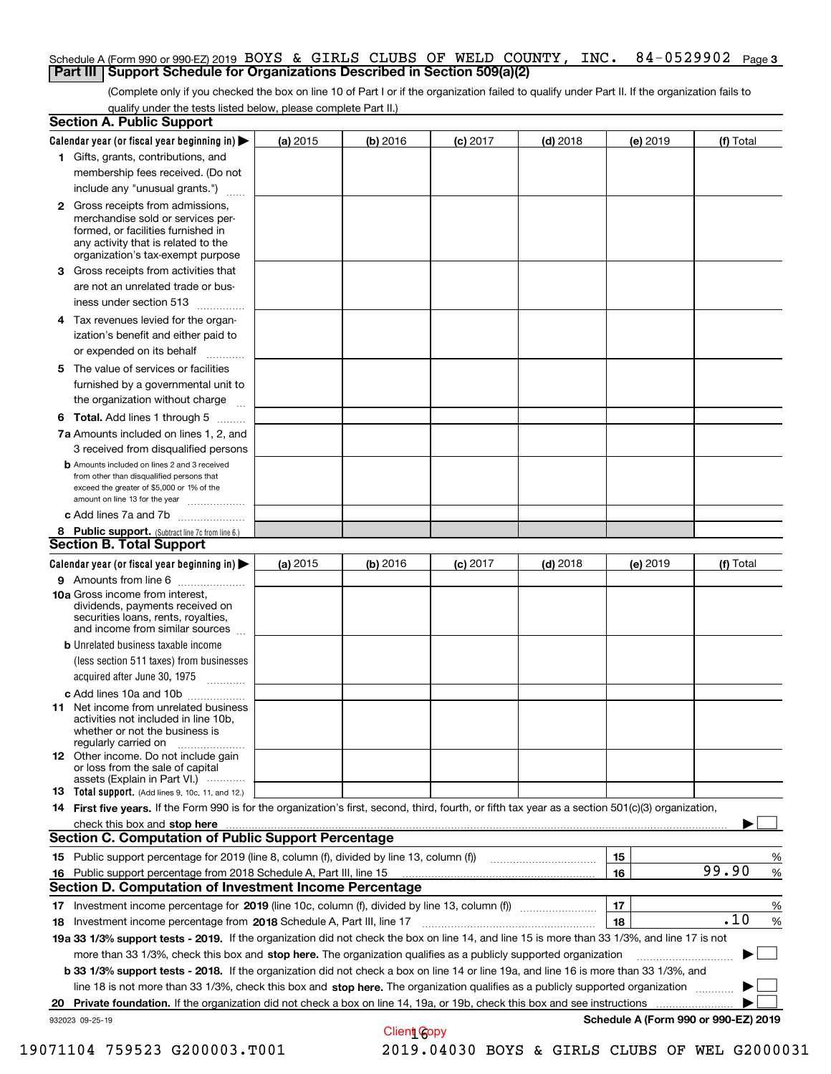### Schedule A (Form 990 or 990-EZ) 2019 BOYS & GIRLS CLUBS OF WELD COUNTY, INC. 84–0529902 Page 3<br>L**Part III LSupport Schedule for Organizations Described in Section 509(a)(2) Part III** | Support Schedule for Organizations Described in Section 509(a)(2)

(Complete only if you checked the box on line 10 of Part I or if the organization failed to qualify under Part II. If the organization fails to qualify under the tests listed below, please complete Part II.)

| <b>Section A. Public Support</b>                                                                                                                                                                                               |          |            |            |            |          |                                      |   |
|--------------------------------------------------------------------------------------------------------------------------------------------------------------------------------------------------------------------------------|----------|------------|------------|------------|----------|--------------------------------------|---|
| Calendar year (or fiscal year beginning in)                                                                                                                                                                                    | (a) 2015 | $(b)$ 2016 | $(c)$ 2017 | $(d)$ 2018 | (e) 2019 | (f) Total                            |   |
| 1 Gifts, grants, contributions, and                                                                                                                                                                                            |          |            |            |            |          |                                      |   |
| membership fees received. (Do not                                                                                                                                                                                              |          |            |            |            |          |                                      |   |
| include any "unusual grants.")                                                                                                                                                                                                 |          |            |            |            |          |                                      |   |
| <b>2</b> Gross receipts from admissions,                                                                                                                                                                                       |          |            |            |            |          |                                      |   |
| merchandise sold or services per-                                                                                                                                                                                              |          |            |            |            |          |                                      |   |
| formed, or facilities furnished in<br>any activity that is related to the                                                                                                                                                      |          |            |            |            |          |                                      |   |
| organization's tax-exempt purpose                                                                                                                                                                                              |          |            |            |            |          |                                      |   |
| 3 Gross receipts from activities that                                                                                                                                                                                          |          |            |            |            |          |                                      |   |
| are not an unrelated trade or bus-                                                                                                                                                                                             |          |            |            |            |          |                                      |   |
| iness under section 513                                                                                                                                                                                                        |          |            |            |            |          |                                      |   |
| 4 Tax revenues levied for the organ-                                                                                                                                                                                           |          |            |            |            |          |                                      |   |
| ization's benefit and either paid to                                                                                                                                                                                           |          |            |            |            |          |                                      |   |
| or expended on its behalf                                                                                                                                                                                                      |          |            |            |            |          |                                      |   |
| 5 The value of services or facilities                                                                                                                                                                                          |          |            |            |            |          |                                      |   |
| furnished by a governmental unit to                                                                                                                                                                                            |          |            |            |            |          |                                      |   |
| the organization without charge                                                                                                                                                                                                |          |            |            |            |          |                                      |   |
| <b>6 Total.</b> Add lines 1 through 5                                                                                                                                                                                          |          |            |            |            |          |                                      |   |
| 7a Amounts included on lines 1, 2, and                                                                                                                                                                                         |          |            |            |            |          |                                      |   |
| 3 received from disqualified persons                                                                                                                                                                                           |          |            |            |            |          |                                      |   |
| <b>b</b> Amounts included on lines 2 and 3 received                                                                                                                                                                            |          |            |            |            |          |                                      |   |
| from other than disqualified persons that                                                                                                                                                                                      |          |            |            |            |          |                                      |   |
| exceed the greater of \$5,000 or 1% of the                                                                                                                                                                                     |          |            |            |            |          |                                      |   |
| amount on line 13 for the year                                                                                                                                                                                                 |          |            |            |            |          |                                      |   |
| c Add lines 7a and 7b                                                                                                                                                                                                          |          |            |            |            |          |                                      |   |
| 8 Public support. (Subtract line 7c from line 6.)<br><b>Section B. Total Support</b>                                                                                                                                           |          |            |            |            |          |                                      |   |
| Calendar year (or fiscal year beginning in) >                                                                                                                                                                                  | (a) 2015 | (b) 2016   | $(c)$ 2017 | $(d)$ 2018 | (e) 2019 | (f) Total                            |   |
| <b>9</b> Amounts from line 6                                                                                                                                                                                                   |          |            |            |            |          |                                      |   |
| $\overline{\phantom{a}}$<br>10a Gross income from interest,                                                                                                                                                                    |          |            |            |            |          |                                      |   |
| dividends, payments received on                                                                                                                                                                                                |          |            |            |            |          |                                      |   |
| securities loans, rents, royalties,                                                                                                                                                                                            |          |            |            |            |          |                                      |   |
| and income from similar sources<br><b>b</b> Unrelated business taxable income                                                                                                                                                  |          |            |            |            |          |                                      |   |
| (less section 511 taxes) from businesses                                                                                                                                                                                       |          |            |            |            |          |                                      |   |
| acquired after June 30, 1975                                                                                                                                                                                                   |          |            |            |            |          |                                      |   |
| 1.1.1.1.1.1.1.1.1.1                                                                                                                                                                                                            |          |            |            |            |          |                                      |   |
| c Add lines 10a and 10b<br>11 Net income from unrelated business                                                                                                                                                               |          |            |            |            |          |                                      |   |
| activities not included in line 10b,                                                                                                                                                                                           |          |            |            |            |          |                                      |   |
| whether or not the business is                                                                                                                                                                                                 |          |            |            |            |          |                                      |   |
| regularly carried on                                                                                                                                                                                                           |          |            |            |            |          |                                      |   |
| <b>12</b> Other income. Do not include gain<br>or loss from the sale of capital                                                                                                                                                |          |            |            |            |          |                                      |   |
| assets (Explain in Part VI.)                                                                                                                                                                                                   |          |            |            |            |          |                                      |   |
| 13 Total support. (Add lines 9, 10c, 11, and 12.)                                                                                                                                                                              |          |            |            |            |          |                                      |   |
| 14 First five years. If the Form 990 is for the organization's first, second, third, fourth, or fifth tax year as a section 501(c)(3) organization,                                                                            |          |            |            |            |          |                                      |   |
| check this box and stop here with the continuum control to the change of the state of the state of the change of the state of the change of the change of the state of the change of the change of the change of the change of |          |            |            |            |          |                                      |   |
| <b>Section C. Computation of Public Support Percentage</b>                                                                                                                                                                     |          |            |            |            |          |                                      |   |
| 15 Public support percentage for 2019 (line 8, column (f), divided by line 13, column (f))                                                                                                                                     |          |            |            |            | 15       |                                      | % |
| 16 Public support percentage from 2018 Schedule A, Part III, line 15<br>Section D. Computation of Investment Income Percentage                                                                                                 |          |            |            |            | 16       | 99.90                                | % |
|                                                                                                                                                                                                                                |          |            |            |            |          |                                      |   |
| 17 Investment income percentage for 2019 (line 10c, column (f), divided by line 13, column (f))                                                                                                                                |          |            |            |            | 17       | .10                                  | % |
| 18 Investment income percentage from 2018 Schedule A, Part III, line 17                                                                                                                                                        |          |            |            |            | 18       |                                      | % |
| 19a 33 1/3% support tests - 2019. If the organization did not check the box on line 14, and line 15 is more than 33 1/3%, and line 17 is not                                                                                   |          |            |            |            |          |                                      |   |
| more than 33 1/3%, check this box and stop here. The organization qualifies as a publicly supported organization                                                                                                               |          |            |            |            |          |                                      |   |
| b 33 1/3% support tests - 2018. If the organization did not check a box on line 14 or line 19a, and line 16 is more than 33 1/3%, and                                                                                          |          |            |            |            |          |                                      |   |
| line 18 is not more than 33 1/3%, check this box and stop here. The organization qualifies as a publicly supported organization                                                                                                |          |            |            |            |          |                                      |   |
| 20 Private foundation. If the organization did not check a box on line 14, 19a, or 19b, check this box and see instructions                                                                                                    |          |            |            |            |          |                                      |   |
| 932023 09-25-19                                                                                                                                                                                                                |          |            |            |            |          | Schedule A (Form 990 or 990-EZ) 2019 |   |

Client Copy

 <sup>19071104 759523</sup> G200003.T001 2019.04030 BOYS & GIRLS CLUBS OF WEL G2000031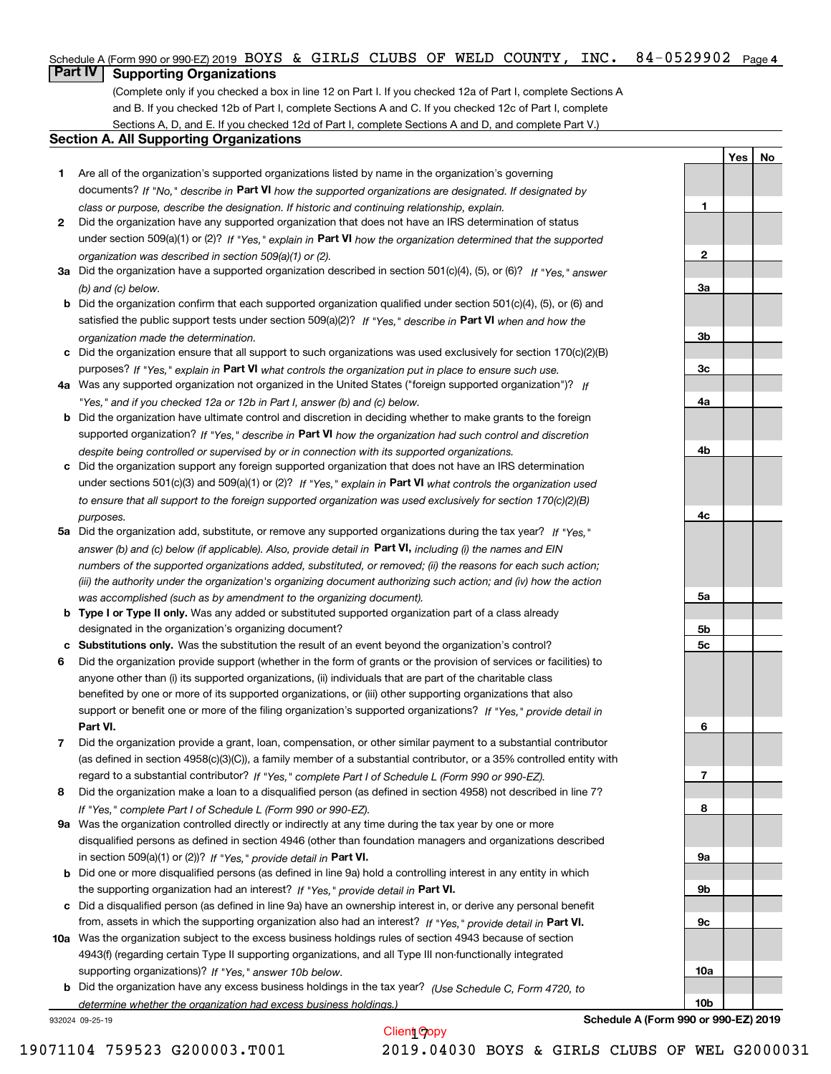# Schedule A (Form 990 or 990-EZ) 2019 BOYS & GIRLS CLUBS OF WELD COUNTY, INC. 84–0529902 Page 4<br>L**Part IV L. Supporting Organizations**

# **Part IV Supporting Organizations**

(Complete only if you checked a box in line 12 on Part I. If you checked 12a of Part I, complete Sections A and B. If you checked 12b of Part I, complete Sections A and C. If you checked 12c of Part I, complete Sections A, D, and E. If you checked 12d of Part I, complete Sections A and D, and complete Part V.)

### **Section A. All Supporting Organizations**

- **1** Are all of the organization's supported organizations listed by name in the organization's governing documents? If "No," describe in **Part VI** how the supported organizations are designated. If designated by *class or purpose, describe the designation. If historic and continuing relationship, explain.*
- **2** Did the organization have any supported organization that does not have an IRS determination of status under section 509(a)(1) or (2)? If "Yes," explain in Part VI how the organization determined that the supported *organization was described in section 509(a)(1) or (2).*
- **3a** Did the organization have a supported organization described in section 501(c)(4), (5), or (6)? If "Yes," answer *(b) and (c) below.*
- **b** Did the organization confirm that each supported organization qualified under section 501(c)(4), (5), or (6) and satisfied the public support tests under section 509(a)(2)? If "Yes," describe in **Part VI** when and how the *organization made the determination.*
- **c**Did the organization ensure that all support to such organizations was used exclusively for section 170(c)(2)(B) purposes? If "Yes," explain in **Part VI** what controls the organization put in place to ensure such use.
- **4a***If* Was any supported organization not organized in the United States ("foreign supported organization")? *"Yes," and if you checked 12a or 12b in Part I, answer (b) and (c) below.*
- **b** Did the organization have ultimate control and discretion in deciding whether to make grants to the foreign supported organization? If "Yes," describe in **Part VI** how the organization had such control and discretion *despite being controlled or supervised by or in connection with its supported organizations.*
- **c** Did the organization support any foreign supported organization that does not have an IRS determination under sections 501(c)(3) and 509(a)(1) or (2)? If "Yes," explain in **Part VI** what controls the organization used *to ensure that all support to the foreign supported organization was used exclusively for section 170(c)(2)(B) purposes.*
- **5a** Did the organization add, substitute, or remove any supported organizations during the tax year? If "Yes," answer (b) and (c) below (if applicable). Also, provide detail in **Part VI,** including (i) the names and EIN *numbers of the supported organizations added, substituted, or removed; (ii) the reasons for each such action; (iii) the authority under the organization's organizing document authorizing such action; and (iv) how the action was accomplished (such as by amendment to the organizing document).*
- **b** Type I or Type II only. Was any added or substituted supported organization part of a class already designated in the organization's organizing document?
- **cSubstitutions only.**  Was the substitution the result of an event beyond the organization's control?
- **6** Did the organization provide support (whether in the form of grants or the provision of services or facilities) to **Part VI.** *If "Yes," provide detail in* support or benefit one or more of the filing organization's supported organizations? anyone other than (i) its supported organizations, (ii) individuals that are part of the charitable class benefited by one or more of its supported organizations, or (iii) other supporting organizations that also
- **7**Did the organization provide a grant, loan, compensation, or other similar payment to a substantial contributor *If "Yes," complete Part I of Schedule L (Form 990 or 990-EZ).* regard to a substantial contributor? (as defined in section 4958(c)(3)(C)), a family member of a substantial contributor, or a 35% controlled entity with
- **8** Did the organization make a loan to a disqualified person (as defined in section 4958) not described in line 7? *If "Yes," complete Part I of Schedule L (Form 990 or 990-EZ).*
- **9a** Was the organization controlled directly or indirectly at any time during the tax year by one or more in section 509(a)(1) or (2))? If "Yes," *provide detail in* <code>Part VI.</code> disqualified persons as defined in section 4946 (other than foundation managers and organizations described
- **b** Did one or more disqualified persons (as defined in line 9a) hold a controlling interest in any entity in which the supporting organization had an interest? If "Yes," provide detail in P**art VI**.
- **c**Did a disqualified person (as defined in line 9a) have an ownership interest in, or derive any personal benefit from, assets in which the supporting organization also had an interest? If "Yes," provide detail in P**art VI.**
- **10a** Was the organization subject to the excess business holdings rules of section 4943 because of section supporting organizations)? If "Yes," answer 10b below. 4943(f) (regarding certain Type II supporting organizations, and all Type III non-functionally integrated
- **b** Did the organization have any excess business holdings in the tax year? (Use Schedule C, Form 4720, to *determine whether the organization had excess business holdings.)*

Client Copy

932024 09-25-19

**Schedule A (Form 990 or 990-EZ) 2019**

**Yes No**

**1**

**2**

**3a**

**3b**

**3c**

**4a**

**4b**

**4c**

**5a**

**5b5c**

**6**

**7**

**8**

**9a**

**9b**

**9c**

**10a**

**10b**

19071104 759523 G200003.T001 2019.04030 BOYS & GIRLS CLUBS OF WEL G2000031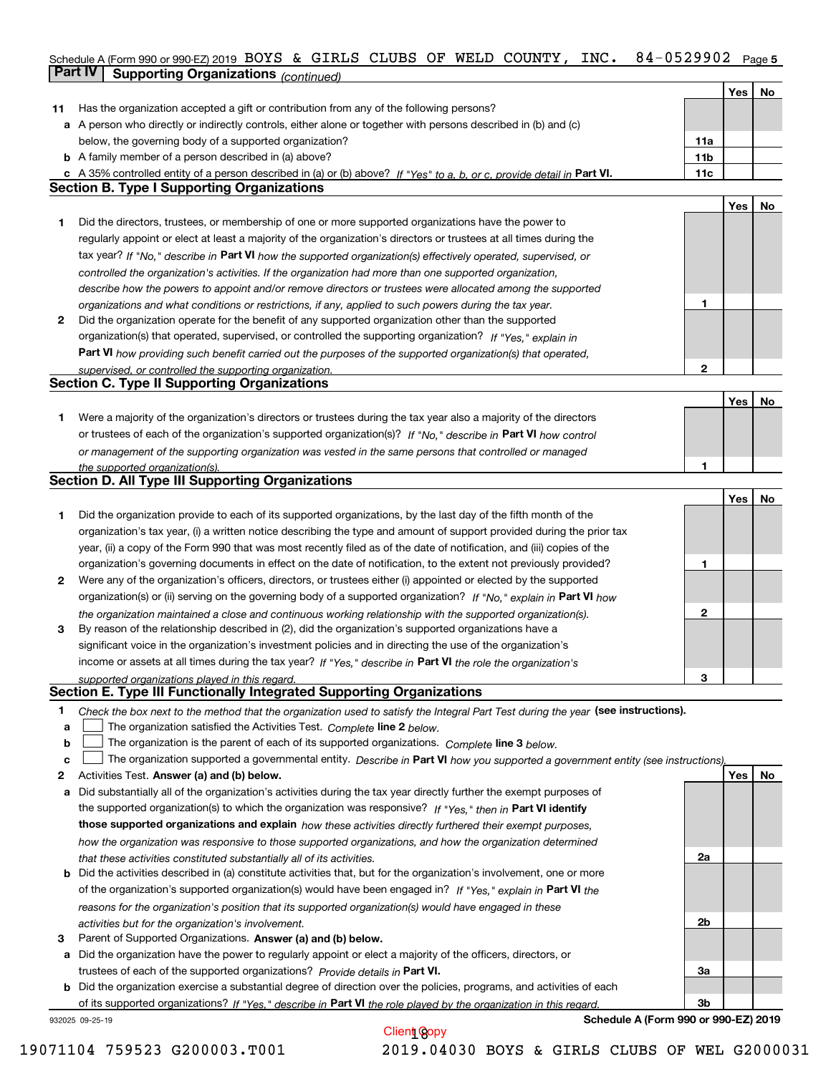### **5** Schedule A (Form 990 or 990-EZ) 2019 Page BOYS & GIRLS CLUBS OF WELD COUNTY, INC. 84-0529902 **Part IV Supporting Organizations** *(continued)*

|    |                                                                                                                                                                                                                      |                 | Yes | No |
|----|----------------------------------------------------------------------------------------------------------------------------------------------------------------------------------------------------------------------|-----------------|-----|----|
| 11 | Has the organization accepted a gift or contribution from any of the following persons?                                                                                                                              |                 |     |    |
|    | a A person who directly or indirectly controls, either alone or together with persons described in (b) and (c)                                                                                                       |                 |     |    |
|    | below, the governing body of a supported organization?                                                                                                                                                               | 11a             |     |    |
|    | <b>b</b> A family member of a person described in (a) above?                                                                                                                                                         | 11 <sub>b</sub> |     |    |
|    | c A 35% controlled entity of a person described in (a) or (b) above? If "Yes" to a, b, or c, provide detail in Part VI.                                                                                              | 11c             |     |    |
|    | Section B. Type I Supporting Organizations                                                                                                                                                                           |                 |     |    |
|    |                                                                                                                                                                                                                      |                 | Yes | No |
| 1  | Did the directors, trustees, or membership of one or more supported organizations have the power to                                                                                                                  |                 |     |    |
|    | regularly appoint or elect at least a majority of the organization's directors or trustees at all times during the                                                                                                   |                 |     |    |
|    | tax year? If "No," describe in Part VI how the supported organization(s) effectively operated, supervised, or                                                                                                        |                 |     |    |
|    |                                                                                                                                                                                                                      |                 |     |    |
|    | controlled the organization's activities. If the organization had more than one supported organization,                                                                                                              |                 |     |    |
|    | describe how the powers to appoint and/or remove directors or trustees were allocated among the supported                                                                                                            | 1               |     |    |
| 2  | organizations and what conditions or restrictions, if any, applied to such powers during the tax year.<br>Did the organization operate for the benefit of any supported organization other than the supported        |                 |     |    |
|    |                                                                                                                                                                                                                      |                 |     |    |
|    | organization(s) that operated, supervised, or controlled the supporting organization? If "Yes," explain in                                                                                                           |                 |     |    |
|    | Part VI how providing such benefit carried out the purposes of the supported organization(s) that operated,                                                                                                          | $\mathbf{2}$    |     |    |
|    | supervised, or controlled the supporting organization.<br><b>Section C. Type II Supporting Organizations</b>                                                                                                         |                 |     |    |
|    |                                                                                                                                                                                                                      |                 | Yes | No |
| 1  | Were a majority of the organization's directors or trustees during the tax year also a majority of the directors                                                                                                     |                 |     |    |
|    | or trustees of each of the organization's supported organization(s)? If "No." describe in Part VI how control                                                                                                        |                 |     |    |
|    |                                                                                                                                                                                                                      |                 |     |    |
|    | or management of the supporting organization was vested in the same persons that controlled or managed                                                                                                               | 1               |     |    |
|    | the supported organization(s).<br><b>Section D. All Type III Supporting Organizations</b>                                                                                                                            |                 |     |    |
|    |                                                                                                                                                                                                                      |                 | Yes | No |
| 1  | Did the organization provide to each of its supported organizations, by the last day of the fifth month of the                                                                                                       |                 |     |    |
|    | organization's tax year, (i) a written notice describing the type and amount of support provided during the prior tax                                                                                                |                 |     |    |
|    | year, (ii) a copy of the Form 990 that was most recently filed as of the date of notification, and (iii) copies of the                                                                                               |                 |     |    |
|    | organization's governing documents in effect on the date of notification, to the extent not previously provided?                                                                                                     | 1               |     |    |
| 2  | Were any of the organization's officers, directors, or trustees either (i) appointed or elected by the supported                                                                                                     |                 |     |    |
|    | organization(s) or (ii) serving on the governing body of a supported organization? If "No," explain in Part VI how                                                                                                   |                 |     |    |
|    |                                                                                                                                                                                                                      | $\mathbf{2}$    |     |    |
| 3  | the organization maintained a close and continuous working relationship with the supported organization(s).<br>By reason of the relationship described in (2), did the organization's supported organizations have a |                 |     |    |
|    | significant voice in the organization's investment policies and in directing the use of the organization's                                                                                                           |                 |     |    |
|    | income or assets at all times during the tax year? If "Yes," describe in Part VI the role the organization's                                                                                                         |                 |     |    |
|    |                                                                                                                                                                                                                      | 3               |     |    |
|    | supported organizations played in this regard.<br>Section E. Type III Functionally Integrated Supporting Organizations                                                                                               |                 |     |    |
| 1  | Check the box next to the method that the organization used to satisfy the Integral Part Test during the year (see instructions).                                                                                    |                 |     |    |
| a  | The organization satisfied the Activities Test. Complete line 2 below.                                                                                                                                               |                 |     |    |
| b  | The organization is the parent of each of its supported organizations. Complete line 3 below.                                                                                                                        |                 |     |    |
| c  | The organization supported a governmental entity. Describe in Part VI how you supported a government entity (see instructions),                                                                                      |                 |     |    |
| 2  | Activities Test. Answer (a) and (b) below.                                                                                                                                                                           |                 | Yes | No |
| а  | Did substantially all of the organization's activities during the tax year directly further the exempt purposes of                                                                                                   |                 |     |    |
|    | the supported organization(s) to which the organization was responsive? If "Yes," then in Part VI identify                                                                                                           |                 |     |    |
|    | those supported organizations and explain how these activities directly furthered their exempt purposes,                                                                                                             |                 |     |    |
|    | how the organization was responsive to those supported organizations, and how the organization determined                                                                                                            |                 |     |    |
|    | that these activities constituted substantially all of its activities.                                                                                                                                               | 2a              |     |    |
|    | <b>b</b> Did the activities described in (a) constitute activities that, but for the organization's involvement, one or more                                                                                         |                 |     |    |
|    | of the organization's supported organization(s) would have been engaged in? If "Yes," explain in Part VI the                                                                                                         |                 |     |    |
|    | reasons for the organization's position that its supported organization(s) would have engaged in these                                                                                                               |                 |     |    |
|    | activities but for the organization's involvement.                                                                                                                                                                   | 2b              |     |    |
| з  | Parent of Supported Organizations. Answer (a) and (b) below.                                                                                                                                                         |                 |     |    |
|    | a Did the organization have the power to regularly appoint or elect a majority of the officers, directors, or                                                                                                        |                 |     |    |
|    | trustees of each of the supported organizations? Provide details in Part VI.                                                                                                                                         | За              |     |    |
|    | <b>b</b> Did the organization exercise a substantial degree of direction over the policies, programs, and activities of each                                                                                         |                 |     |    |
|    | of its supported organizations? If "Yes." describe in Part VI the role played by the organization in this regard                                                                                                     | Зb              |     |    |
|    | Schedule A (Form 990 or 990-EZ) 2019<br>932025 09-25-19                                                                                                                                                              |                 |     |    |
|    |                                                                                                                                                                                                                      |                 |     |    |

Client Copy 19071104 759523 G200003.T001 2019.04030 BOYS & GIRLS CLUBS OF WEL G2000031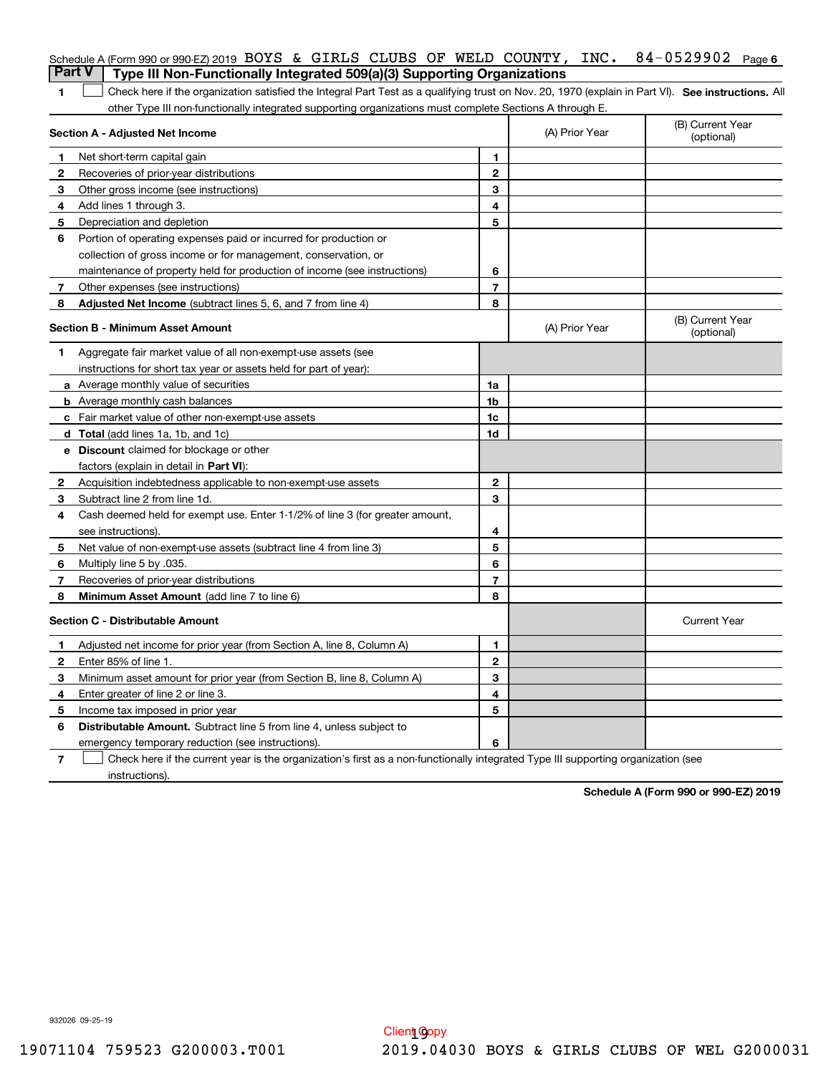|                | Schedule A (Form 990 or 990-EZ) 2019 BOYS & GIRLS CLUBS OF WELD COUNTY, INC.<br><b>Part V</b><br>Type III Non-Functionally Integrated 509(a)(3) Supporting Organizations |                |                | 84-0529902<br>Page 6           |
|----------------|--------------------------------------------------------------------------------------------------------------------------------------------------------------------------|----------------|----------------|--------------------------------|
| 1              | Check here if the organization satisfied the Integral Part Test as a qualifying trust on Nov. 20, 1970 (explain in Part VI). See instructions. Al                        |                |                |                                |
|                | other Type III non-functionally integrated supporting organizations must complete Sections A through E.                                                                  |                |                |                                |
|                | Section A - Adjusted Net Income                                                                                                                                          |                | (A) Prior Year | (B) Current Year<br>(optional) |
| 1              | Net short-term capital gain                                                                                                                                              | 1.             |                |                                |
| $\overline{2}$ | Recoveries of prior-year distributions                                                                                                                                   | $\mathbf{2}$   |                |                                |
| З              | Other gross income (see instructions)                                                                                                                                    | 3              |                |                                |
| 4              | Add lines 1 through 3.                                                                                                                                                   | 4              |                |                                |
| 5              | Depreciation and depletion                                                                                                                                               | 5              |                |                                |
| 6              | Portion of operating expenses paid or incurred for production or                                                                                                         |                |                |                                |
|                | collection of gross income or for management, conservation, or                                                                                                           |                |                |                                |
|                | maintenance of property held for production of income (see instructions)                                                                                                 | 6              |                |                                |
| 7              | Other expenses (see instructions)                                                                                                                                        | $\overline{7}$ |                |                                |
| 8              | Adjusted Net Income (subtract lines 5, 6, and 7 from line 4)                                                                                                             | 8              |                |                                |
|                | Section B - Minimum Asset Amount                                                                                                                                         |                | (A) Prior Year | (B) Current Year<br>(optional) |
| 1              | Aggregate fair market value of all non-exempt-use assets (see                                                                                                            |                |                |                                |
|                | instructions for short tax year or assets held for part of year):                                                                                                        |                |                |                                |
|                | <b>a</b> Average monthly value of securities                                                                                                                             | 1a             |                |                                |
|                | <b>b</b> Average monthly cash balances                                                                                                                                   | 1b             |                |                                |
|                | c Fair market value of other non-exempt-use assets                                                                                                                       | 1c             |                |                                |
|                | d Total (add lines 1a, 1b, and 1c)                                                                                                                                       | 1d             |                |                                |
|                | <b>e</b> Discount claimed for blockage or other                                                                                                                          |                |                |                                |
|                | factors (explain in detail in Part VI):                                                                                                                                  |                |                |                                |
| 2              | Acquisition indebtedness applicable to non-exempt-use assets                                                                                                             | $\mathbf{2}$   |                |                                |
| 3              | Subtract line 2 from line 1d.                                                                                                                                            | 3              |                |                                |
| 4              | Cash deemed held for exempt use. Enter 1-1/2% of line 3 (for greater amount,                                                                                             |                |                |                                |
|                | see instructions).                                                                                                                                                       | 4              |                |                                |
| 5              | Net value of non-exempt-use assets (subtract line 4 from line 3)                                                                                                         | 5              |                |                                |
| 6              | Multiply line 5 by .035.                                                                                                                                                 | 6              |                |                                |
| 7              | Recoveries of prior-year distributions                                                                                                                                   | $\overline{7}$ |                |                                |
| 8              | Minimum Asset Amount (add line 7 to line 6)                                                                                                                              | 8              |                |                                |
|                | <b>Section C - Distributable Amount</b>                                                                                                                                  |                |                | <b>Current Year</b>            |
|                | Adjusted net income for prior year (from Section A, line 8, Column A)                                                                                                    | 1              |                |                                |
|                | Enter 85% of line 1.                                                                                                                                                     | 2              |                |                                |
| З              | Minimum asset amount for prior year (from Section B, line 8, Column A)                                                                                                   | 3              |                |                                |
| 4              | Enter greater of line 2 or line 3.                                                                                                                                       | 4              |                |                                |
| 5              | Income tax imposed in prior year                                                                                                                                         | 5              |                |                                |
| 6              | <b>Distributable Amount.</b> Subtract line 5 from line 4, unless subject to                                                                                              |                |                |                                |
|                | emergency temporary reduction (see instructions).                                                                                                                        | 6              |                |                                |
| 7              | Check here if the current year is the organization's first as a non-functionally integrated Type III supporting organization (see                                        |                |                |                                |

instructions).

**Schedule A (Form 990 or 990-EZ) 2019**

932026 09-25-19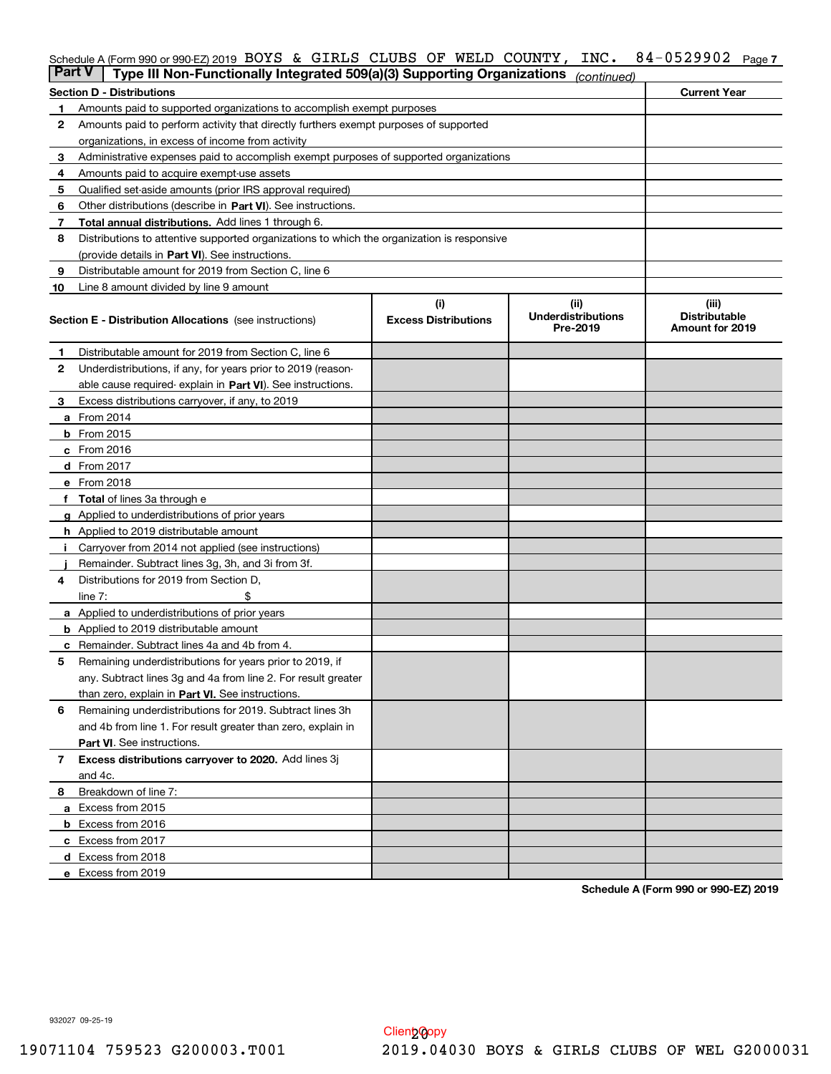# Schedule A (Form 990 or 990-EZ) 2019 BOYS & GIRLS CLUBS OF WELD COUNTY, INC. 84–0529902 Page 7<br>L**Part V** L. Type III Non, Eunotionally Integrated 509(a)(3) Supporting Organizations *(*

| <b>Part V</b> | Type III Non-Functionally Integrated 509(a)(3) Supporting Organizations                    |                             | (continued)                           |                                         |
|---------------|--------------------------------------------------------------------------------------------|-----------------------------|---------------------------------------|-----------------------------------------|
|               | <b>Section D - Distributions</b>                                                           |                             |                                       | <b>Current Year</b>                     |
| 1.            | Amounts paid to supported organizations to accomplish exempt purposes                      |                             |                                       |                                         |
| 2             | Amounts paid to perform activity that directly furthers exempt purposes of supported       |                             |                                       |                                         |
|               | organizations, in excess of income from activity                                           |                             |                                       |                                         |
| 3             | Administrative expenses paid to accomplish exempt purposes of supported organizations      |                             |                                       |                                         |
| 4             | Amounts paid to acquire exempt-use assets                                                  |                             |                                       |                                         |
| 5             | Qualified set-aside amounts (prior IRS approval required)                                  |                             |                                       |                                         |
| 6             | Other distributions (describe in Part VI). See instructions.                               |                             |                                       |                                         |
| 7             | <b>Total annual distributions.</b> Add lines 1 through 6.                                  |                             |                                       |                                         |
| 8             | Distributions to attentive supported organizations to which the organization is responsive |                             |                                       |                                         |
|               | (provide details in Part VI). See instructions.                                            |                             |                                       |                                         |
| 9             | Distributable amount for 2019 from Section C, line 6                                       |                             |                                       |                                         |
| 10            | Line 8 amount divided by line 9 amount                                                     |                             |                                       |                                         |
|               |                                                                                            | (i)                         | (ii)                                  | (iii)                                   |
|               | <b>Section E - Distribution Allocations</b> (see instructions)                             | <b>Excess Distributions</b> | <b>Underdistributions</b><br>Pre-2019 | <b>Distributable</b><br>Amount for 2019 |
| 1.            | Distributable amount for 2019 from Section C, line 6                                       |                             |                                       |                                         |
| 2             | Underdistributions, if any, for years prior to 2019 (reason-                               |                             |                                       |                                         |
|               | able cause required-explain in Part VI). See instructions.                                 |                             |                                       |                                         |
| З             | Excess distributions carryover, if any, to 2019                                            |                             |                                       |                                         |
|               | <b>a</b> From 2014                                                                         |                             |                                       |                                         |
|               | <b>b</b> From 2015                                                                         |                             |                                       |                                         |
|               | c From 2016                                                                                |                             |                                       |                                         |
|               | d From 2017                                                                                |                             |                                       |                                         |
|               | e From 2018                                                                                |                             |                                       |                                         |
|               | <b>Total</b> of lines 3a through e                                                         |                             |                                       |                                         |
|               | <b>g</b> Applied to underdistributions of prior years                                      |                             |                                       |                                         |
|               | <b>h</b> Applied to 2019 distributable amount                                              |                             |                                       |                                         |
|               | Carryover from 2014 not applied (see instructions)                                         |                             |                                       |                                         |
|               | Remainder. Subtract lines 3g, 3h, and 3i from 3f.                                          |                             |                                       |                                         |
| 4             | Distributions for 2019 from Section D,                                                     |                             |                                       |                                         |
|               | line $7:$                                                                                  |                             |                                       |                                         |
|               | <b>a</b> Applied to underdistributions of prior years                                      |                             |                                       |                                         |
|               | <b>b</b> Applied to 2019 distributable amount                                              |                             |                                       |                                         |
|               | c Remainder. Subtract lines 4a and 4b from 4.                                              |                             |                                       |                                         |
| 5             | Remaining underdistributions for years prior to 2019, if                                   |                             |                                       |                                         |
|               | any. Subtract lines 3g and 4a from line 2. For result greater                              |                             |                                       |                                         |
|               | than zero, explain in Part VI. See instructions.                                           |                             |                                       |                                         |
| 6             | Remaining underdistributions for 2019. Subtract lines 3h                                   |                             |                                       |                                         |
|               | and 4b from line 1. For result greater than zero, explain in                               |                             |                                       |                                         |
|               | Part VI. See instructions.                                                                 |                             |                                       |                                         |
| 7             | Excess distributions carryover to 2020. Add lines 3j                                       |                             |                                       |                                         |
|               | and 4c.                                                                                    |                             |                                       |                                         |
| 8             | Breakdown of line 7:                                                                       |                             |                                       |                                         |
|               | a Excess from 2015                                                                         |                             |                                       |                                         |
|               | <b>b</b> Excess from 2016                                                                  |                             |                                       |                                         |
|               |                                                                                            |                             |                                       |                                         |
|               | c Excess from 2017                                                                         |                             |                                       |                                         |
|               | d Excess from 2018                                                                         |                             |                                       |                                         |
|               | e Excess from 2019                                                                         |                             |                                       |                                         |

**Schedule A (Form 990 or 990-EZ) 2019**

932027 09-25-19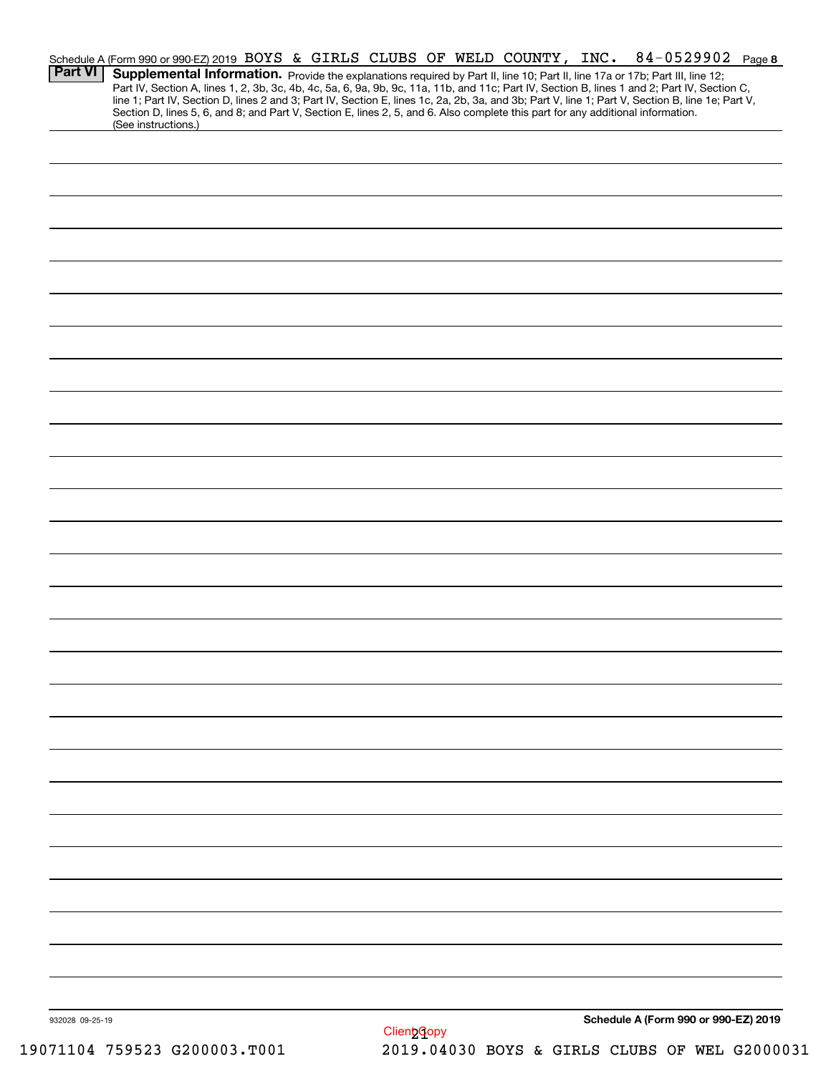|                 | Schedule A (Form 990 or 990-EZ) 2019 BOYS & GIRLS CLUBS OF WELD COUNTY, INC.                                                                           |  |  |  | 84-0529902 Page 8                                                                                                                                                                                                                                                                                                                                                                                                                 |  |
|-----------------|--------------------------------------------------------------------------------------------------------------------------------------------------------|--|--|--|-----------------------------------------------------------------------------------------------------------------------------------------------------------------------------------------------------------------------------------------------------------------------------------------------------------------------------------------------------------------------------------------------------------------------------------|--|
| <b>Part VI</b>  |                                                                                                                                                        |  |  |  | Supplemental Information. Provide the explanations required by Part II, line 10; Part II, line 17a or 17b; Part III, line 12;<br>Part IV, Section A, lines 1, 2, 3b, 3c, 4b, 4c, 5a, 6, 9a, 9b, 9c, 11a, 11b, and 11c; Part IV, Section B, lines 1 and 2; Part IV, Section C,<br>line 1; Part IV, Section D, lines 2 and 3; Part IV, Section E, lines 1c, 2a, 2b, 3a, and 3b; Part V, line 1; Part V, Section B, line 1e; Part V, |  |
|                 | Section D, lines 5, 6, and 8; and Part V, Section E, lines 2, 5, and 6. Also complete this part for any additional information.<br>(See instructions.) |  |  |  |                                                                                                                                                                                                                                                                                                                                                                                                                                   |  |
|                 |                                                                                                                                                        |  |  |  |                                                                                                                                                                                                                                                                                                                                                                                                                                   |  |
|                 |                                                                                                                                                        |  |  |  |                                                                                                                                                                                                                                                                                                                                                                                                                                   |  |
|                 |                                                                                                                                                        |  |  |  |                                                                                                                                                                                                                                                                                                                                                                                                                                   |  |
|                 |                                                                                                                                                        |  |  |  |                                                                                                                                                                                                                                                                                                                                                                                                                                   |  |
|                 |                                                                                                                                                        |  |  |  |                                                                                                                                                                                                                                                                                                                                                                                                                                   |  |
|                 |                                                                                                                                                        |  |  |  |                                                                                                                                                                                                                                                                                                                                                                                                                                   |  |
|                 |                                                                                                                                                        |  |  |  |                                                                                                                                                                                                                                                                                                                                                                                                                                   |  |
|                 |                                                                                                                                                        |  |  |  |                                                                                                                                                                                                                                                                                                                                                                                                                                   |  |
|                 |                                                                                                                                                        |  |  |  |                                                                                                                                                                                                                                                                                                                                                                                                                                   |  |
|                 |                                                                                                                                                        |  |  |  |                                                                                                                                                                                                                                                                                                                                                                                                                                   |  |
|                 |                                                                                                                                                        |  |  |  |                                                                                                                                                                                                                                                                                                                                                                                                                                   |  |
|                 |                                                                                                                                                        |  |  |  |                                                                                                                                                                                                                                                                                                                                                                                                                                   |  |
|                 |                                                                                                                                                        |  |  |  |                                                                                                                                                                                                                                                                                                                                                                                                                                   |  |
|                 |                                                                                                                                                        |  |  |  |                                                                                                                                                                                                                                                                                                                                                                                                                                   |  |
|                 |                                                                                                                                                        |  |  |  |                                                                                                                                                                                                                                                                                                                                                                                                                                   |  |
|                 |                                                                                                                                                        |  |  |  |                                                                                                                                                                                                                                                                                                                                                                                                                                   |  |
|                 |                                                                                                                                                        |  |  |  |                                                                                                                                                                                                                                                                                                                                                                                                                                   |  |
|                 |                                                                                                                                                        |  |  |  |                                                                                                                                                                                                                                                                                                                                                                                                                                   |  |
|                 |                                                                                                                                                        |  |  |  |                                                                                                                                                                                                                                                                                                                                                                                                                                   |  |
|                 |                                                                                                                                                        |  |  |  |                                                                                                                                                                                                                                                                                                                                                                                                                                   |  |
|                 |                                                                                                                                                        |  |  |  |                                                                                                                                                                                                                                                                                                                                                                                                                                   |  |
|                 |                                                                                                                                                        |  |  |  |                                                                                                                                                                                                                                                                                                                                                                                                                                   |  |
|                 |                                                                                                                                                        |  |  |  |                                                                                                                                                                                                                                                                                                                                                                                                                                   |  |
|                 |                                                                                                                                                        |  |  |  |                                                                                                                                                                                                                                                                                                                                                                                                                                   |  |
|                 |                                                                                                                                                        |  |  |  |                                                                                                                                                                                                                                                                                                                                                                                                                                   |  |
|                 |                                                                                                                                                        |  |  |  |                                                                                                                                                                                                                                                                                                                                                                                                                                   |  |
|                 |                                                                                                                                                        |  |  |  |                                                                                                                                                                                                                                                                                                                                                                                                                                   |  |
|                 |                                                                                                                                                        |  |  |  |                                                                                                                                                                                                                                                                                                                                                                                                                                   |  |
|                 |                                                                                                                                                        |  |  |  |                                                                                                                                                                                                                                                                                                                                                                                                                                   |  |
|                 |                                                                                                                                                        |  |  |  |                                                                                                                                                                                                                                                                                                                                                                                                                                   |  |
|                 |                                                                                                                                                        |  |  |  |                                                                                                                                                                                                                                                                                                                                                                                                                                   |  |
|                 |                                                                                                                                                        |  |  |  |                                                                                                                                                                                                                                                                                                                                                                                                                                   |  |
|                 |                                                                                                                                                        |  |  |  |                                                                                                                                                                                                                                                                                                                                                                                                                                   |  |
|                 |                                                                                                                                                        |  |  |  |                                                                                                                                                                                                                                                                                                                                                                                                                                   |  |
|                 |                                                                                                                                                        |  |  |  |                                                                                                                                                                                                                                                                                                                                                                                                                                   |  |
|                 |                                                                                                                                                        |  |  |  |                                                                                                                                                                                                                                                                                                                                                                                                                                   |  |
|                 |                                                                                                                                                        |  |  |  |                                                                                                                                                                                                                                                                                                                                                                                                                                   |  |
| 932028 09-25-19 |                                                                                                                                                        |  |  |  | Schedule A (Form 990 or 990-EZ) 2019                                                                                                                                                                                                                                                                                                                                                                                              |  |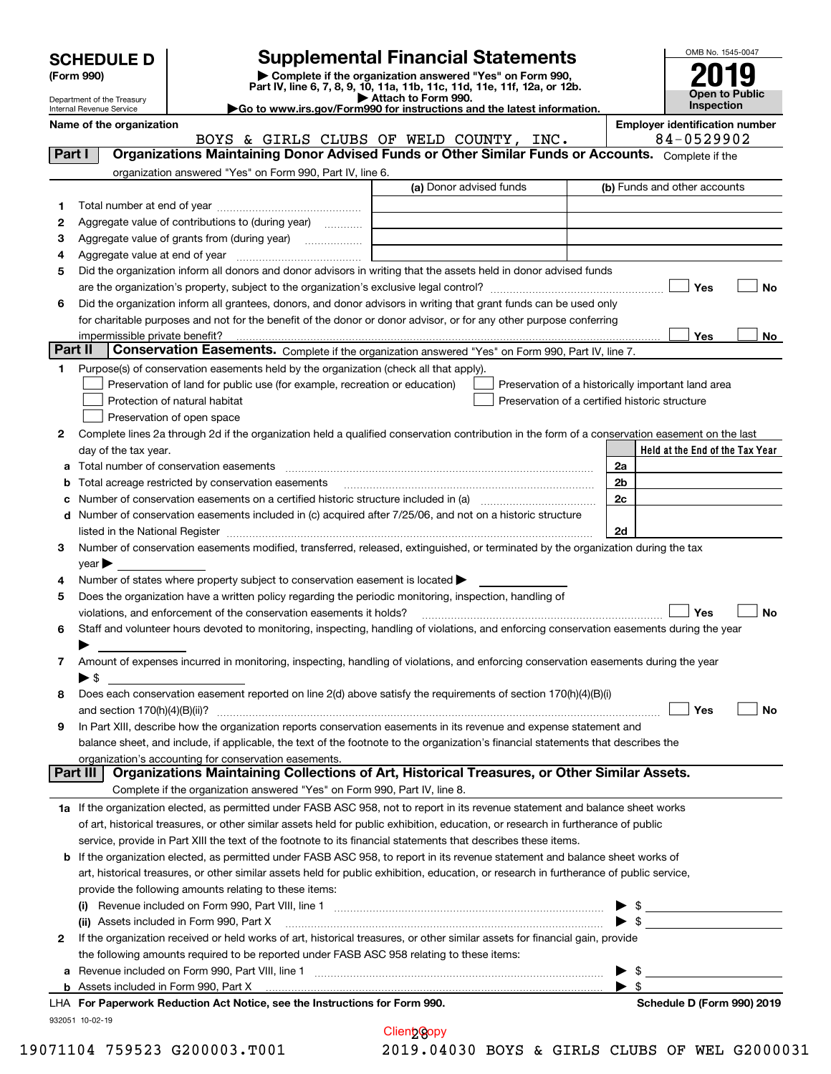| <b>SCHEDULE D</b> |  |
|-------------------|--|
|-------------------|--|

# **SCHEDULE D Supplemental Financial Statements**

(Form 990)<br>
Pepartment of the Treasury<br>
Department of the Treasury<br>
Department of the Treasury<br>
Department of the Treasury<br> **Co to www.irs.gov/Form990 for instructions and the latest information.**<br> **Co to www.irs.gov/Form9** 



Department of the Treasury Internal Revenue Service

**Name of the organization Employer identification number** BOYS & GIRLS CLUBS OF WELD COUNTY, INC. | 84-0529902

| Part I       | Organizations Maintaining Donor Advised Funds or Other Similar Funds or Accounts. Complete if the<br>organization answered "Yes" on Form 990, Part IV, line 6.                                                                |                         |                                                                                                                                                                                                                                                                 |
|--------------|-------------------------------------------------------------------------------------------------------------------------------------------------------------------------------------------------------------------------------|-------------------------|-----------------------------------------------------------------------------------------------------------------------------------------------------------------------------------------------------------------------------------------------------------------|
|              |                                                                                                                                                                                                                               | (a) Donor advised funds | (b) Funds and other accounts                                                                                                                                                                                                                                    |
| 1.           |                                                                                                                                                                                                                               |                         |                                                                                                                                                                                                                                                                 |
| 2            | Aggregate value of contributions to (during year)                                                                                                                                                                             |                         |                                                                                                                                                                                                                                                                 |
| з            | Aggregate value of grants from (during year)                                                                                                                                                                                  |                         |                                                                                                                                                                                                                                                                 |
| 4            |                                                                                                                                                                                                                               |                         |                                                                                                                                                                                                                                                                 |
| 5            | Did the organization inform all donors and donor advisors in writing that the assets held in donor advised funds                                                                                                              |                         |                                                                                                                                                                                                                                                                 |
|              |                                                                                                                                                                                                                               |                         | Yes<br>No                                                                                                                                                                                                                                                       |
| 6            | Did the organization inform all grantees, donors, and donor advisors in writing that grant funds can be used only                                                                                                             |                         |                                                                                                                                                                                                                                                                 |
|              | for charitable purposes and not for the benefit of the donor or donor advisor, or for any other purpose conferring                                                                                                            |                         |                                                                                                                                                                                                                                                                 |
|              |                                                                                                                                                                                                                               |                         | Yes<br>No                                                                                                                                                                                                                                                       |
| Part II      | Conservation Easements. Complete if the organization answered "Yes" on Form 990, Part IV, line 7.                                                                                                                             |                         |                                                                                                                                                                                                                                                                 |
| 1.           | Purpose(s) of conservation easements held by the organization (check all that apply).                                                                                                                                         |                         |                                                                                                                                                                                                                                                                 |
|              | Preservation of land for public use (for example, recreation or education)                                                                                                                                                    |                         | Preservation of a historically important land area                                                                                                                                                                                                              |
|              | Protection of natural habitat                                                                                                                                                                                                 |                         | Preservation of a certified historic structure                                                                                                                                                                                                                  |
|              | Preservation of open space                                                                                                                                                                                                    |                         |                                                                                                                                                                                                                                                                 |
| 2            | Complete lines 2a through 2d if the organization held a qualified conservation contribution in the form of a conservation easement on the last                                                                                |                         |                                                                                                                                                                                                                                                                 |
|              | day of the tax year.                                                                                                                                                                                                          |                         | Held at the End of the Tax Year                                                                                                                                                                                                                                 |
| а            |                                                                                                                                                                                                                               |                         | 2a                                                                                                                                                                                                                                                              |
| b            | Total acreage restricted by conservation easements                                                                                                                                                                            |                         | 2 <sub>b</sub>                                                                                                                                                                                                                                                  |
| c            |                                                                                                                                                                                                                               |                         | 2c                                                                                                                                                                                                                                                              |
| d            | Number of conservation easements included in (c) acquired after 7/25/06, and not on a historic structure                                                                                                                      |                         |                                                                                                                                                                                                                                                                 |
|              | listed in the National Register [111] Marshall Register [11] Marshall Register [11] Marshall Register [11] Marshall Register [11] Marshall Register [11] Marshall Register [11] Marshall Register [11] Marshall Register [11] |                         | 2d                                                                                                                                                                                                                                                              |
| З.           | Number of conservation easements modified, transferred, released, extinguished, or terminated by the organization during the tax                                                                                              |                         |                                                                                                                                                                                                                                                                 |
|              | $year \blacktriangleright$                                                                                                                                                                                                    |                         |                                                                                                                                                                                                                                                                 |
| 4            | Number of states where property subject to conservation easement is located >                                                                                                                                                 |                         |                                                                                                                                                                                                                                                                 |
| 5            | Does the organization have a written policy regarding the periodic monitoring, inspection, handling of                                                                                                                        |                         |                                                                                                                                                                                                                                                                 |
|              | violations, and enforcement of the conservation easements it holds?                                                                                                                                                           |                         | Yes<br><b>No</b>                                                                                                                                                                                                                                                |
| 6            | Staff and volunteer hours devoted to monitoring, inspecting, handling of violations, and enforcing conservation easements during the year                                                                                     |                         |                                                                                                                                                                                                                                                                 |
|              |                                                                                                                                                                                                                               |                         |                                                                                                                                                                                                                                                                 |
| 7            | Amount of expenses incurred in monitoring, inspecting, handling of violations, and enforcing conservation easements during the year                                                                                           |                         |                                                                                                                                                                                                                                                                 |
|              | $\blacktriangleright$ s                                                                                                                                                                                                       |                         |                                                                                                                                                                                                                                                                 |
| 8            | Does each conservation easement reported on line 2(d) above satisfy the requirements of section 170(h)(4)(B)(i)                                                                                                               |                         |                                                                                                                                                                                                                                                                 |
|              |                                                                                                                                                                                                                               |                         | Yes<br>No                                                                                                                                                                                                                                                       |
| 9            | In Part XIII, describe how the organization reports conservation easements in its revenue and expense statement and                                                                                                           |                         |                                                                                                                                                                                                                                                                 |
|              | balance sheet, and include, if applicable, the text of the footnote to the organization's financial statements that describes the                                                                                             |                         |                                                                                                                                                                                                                                                                 |
|              | organization's accounting for conservation easements.                                                                                                                                                                         |                         |                                                                                                                                                                                                                                                                 |
|              | Organizations Maintaining Collections of Art, Historical Treasures, or Other Similar Assets.<br>Part III                                                                                                                      |                         |                                                                                                                                                                                                                                                                 |
|              | Complete if the organization answered "Yes" on Form 990, Part IV, line 8.                                                                                                                                                     |                         |                                                                                                                                                                                                                                                                 |
|              | 1a If the organization elected, as permitted under FASB ASC 958, not to report in its revenue statement and balance sheet works                                                                                               |                         |                                                                                                                                                                                                                                                                 |
|              | of art, historical treasures, or other similar assets held for public exhibition, education, or research in furtherance of public                                                                                             |                         |                                                                                                                                                                                                                                                                 |
|              | service, provide in Part XIII the text of the footnote to its financial statements that describes these items.                                                                                                                |                         |                                                                                                                                                                                                                                                                 |
| b            | If the organization elected, as permitted under FASB ASC 958, to report in its revenue statement and balance sheet works of                                                                                                   |                         |                                                                                                                                                                                                                                                                 |
|              | art, historical treasures, or other similar assets held for public exhibition, education, or research in furtherance of public service,                                                                                       |                         |                                                                                                                                                                                                                                                                 |
|              | provide the following amounts relating to these items:                                                                                                                                                                        |                         |                                                                                                                                                                                                                                                                 |
|              |                                                                                                                                                                                                                               |                         | ▶                                                                                                                                                                                                                                                               |
|              | (ii) Assets included in Form 990, Part X                                                                                                                                                                                      |                         | $\frac{1}{2}$<br>$\blacktriangleright$ \$                                                                                                                                                                                                                       |
| $\mathbf{2}$ | If the organization received or held works of art, historical treasures, or other similar assets for financial gain, provide                                                                                                  |                         |                                                                                                                                                                                                                                                                 |
|              | the following amounts required to be reported under FASB ASC 958 relating to these items:                                                                                                                                     |                         |                                                                                                                                                                                                                                                                 |
|              |                                                                                                                                                                                                                               |                         | \$                                                                                                                                                                                                                                                              |
| а            | <b>b</b> Assets included in Form 990, Part X                                                                                                                                                                                  |                         | <u>and the state of the state of the state of the state of the state of the state of the state of the state of the state of the state of the state of the state of the state of the state of the state of the state of the state</u><br>$\blacktriangleright$ s |
|              | LHA For Paperwork Reduction Act Notice, see the Instructions for Form 990.                                                                                                                                                    |                         | Schedule D (Form 990) 2019                                                                                                                                                                                                                                      |

932051 10-02-19

Client Copy

19071104 759523 G200003.T001 2019.04030 BOYS & GIRLS CLUBS OF WEL G2000031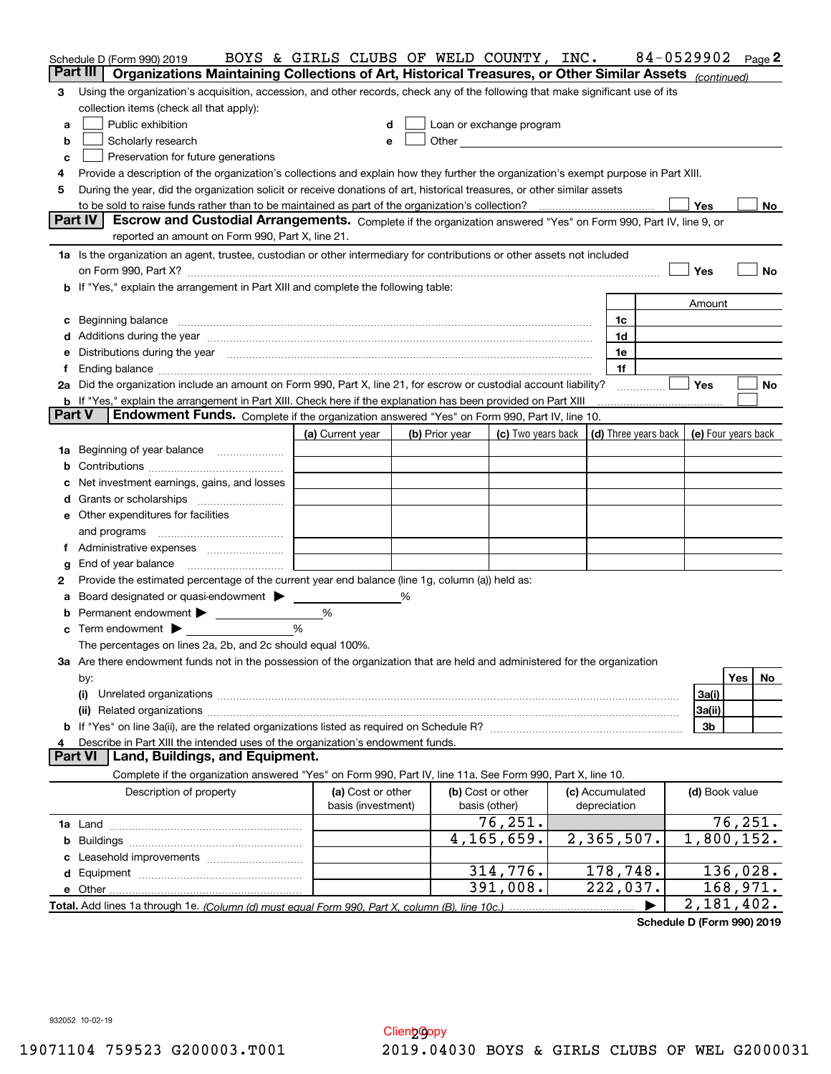|                | Schedule D (Form 990) 2019                                                                                                                                                                                                                                                                                                  | BOYS & GIRLS CLUBS OF WELD COUNTY, INC. |   |                |                                                                             |                        | 84-0529902 |                |          | Page 2 |
|----------------|-----------------------------------------------------------------------------------------------------------------------------------------------------------------------------------------------------------------------------------------------------------------------------------------------------------------------------|-----------------------------------------|---|----------------|-----------------------------------------------------------------------------|------------------------|------------|----------------|----------|--------|
|                | Part III<br>Organizations Maintaining Collections of Art, Historical Treasures, or Other Similar Assets (continued)                                                                                                                                                                                                         |                                         |   |                |                                                                             |                        |            |                |          |        |
| 3              | Using the organization's acquisition, accession, and other records, check any of the following that make significant use of its                                                                                                                                                                                             |                                         |   |                |                                                                             |                        |            |                |          |        |
|                | collection items (check all that apply):                                                                                                                                                                                                                                                                                    |                                         |   |                |                                                                             |                        |            |                |          |        |
| a              | Public exhibition                                                                                                                                                                                                                                                                                                           | d                                       |   |                | Loan or exchange program                                                    |                        |            |                |          |        |
| b              | Scholarly research                                                                                                                                                                                                                                                                                                          | e                                       |   |                |                                                                             |                        |            |                |          |        |
| c              | Preservation for future generations                                                                                                                                                                                                                                                                                         |                                         |   |                |                                                                             |                        |            |                |          |        |
| 4              | Provide a description of the organization's collections and explain how they further the organization's exempt purpose in Part XIII.                                                                                                                                                                                        |                                         |   |                |                                                                             |                        |            |                |          |        |
| 5              | During the year, did the organization solicit or receive donations of art, historical treasures, or other similar assets                                                                                                                                                                                                    |                                         |   |                |                                                                             |                        |            |                |          |        |
|                | <b>Part IV</b><br>Escrow and Custodial Arrangements. Complete if the organization answered "Yes" on Form 990, Part IV, line 9, or                                                                                                                                                                                           |                                         |   |                |                                                                             |                        |            | Yes            |          | No l   |
|                | reported an amount on Form 990, Part X, line 21.                                                                                                                                                                                                                                                                            |                                         |   |                |                                                                             |                        |            |                |          |        |
|                |                                                                                                                                                                                                                                                                                                                             |                                         |   |                |                                                                             |                        |            |                |          |        |
|                | 1a Is the organization an agent, trustee, custodian or other intermediary for contributions or other assets not included                                                                                                                                                                                                    |                                         |   |                |                                                                             |                        |            | Yes            |          | No     |
|                | on Form 990, Part X? [11] matter contracts and contracts and contracts are contracted as a function of the set of the set of the set of the set of the set of the set of the set of the set of the set of the set of the set o<br><b>b</b> If "Yes," explain the arrangement in Part XIII and complete the following table: |                                         |   |                |                                                                             |                        |            |                |          |        |
|                |                                                                                                                                                                                                                                                                                                                             |                                         |   |                |                                                                             |                        |            | Amount         |          |        |
|                | c Beginning balance measurements and the contract of the contract of the contract of the contract of the contract of the contract of the contract of the contract of the contract of the contract of the contract of the contr                                                                                              |                                         |   |                |                                                                             | 1c                     |            |                |          |        |
|                |                                                                                                                                                                                                                                                                                                                             |                                         |   |                |                                                                             | 1d                     |            |                |          |        |
|                | e Distributions during the year manufactured and contain an account of the state of the state of the state of the state of the state of the state of the state of the state of the state of the state of the state of the stat                                                                                              |                                         |   |                |                                                                             | 1e                     |            |                |          |        |
| f              |                                                                                                                                                                                                                                                                                                                             |                                         |   |                |                                                                             | 1f                     |            |                |          |        |
|                | 2a Did the organization include an amount on Form 990, Part X, line 21, for escrow or custodial account liability?                                                                                                                                                                                                          |                                         |   |                |                                                                             |                        |            | <b>Yes</b>     |          | No     |
|                | <b>b</b> If "Yes," explain the arrangement in Part XIII. Check here if the explanation has been provided on Part XIII                                                                                                                                                                                                       |                                         |   |                |                                                                             |                        |            |                |          |        |
|                | <b>Part V</b><br>Endowment Funds. Complete if the organization answered "Yes" on Form 990, Part IV, line 10.                                                                                                                                                                                                                |                                         |   |                |                                                                             |                        |            |                |          |        |
|                |                                                                                                                                                                                                                                                                                                                             | (a) Current year                        |   | (b) Prior year | (c) Two years back $\vert$ (d) Three years back $\vert$ (e) Four years back |                        |            |                |          |        |
|                | 1a Beginning of year balance                                                                                                                                                                                                                                                                                                |                                         |   |                |                                                                             |                        |            |                |          |        |
|                |                                                                                                                                                                                                                                                                                                                             |                                         |   |                |                                                                             |                        |            |                |          |        |
|                | c Net investment earnings, gains, and losses                                                                                                                                                                                                                                                                                |                                         |   |                |                                                                             |                        |            |                |          |        |
|                |                                                                                                                                                                                                                                                                                                                             |                                         |   |                |                                                                             |                        |            |                |          |        |
|                | <b>e</b> Other expenditures for facilities                                                                                                                                                                                                                                                                                  |                                         |   |                |                                                                             |                        |            |                |          |        |
|                |                                                                                                                                                                                                                                                                                                                             |                                         |   |                |                                                                             |                        |            |                |          |        |
|                |                                                                                                                                                                                                                                                                                                                             |                                         |   |                |                                                                             |                        |            |                |          |        |
| g              | End of year balance                                                                                                                                                                                                                                                                                                         |                                         |   |                |                                                                             |                        |            |                |          |        |
| 2              | Provide the estimated percentage of the current year end balance (line 1g, column (a)) held as:                                                                                                                                                                                                                             |                                         |   |                |                                                                             |                        |            |                |          |        |
|                | a Board designated or quasi-endowment > _____                                                                                                                                                                                                                                                                               |                                         | % |                |                                                                             |                        |            |                |          |        |
|                | <b>b</b> Permanent endowment > ____________                                                                                                                                                                                                                                                                                 | %                                       |   |                |                                                                             |                        |            |                |          |        |
|                | $\mathbf c$ Term endowment $\blacktriangleright$                                                                                                                                                                                                                                                                            | $\frac{0}{6}$                           |   |                |                                                                             |                        |            |                |          |        |
|                | The percentages on lines 2a, 2b, and 2c should equal 100%.                                                                                                                                                                                                                                                                  |                                         |   |                |                                                                             |                        |            |                |          |        |
|                | 3a Are there endowment funds not in the possession of the organization that are held and administered for the organization                                                                                                                                                                                                  |                                         |   |                |                                                                             |                        |            |                |          |        |
|                | by:                                                                                                                                                                                                                                                                                                                         |                                         |   |                |                                                                             |                        |            |                | Yes      | No     |
|                | (i)                                                                                                                                                                                                                                                                                                                         |                                         |   |                |                                                                             |                        |            | 3a(i)          |          |        |
|                |                                                                                                                                                                                                                                                                                                                             |                                         |   |                |                                                                             |                        |            | 3a(ii)         |          |        |
| 4              | Describe in Part XIII the intended uses of the organization's endowment funds.                                                                                                                                                                                                                                              |                                         |   |                |                                                                             |                        |            | 3b             |          |        |
| <b>Part VI</b> | Land, Buildings, and Equipment.                                                                                                                                                                                                                                                                                             |                                         |   |                |                                                                             |                        |            |                |          |        |
|                | Complete if the organization answered "Yes" on Form 990, Part IV, line 11a. See Form 990, Part X, line 10.                                                                                                                                                                                                                  |                                         |   |                |                                                                             |                        |            |                |          |        |
|                | Description of property                                                                                                                                                                                                                                                                                                     | (a) Cost or other                       |   |                | (b) Cost or other                                                           | (c) Accumulated        |            | (d) Book value |          |        |
|                |                                                                                                                                                                                                                                                                                                                             | basis (investment)                      |   |                | basis (other)                                                               | depreciation           |            |                |          |        |
|                |                                                                                                                                                                                                                                                                                                                             |                                         |   |                | 76,251.                                                                     |                        |            |                | 76, 251. |        |
|                |                                                                                                                                                                                                                                                                                                                             |                                         |   |                | 4,165,659.                                                                  | 2,365,507.             |            | 1,800,152.     |          |        |
|                |                                                                                                                                                                                                                                                                                                                             |                                         |   |                |                                                                             |                        |            |                |          |        |
|                |                                                                                                                                                                                                                                                                                                                             |                                         |   |                | 314,776.                                                                    | 178, 748.              |            |                | 136,028. |        |
|                |                                                                                                                                                                                                                                                                                                                             |                                         |   |                | 391,008.                                                                    | $\overline{222,037}$ . |            |                | 168,971. |        |
|                |                                                                                                                                                                                                                                                                                                                             |                                         |   |                |                                                                             |                        |            | 2,181,402.     |          |        |

**Schedule D (Form 990) 2019**

932052 10-02-19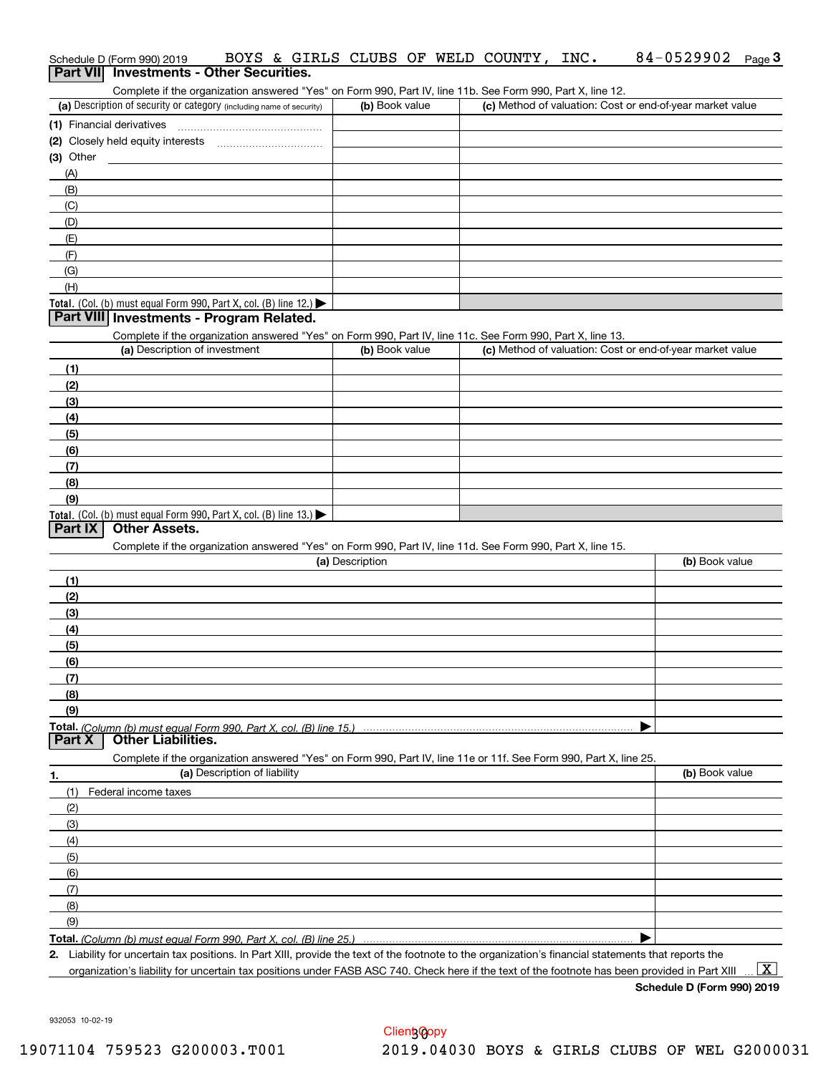| (a) Description of security or category (including name of security)                                                  | (b) Book value  | (c) Method of valuation: Cost or end-of-year market value |                |
|-----------------------------------------------------------------------------------------------------------------------|-----------------|-----------------------------------------------------------|----------------|
|                                                                                                                       |                 |                                                           |                |
| (2) Closely held equity interests [11] [2] Closely held equity interests                                              |                 |                                                           |                |
| (3) Other                                                                                                             |                 |                                                           |                |
| (A)                                                                                                                   |                 |                                                           |                |
|                                                                                                                       |                 |                                                           |                |
| (B)                                                                                                                   |                 |                                                           |                |
| (C)                                                                                                                   |                 |                                                           |                |
| (D)                                                                                                                   |                 |                                                           |                |
| (E)                                                                                                                   |                 |                                                           |                |
| (F)                                                                                                                   |                 |                                                           |                |
| (G)                                                                                                                   |                 |                                                           |                |
| (H)                                                                                                                   |                 |                                                           |                |
| Total. (Col. (b) must equal Form 990, Part X, col. (B) line 12.)                                                      |                 |                                                           |                |
| Part VIII Investments - Program Related.                                                                              |                 |                                                           |                |
| Complete if the organization answered "Yes" on Form 990, Part IV, line 11c. See Form 990, Part X, line 13.            |                 |                                                           |                |
| (a) Description of investment                                                                                         | (b) Book value  | (c) Method of valuation: Cost or end-of-year market value |                |
|                                                                                                                       |                 |                                                           |                |
| (1)                                                                                                                   |                 |                                                           |                |
| (2)                                                                                                                   |                 |                                                           |                |
| (3)                                                                                                                   |                 |                                                           |                |
| (4)                                                                                                                   |                 |                                                           |                |
| (5)                                                                                                                   |                 |                                                           |                |
| (6)                                                                                                                   |                 |                                                           |                |
| (7)                                                                                                                   |                 |                                                           |                |
| (8)                                                                                                                   |                 |                                                           |                |
| (9)                                                                                                                   |                 |                                                           |                |
|                                                                                                                       |                 |                                                           |                |
|                                                                                                                       |                 |                                                           |                |
| Total. (Col. (b) must equal Form 990, Part X, col. (B) line 13.)                                                      |                 |                                                           |                |
| <b>Other Assets.</b>                                                                                                  |                 |                                                           |                |
| Part IX<br>Complete if the organization answered "Yes" on Form 990, Part IV, line 11d. See Form 990, Part X, line 15. |                 |                                                           |                |
|                                                                                                                       | (a) Description |                                                           | (b) Book value |
| (1)                                                                                                                   |                 |                                                           |                |
| (2)                                                                                                                   |                 |                                                           |                |
| (3)                                                                                                                   |                 |                                                           |                |
| (4)                                                                                                                   |                 |                                                           |                |
|                                                                                                                       |                 |                                                           |                |
| (5)                                                                                                                   |                 |                                                           |                |
| (6)                                                                                                                   |                 |                                                           |                |
| (7)                                                                                                                   |                 |                                                           |                |
| (8)                                                                                                                   |                 |                                                           |                |
| (9)                                                                                                                   |                 |                                                           |                |
|                                                                                                                       |                 |                                                           |                |
| <b>Other Liabilities.</b>                                                                                             |                 |                                                           |                |
| Complete if the organization answered "Yes" on Form 990, Part IV, line 11e or 11f. See Form 990, Part X, line 25.     |                 |                                                           |                |
| (a) Description of liability                                                                                          |                 |                                                           | (b) Book value |
| Federal income taxes<br>(1)                                                                                           |                 |                                                           |                |
|                                                                                                                       |                 |                                                           |                |
| (2)                                                                                                                   |                 |                                                           |                |
| (3)                                                                                                                   |                 |                                                           |                |
| (4)                                                                                                                   |                 |                                                           |                |
| (5)                                                                                                                   |                 |                                                           |                |
| (6)                                                                                                                   |                 |                                                           |                |
| Total. (Column (b) must equal Form 990, Part X, col. (B) line 15.)<br>Part X<br>(7)                                   |                 |                                                           |                |
| (8)                                                                                                                   |                 |                                                           |                |
| (9)                                                                                                                   |                 |                                                           |                |

organization's liability for uncertain tax positions under FASB ASC 740. Check here if the text of the footnote has been provided in Part XIII

**Schedule D (Form 990) 2019**

932053 10-02-19

### Schedule D (Form 990) 2019 BOYS & GIRLS CLUBS OF WELD COUNTY, INC. 84-0529902 Page<br>Part VIII Investments - Other Securities Schedule D (Form 990) 2019 **BOYS & GIRLS CLUBS OF WELD COUNTY, INC.** 84-0529902 Page 3<br>**Part VIII Investments - Other Securities.**

| (a) Description of security or category (including name of security) | (b) Book value | (c) Method of valuation: Cost or end-of-year market value |
|----------------------------------------------------------------------|----------------|-----------------------------------------------------------|
| (1) Financial derivatives                                            |                |                                                           |
| (2) Closely held equity interests                                    |                |                                                           |
| (3) Other                                                            |                |                                                           |
| (A)                                                                  |                |                                                           |
| (B)                                                                  |                |                                                           |
| (C)                                                                  |                |                                                           |
| (D)                                                                  |                |                                                           |
| (E)                                                                  |                |                                                           |
| (F)                                                                  |                |                                                           |
| (G)                                                                  |                |                                                           |
| (H)                                                                  |                |                                                           |
|                                                                      |                |                                                           |

 $\boxed{\text{X}}$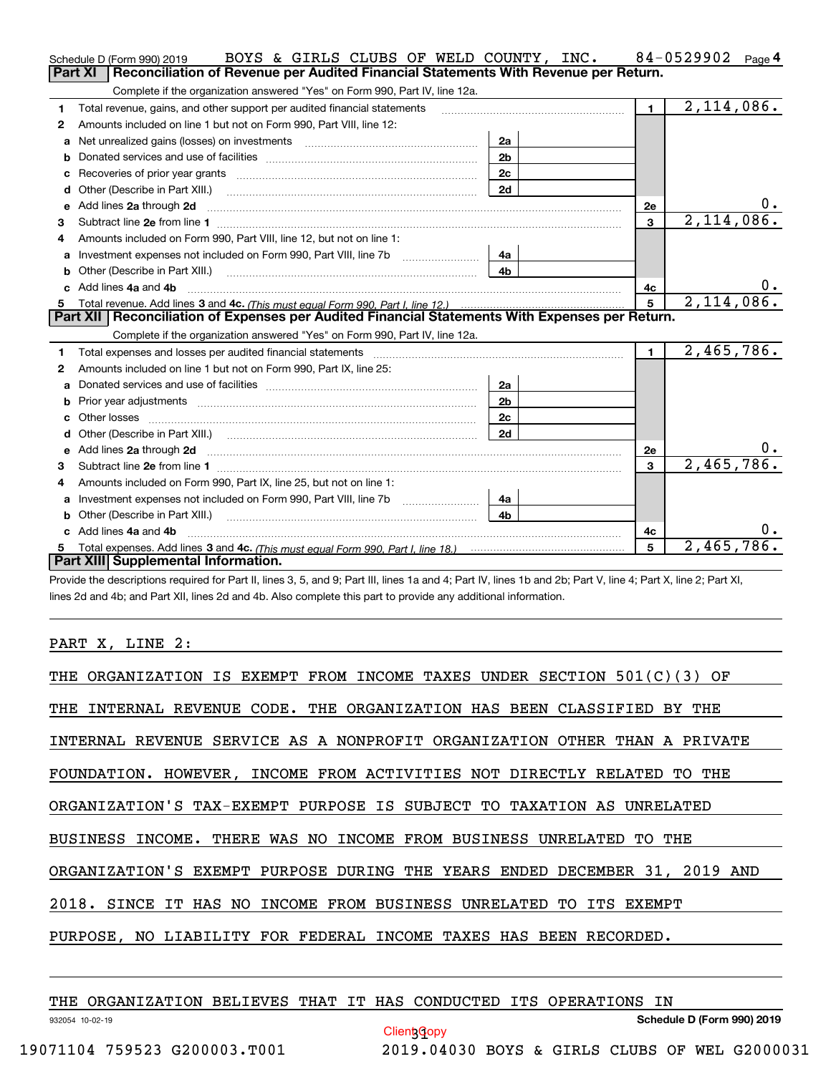|    | BOYS & GIRLS CLUBS OF WELD COUNTY, INC.<br>Schedule D (Form 990) 2019                                                                                                                                                               |                |                | 84-0529902<br>Page 4 |
|----|-------------------------------------------------------------------------------------------------------------------------------------------------------------------------------------------------------------------------------------|----------------|----------------|----------------------|
|    | <b>Part XI</b><br>Reconciliation of Revenue per Audited Financial Statements With Revenue per Return.                                                                                                                               |                |                |                      |
|    | Complete if the organization answered "Yes" on Form 990, Part IV, line 12a.                                                                                                                                                         |                |                |                      |
| 1. | Total revenue, gains, and other support per audited financial statements                                                                                                                                                            |                | $\blacksquare$ | 2,114,086.           |
| 2  | Amounts included on line 1 but not on Form 990, Part VIII, line 12:                                                                                                                                                                 |                |                |                      |
| a  |                                                                                                                                                                                                                                     | 2a             |                |                      |
| b  |                                                                                                                                                                                                                                     | 2 <sub>b</sub> |                |                      |
| c  |                                                                                                                                                                                                                                     | 2c             |                |                      |
|    |                                                                                                                                                                                                                                     | 2d             |                |                      |
|    | e Add lines 2a through 2d                                                                                                                                                                                                           |                | <b>2e</b>      | 0.                   |
| 3  |                                                                                                                                                                                                                                     |                | 3              | 2,114,086.           |
| 4  | Amounts included on Form 990, Part VIII, line 12, but not on line 1:                                                                                                                                                                |                |                |                      |
| a  |                                                                                                                                                                                                                                     | 4a             |                |                      |
|    |                                                                                                                                                                                                                                     | 4b             |                |                      |
|    | c Add lines 4a and 4b                                                                                                                                                                                                               |                | 4c             | 0.                   |
|    |                                                                                                                                                                                                                                     |                | 5              | 2,114,086.           |
|    | Part XII   Reconciliation of Expenses per Audited Financial Statements With Expenses per Return.                                                                                                                                    |                |                |                      |
|    | Complete if the organization answered "Yes" on Form 990, Part IV, line 12a.                                                                                                                                                         |                |                |                      |
| 1  | Total expenses and losses per audited financial statements [11, 11] manuscription control expenses and losses per audited financial statements [11] manuscription of the statements [11] manuscription of the statements [11]       |                | $\blacksquare$ | 2,465,786.           |
| 2  | Amounts included on line 1 but not on Form 990, Part IX, line 25:                                                                                                                                                                   |                |                |                      |
| a  | Donated services and use of facilities [111] manuscription and services and use of facilities [11] manuscription and the Donated Services and use of facilities [11] manuscription and the Donated Services and use of facilit      | 2a             |                |                      |
| b  |                                                                                                                                                                                                                                     | 2 <sub>b</sub> |                |                      |
|    |                                                                                                                                                                                                                                     | 2c             |                |                      |
| d  | Other (Describe in Part XIII.) (2000) (2000) (2000) (2000) (2000) (2000) (2000) (2000) (2000) (2000) (2000) (2000) (2000) (2000) (2000) (2000) (2000) (2000) (2000) (2000) (2000) (2000) (2000) (2000) (2000) (2000) (2000) (2      | 2d             |                |                      |
| e  | Add lines 2a through 2d <b>contained a contained a contained a contained a</b> contained a contact the set of the set of the set of the set of the set of the set of the set of the set of the set of the set of the set of the set |                | <b>2e</b>      | υ.                   |
| 3  |                                                                                                                                                                                                                                     |                | 3              | 2,465,786.           |
| 4  | Amounts included on Form 990, Part IX, line 25, but not on line 1:                                                                                                                                                                  |                |                |                      |
| a  | Investment expenses not included on Form 990, Part VIII, line 7b [11, 111, 111, 111]                                                                                                                                                | 4a             |                |                      |
|    |                                                                                                                                                                                                                                     | 4 <sub>h</sub> |                |                      |
|    | Add lines 4a and 4b                                                                                                                                                                                                                 |                | 4c             | 0.                   |
| 5. |                                                                                                                                                                                                                                     |                | 5              | 2,465,786.           |
|    | Part XIII Supplemental Information.                                                                                                                                                                                                 |                |                |                      |
|    | Provide the descriptions required for Part II, lines 3, 5, and 9; Part III, lines 1a and 4; Part IV, lines 1b and 2b; Part V, line 4; Part X, line 2; Part XI,                                                                      |                |                |                      |

lines 2d and 4b; and Part XII, lines 2d and 4b. Also complete this part to provide any additional information.

### PART X, LINE 2:

| THE ORGANIZATION IS EXEMPT FROM INCOME TAXES UNDER SECTION 501(C)(3) OF    |
|----------------------------------------------------------------------------|
| THE INTERNAL REVENUE CODE. THE ORGANIZATION HAS BEEN CLASSIFIED BY THE     |
| INTERNAL REVENUE SERVICE AS A NONPROFIT ORGANIZATION OTHER THAN A PRIVATE  |
| FOUNDATION. HOWEVER, INCOME FROM ACTIVITIES NOT DIRECTLY RELATED TO THE    |
| ORGANIZATION'S TAX-EXEMPT PURPOSE IS SUBJECT TO TAXATION AS UNRELATED      |
| BUSINESS INCOME. THERE WAS NO INCOME FROM BUSINESS UNRELATED TO THE        |
| ORGANIZATION'S EXEMPT PURPOSE DURING THE YEARS ENDED DECEMBER 31, 2019 AND |
| 2018. SINCE IT HAS NO INCOME FROM BUSINESS UNRELATED TO ITS EXEMPT         |
| PURPOSE, NO LIABILITY FOR FEDERAL INCOME TAXES HAS BEEN RECORDED.          |
|                                                                            |

Client Gopy

THE ORGANIZATION BELIEVES THAT IT HAS CONDUCTED ITS OPERATIONS IN

932054 10-02-19

**Schedule D (Form 990) 2019**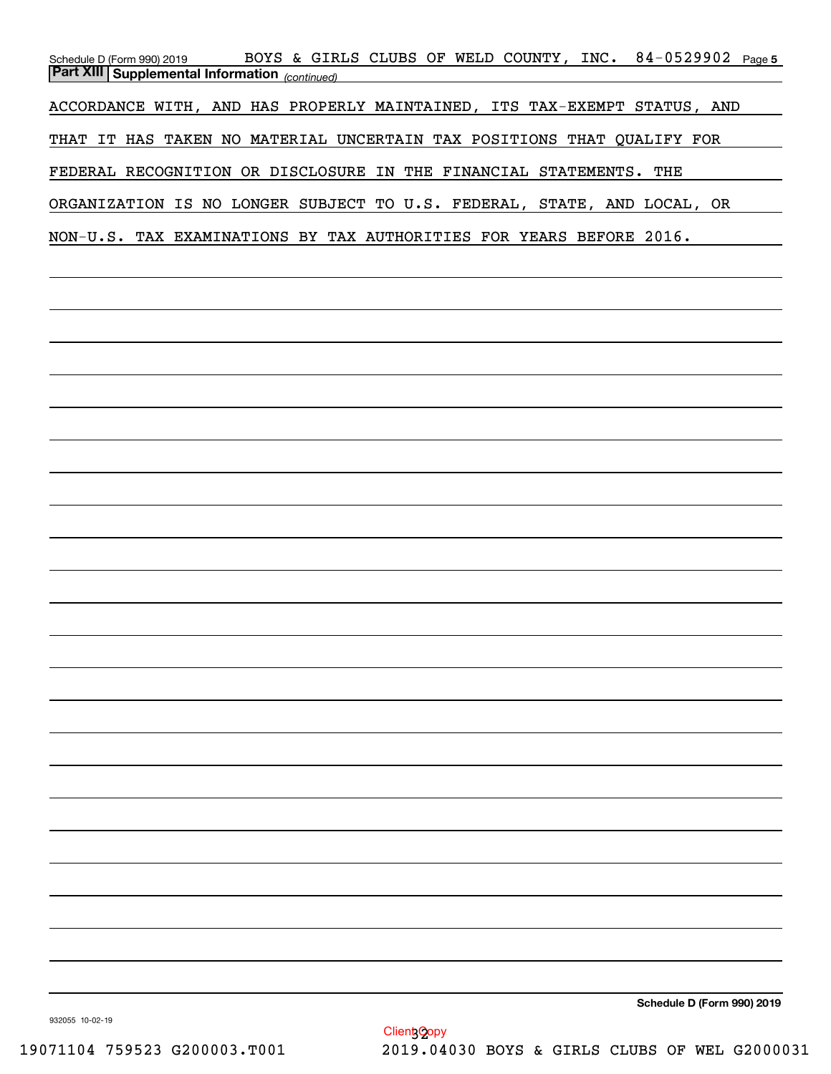| BOYS & GIRLS CLUBS OF WELD COUNTY, INC. 84-0529902 Page 5<br>Schedule D (Form 990) 2019<br><b>Part XIII Supplemental Information</b> (continued) |
|--------------------------------------------------------------------------------------------------------------------------------------------------|
| ACCORDANCE WITH, AND HAS PROPERLY MAINTAINED, ITS TAX-EXEMPT STATUS, AND                                                                         |
| THAT IT HAS TAKEN NO MATERIAL UNCERTAIN TAX POSITIONS THAT QUALIFY FOR                                                                           |
| FEDERAL RECOGNITION OR DISCLOSURE IN THE FINANCIAL STATEMENTS. THE                                                                               |
| ORGANIZATION IS NO LONGER SUBJECT TO U.S. FEDERAL, STATE, AND LOCAL, OR                                                                          |
| NON-U.S. TAX EXAMINATIONS BY TAX AUTHORITIES FOR YEARS BEFORE 2016.                                                                              |
|                                                                                                                                                  |
|                                                                                                                                                  |
|                                                                                                                                                  |
|                                                                                                                                                  |
|                                                                                                                                                  |
|                                                                                                                                                  |
|                                                                                                                                                  |
|                                                                                                                                                  |
|                                                                                                                                                  |
|                                                                                                                                                  |
|                                                                                                                                                  |
|                                                                                                                                                  |
|                                                                                                                                                  |
|                                                                                                                                                  |
|                                                                                                                                                  |
|                                                                                                                                                  |
|                                                                                                                                                  |
|                                                                                                                                                  |
|                                                                                                                                                  |
|                                                                                                                                                  |
|                                                                                                                                                  |
|                                                                                                                                                  |
| Schedule D (Form 990) 2019                                                                                                                       |

932055 10-02-19

Client Copy 19071104 759523 G200003.T001 2019.04030 BOYS & GIRLS CLUBS OF WEL G2000031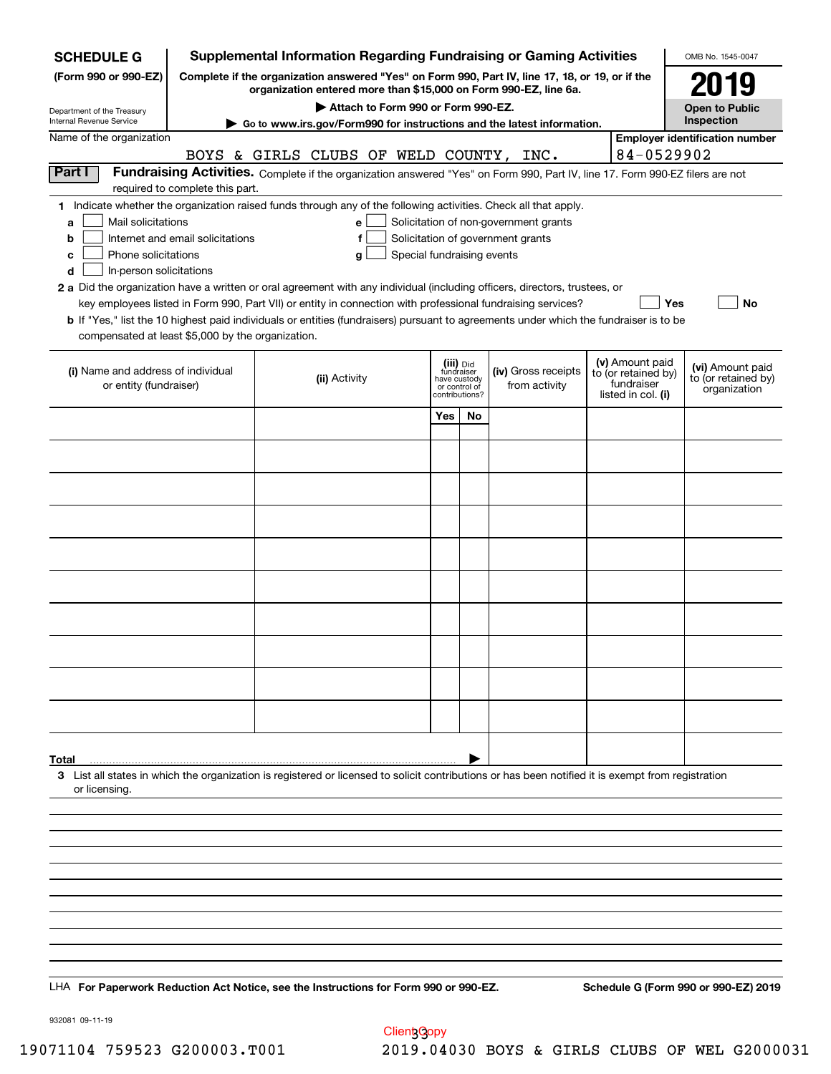| <b>SCHEDULE G</b>                                                                                                                                                                                                                                                                                                                                                                                                                                                                                                                                                                                        |                                                                                                                                                                          |  |               |                                    |                                                                            |    |  | <b>Supplemental Information Regarding Fundraising or Gaming Activities</b> |                                                                            | OMB No. 1545-0047                                       |
|----------------------------------------------------------------------------------------------------------------------------------------------------------------------------------------------------------------------------------------------------------------------------------------------------------------------------------------------------------------------------------------------------------------------------------------------------------------------------------------------------------------------------------------------------------------------------------------------------------|--------------------------------------------------------------------------------------------------------------------------------------------------------------------------|--|---------------|------------------------------------|----------------------------------------------------------------------------|----|--|----------------------------------------------------------------------------|----------------------------------------------------------------------------|---------------------------------------------------------|
| (Form 990 or 990-EZ)                                                                                                                                                                                                                                                                                                                                                                                                                                                                                                                                                                                     | Complete if the organization answered "Yes" on Form 990, Part IV, line 17, 18, or 19, or if the<br>organization entered more than \$15,000 on Form 990-EZ, line 6a.      |  |               |                                    |                                                                            |    |  | 2019                                                                       |                                                                            |                                                         |
|                                                                                                                                                                                                                                                                                                                                                                                                                                                                                                                                                                                                          |                                                                                                                                                                          |  |               | Attach to Form 990 or Form 990-EZ. |                                                                            |    |  |                                                                            |                                                                            | <b>Open to Public</b>                                   |
| Department of the Treasury<br>Internal Revenue Service                                                                                                                                                                                                                                                                                                                                                                                                                                                                                                                                                   |                                                                                                                                                                          |  |               |                                    |                                                                            |    |  | Go to www.irs.gov/Form990 for instructions and the latest information.     |                                                                            | Inspection                                              |
| Name of the organization                                                                                                                                                                                                                                                                                                                                                                                                                                                                                                                                                                                 |                                                                                                                                                                          |  |               |                                    |                                                                            |    |  |                                                                            |                                                                            | <b>Employer identification number</b>                   |
| Part I                                                                                                                                                                                                                                                                                                                                                                                                                                                                                                                                                                                                   | BOYS & GIRLS CLUBS OF WELD COUNTY, INC.<br>Fundraising Activities. Complete if the organization answered "Yes" on Form 990, Part IV, line 17. Form 990-EZ filers are not |  |               |                                    |                                                                            |    |  |                                                                            | 84-0529902                                                                 |                                                         |
|                                                                                                                                                                                                                                                                                                                                                                                                                                                                                                                                                                                                          | required to complete this part.                                                                                                                                          |  |               |                                    |                                                                            |    |  |                                                                            |                                                                            |                                                         |
| 1 Indicate whether the organization raised funds through any of the following activities. Check all that apply.<br>Mail solicitations<br>a<br>b<br>Phone solicitations<br>c<br>In-person solicitations<br>d<br>2 a Did the organization have a written or oral agreement with any individual (including officers, directors, trustees, or<br>key employees listed in Form 990, Part VII) or entity in connection with professional fundraising services?<br><b>b</b> If "Yes," list the 10 highest paid individuals or entities (fundraisers) pursuant to agreements under which the fundraiser is to be | Internet and email solicitations                                                                                                                                         |  | е<br>f<br>g   |                                    | Solicitation of government grants<br>Special fundraising events            |    |  | Solicitation of non-government grants                                      | Yes                                                                        | No                                                      |
| compensated at least \$5,000 by the organization.                                                                                                                                                                                                                                                                                                                                                                                                                                                                                                                                                        |                                                                                                                                                                          |  |               |                                    |                                                                            |    |  |                                                                            |                                                                            |                                                         |
| (i) Name and address of individual<br>or entity (fundraiser)                                                                                                                                                                                                                                                                                                                                                                                                                                                                                                                                             |                                                                                                                                                                          |  | (ii) Activity |                                    | (iii) Did<br>fundraiser<br>have custody<br>or control of<br>contributions? |    |  | (iv) Gross receipts<br>from activity                                       | (v) Amount paid<br>to (or retained by)<br>fundraiser<br>listed in col. (i) | (vi) Amount paid<br>to (or retained by)<br>organization |
|                                                                                                                                                                                                                                                                                                                                                                                                                                                                                                                                                                                                          |                                                                                                                                                                          |  |               |                                    | Yes                                                                        | No |  |                                                                            |                                                                            |                                                         |
|                                                                                                                                                                                                                                                                                                                                                                                                                                                                                                                                                                                                          |                                                                                                                                                                          |  |               |                                    |                                                                            |    |  |                                                                            |                                                                            |                                                         |
|                                                                                                                                                                                                                                                                                                                                                                                                                                                                                                                                                                                                          |                                                                                                                                                                          |  |               |                                    |                                                                            |    |  |                                                                            |                                                                            |                                                         |
|                                                                                                                                                                                                                                                                                                                                                                                                                                                                                                                                                                                                          |                                                                                                                                                                          |  |               |                                    |                                                                            |    |  |                                                                            |                                                                            |                                                         |
|                                                                                                                                                                                                                                                                                                                                                                                                                                                                                                                                                                                                          |                                                                                                                                                                          |  |               |                                    |                                                                            |    |  |                                                                            |                                                                            |                                                         |
|                                                                                                                                                                                                                                                                                                                                                                                                                                                                                                                                                                                                          |                                                                                                                                                                          |  |               |                                    |                                                                            |    |  |                                                                            |                                                                            |                                                         |
|                                                                                                                                                                                                                                                                                                                                                                                                                                                                                                                                                                                                          |                                                                                                                                                                          |  |               |                                    |                                                                            |    |  |                                                                            |                                                                            |                                                         |
|                                                                                                                                                                                                                                                                                                                                                                                                                                                                                                                                                                                                          |                                                                                                                                                                          |  |               |                                    |                                                                            |    |  |                                                                            |                                                                            |                                                         |
|                                                                                                                                                                                                                                                                                                                                                                                                                                                                                                                                                                                                          |                                                                                                                                                                          |  |               |                                    |                                                                            |    |  |                                                                            |                                                                            |                                                         |
|                                                                                                                                                                                                                                                                                                                                                                                                                                                                                                                                                                                                          |                                                                                                                                                                          |  |               |                                    |                                                                            |    |  |                                                                            |                                                                            |                                                         |
| Total                                                                                                                                                                                                                                                                                                                                                                                                                                                                                                                                                                                                    |                                                                                                                                                                          |  |               |                                    |                                                                            |    |  |                                                                            |                                                                            |                                                         |
| 3 List all states in which the organization is registered or licensed to solicit contributions or has been notified it is exempt from registration<br>or licensing.                                                                                                                                                                                                                                                                                                                                                                                                                                      |                                                                                                                                                                          |  |               |                                    |                                                                            |    |  |                                                                            |                                                                            |                                                         |
|                                                                                                                                                                                                                                                                                                                                                                                                                                                                                                                                                                                                          |                                                                                                                                                                          |  |               |                                    |                                                                            |    |  |                                                                            |                                                                            |                                                         |
|                                                                                                                                                                                                                                                                                                                                                                                                                                                                                                                                                                                                          |                                                                                                                                                                          |  |               |                                    |                                                                            |    |  |                                                                            |                                                                            |                                                         |
|                                                                                                                                                                                                                                                                                                                                                                                                                                                                                                                                                                                                          |                                                                                                                                                                          |  |               |                                    |                                                                            |    |  |                                                                            |                                                                            |                                                         |
|                                                                                                                                                                                                                                                                                                                                                                                                                                                                                                                                                                                                          |                                                                                                                                                                          |  |               |                                    |                                                                            |    |  |                                                                            |                                                                            |                                                         |
|                                                                                                                                                                                                                                                                                                                                                                                                                                                                                                                                                                                                          |                                                                                                                                                                          |  |               |                                    |                                                                            |    |  |                                                                            |                                                                            |                                                         |
|                                                                                                                                                                                                                                                                                                                                                                                                                                                                                                                                                                                                          |                                                                                                                                                                          |  |               |                                    |                                                                            |    |  |                                                                            |                                                                            |                                                         |
|                                                                                                                                                                                                                                                                                                                                                                                                                                                                                                                                                                                                          |                                                                                                                                                                          |  |               |                                    |                                                                            |    |  |                                                                            |                                                                            |                                                         |
| LHA For Paperwork Reduction Act Notice, see the Instructions for Form 990 or 990-EZ.                                                                                                                                                                                                                                                                                                                                                                                                                                                                                                                     |                                                                                                                                                                          |  |               |                                    |                                                                            |    |  |                                                                            |                                                                            | Schedule G (Form 990 or 990-EZ) 2019                    |

932081 09-11-19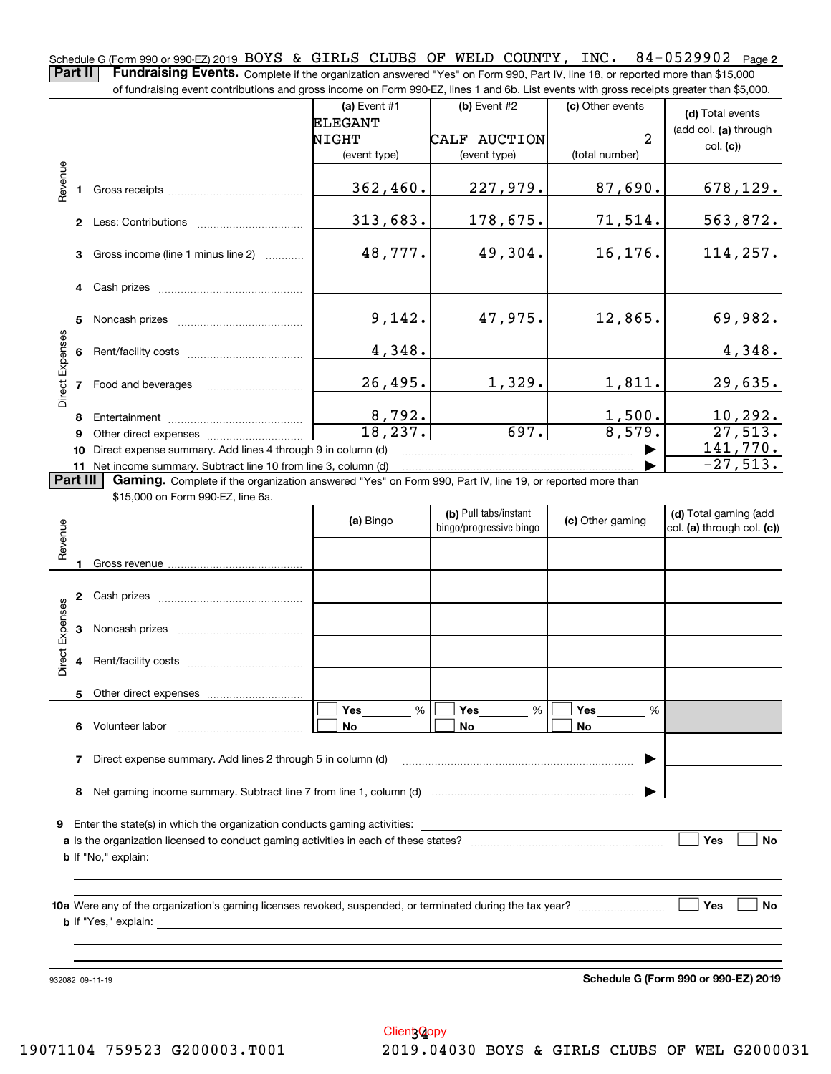Schedule G (Form 990 or 990-EZ) 2019 BOYS & GIRLS CLUBS OF WELD COUNTY, INC. 84-0529902 Page 2<br>D**Part II | Fundraising Fyents**, Camplete it the association assumed "Yea" on Farm 200, Pat "Y line 19 associated mass than \$15

**Part II Fundraising Events.** Complete if the organization answered "Yes" on Form 990, Part IV, line 18, or reported more than \$15,000<br>15.000 of fundraising event contributions and gross income on Form 990-EZ. lines 1 an

|                 |    | of fundraising event contributions and gross income on Form 990-EZ, lines 1 and 6b. List events with gross receipts greater than \$5,000. |                        |                                                  |                         |                                                     |
|-----------------|----|-------------------------------------------------------------------------------------------------------------------------------------------|------------------------|--------------------------------------------------|-------------------------|-----------------------------------------------------|
|                 |    |                                                                                                                                           | (a) Event #1           | (b) Event #2                                     | (c) Other events        | (d) Total events                                    |
|                 |    |                                                                                                                                           | <b>ELEGANT</b>         |                                                  |                         | (add col. (a) through                               |
|                 |    |                                                                                                                                           | NIGHT                  | CALF AUCTION                                     | 2                       | col. (c)                                            |
|                 |    |                                                                                                                                           | (event type)           | (event type)                                     | (total number)          |                                                     |
| Revenue         |    |                                                                                                                                           |                        |                                                  |                         |                                                     |
|                 |    |                                                                                                                                           | 362,460.               | 227,979.                                         | 87,690.                 | 678, 129.                                           |
|                 |    |                                                                                                                                           |                        |                                                  |                         |                                                     |
|                 |    |                                                                                                                                           | 313,683.               | 178,675.                                         | 71,514.                 | 563,872.                                            |
|                 |    |                                                                                                                                           |                        |                                                  |                         |                                                     |
|                 | 3  | Gross income (line 1 minus line 2)                                                                                                        | 48,777.                | 49,304.                                          | 16,176.                 | 114, 257.                                           |
|                 |    |                                                                                                                                           |                        |                                                  |                         |                                                     |
|                 |    |                                                                                                                                           |                        |                                                  |                         |                                                     |
|                 |    |                                                                                                                                           |                        |                                                  |                         |                                                     |
|                 | 5  |                                                                                                                                           | 9,142.                 | 47,975.                                          | 12,865.                 | 69,982.                                             |
|                 |    |                                                                                                                                           |                        |                                                  |                         |                                                     |
|                 |    |                                                                                                                                           | 4,348.                 |                                                  |                         | 4,348.                                              |
| Direct Expenses |    |                                                                                                                                           |                        |                                                  |                         |                                                     |
|                 |    | 7 Food and beverages                                                                                                                      | 26,495.                | 1,329.                                           | 1,811.                  | 29,635.                                             |
|                 |    |                                                                                                                                           |                        |                                                  |                         |                                                     |
|                 | 8  |                                                                                                                                           | $\frac{8,792}{18,237}$ |                                                  | $\frac{1,500}{8,579}$ . | $\frac{10,292.}{27,513.}$                           |
|                 | 9  |                                                                                                                                           |                        | 697.                                             |                         |                                                     |
|                 | 10 | Direct expense summary. Add lines 4 through 9 in column (d)                                                                               |                        |                                                  |                         | 141,770.                                            |
|                 |    | 11 Net income summary. Subtract line 10 from line 3, column (d)                                                                           |                        |                                                  |                         | $-27,513.$                                          |
| Part III        |    | Gaming. Complete if the organization answered "Yes" on Form 990, Part IV, line 19, or reported more than                                  |                        |                                                  |                         |                                                     |
|                 |    | \$15,000 on Form 990-EZ, line 6a.                                                                                                         |                        |                                                  |                         |                                                     |
|                 |    |                                                                                                                                           | (a) Bingo              | (b) Pull tabs/instant<br>bingo/progressive bingo | (c) Other gaming        | (d) Total gaming (add<br>col. (a) through col. (c)) |
|                 |    |                                                                                                                                           |                        |                                                  |                         |                                                     |
| Revenue         |    |                                                                                                                                           |                        |                                                  |                         |                                                     |
|                 |    |                                                                                                                                           |                        |                                                  |                         |                                                     |
|                 |    |                                                                                                                                           |                        |                                                  |                         |                                                     |
|                 |    |                                                                                                                                           |                        |                                                  |                         |                                                     |
| Expenses        |    |                                                                                                                                           |                        |                                                  |                         |                                                     |
|                 | 3  |                                                                                                                                           |                        |                                                  |                         |                                                     |
|                 |    |                                                                                                                                           |                        |                                                  |                         |                                                     |
| Direct          | 4  |                                                                                                                                           |                        |                                                  |                         |                                                     |
|                 |    | 5 Other direct expenses                                                                                                                   |                        |                                                  |                         |                                                     |
|                 |    |                                                                                                                                           | %<br>Yes               | %<br>Yes                                         | Yes<br>%                |                                                     |
|                 |    | 6 Volunteer labor                                                                                                                         | No                     | No                                               | No                      |                                                     |
|                 |    |                                                                                                                                           |                        |                                                  |                         |                                                     |
|                 | 7  | Direct expense summary. Add lines 2 through 5 in column (d)                                                                               |                        |                                                  |                         |                                                     |
|                 |    |                                                                                                                                           |                        |                                                  |                         |                                                     |
|                 |    |                                                                                                                                           |                        |                                                  |                         |                                                     |
|                 |    |                                                                                                                                           |                        |                                                  |                         |                                                     |
|                 |    | <b>9</b> Enter the state(s) in which the organization conducts gaming activities:                                                         |                        |                                                  |                         |                                                     |
|                 |    |                                                                                                                                           |                        |                                                  |                         | Yes<br>No                                           |
|                 |    | <b>b</b> If "No," explain: $\qquad \qquad$                                                                                                |                        |                                                  |                         |                                                     |
|                 |    |                                                                                                                                           |                        |                                                  |                         |                                                     |
|                 |    |                                                                                                                                           |                        |                                                  |                         |                                                     |
|                 |    |                                                                                                                                           |                        |                                                  |                         | Yes<br>No                                           |
|                 |    |                                                                                                                                           |                        |                                                  |                         |                                                     |
|                 |    |                                                                                                                                           |                        |                                                  |                         |                                                     |
|                 |    |                                                                                                                                           |                        |                                                  |                         |                                                     |

932082 09-11-19

**Schedule G (Form 990 or 990-EZ) 2019**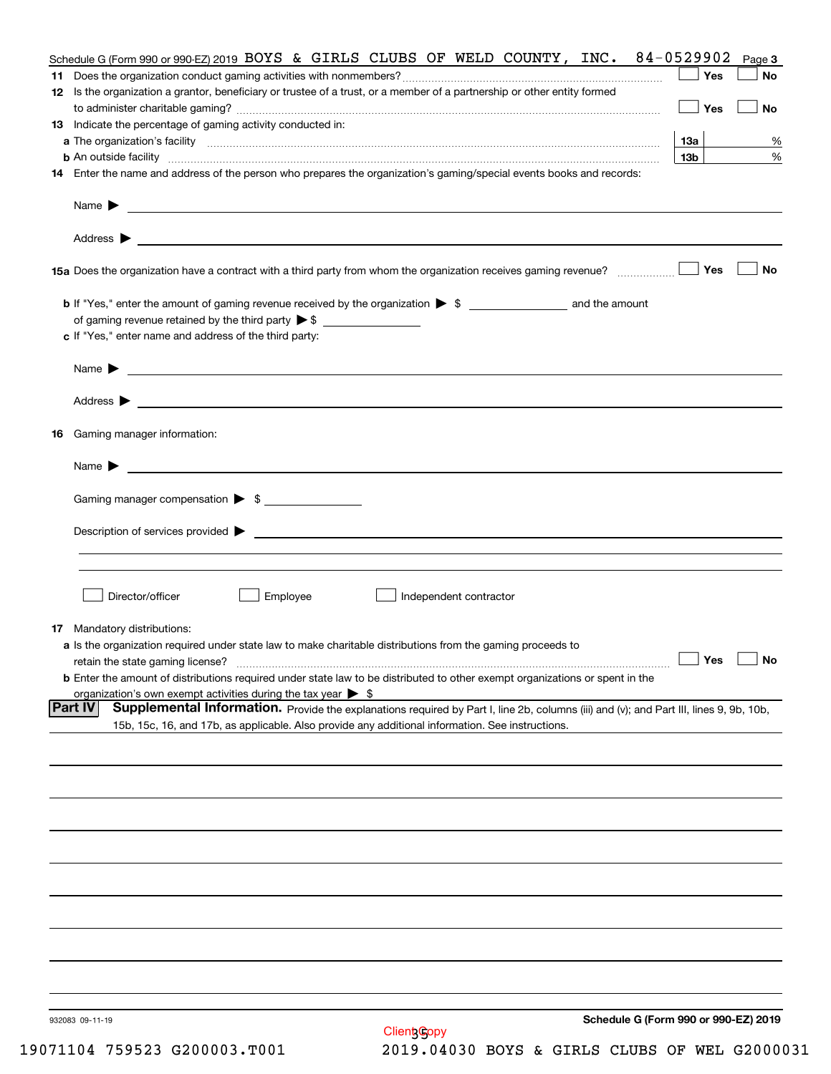| Schedule G (Form 990 or 990-EZ) 2019 BOYS & GIRLS CLUBS OF WELD COUNTY, INC.                                                                                                                                                              | 84-0529902                                                 | Page 3                                           |
|-------------------------------------------------------------------------------------------------------------------------------------------------------------------------------------------------------------------------------------------|------------------------------------------------------------|--------------------------------------------------|
|                                                                                                                                                                                                                                           |                                                            | Yes<br>No                                        |
| 12 Is the organization a grantor, beneficiary or trustee of a trust, or a member of a partnership or other entity formed                                                                                                                  |                                                            |                                                  |
|                                                                                                                                                                                                                                           |                                                            | Yes<br>No                                        |
| 13 Indicate the percentage of gaming activity conducted in:                                                                                                                                                                               |                                                            |                                                  |
|                                                                                                                                                                                                                                           |                                                            | 13а<br>%                                         |
| <b>b</b> An outside facility <b>contract and the contract of the contract of the contract of the contract of the contract of the contract of the contract of the contract of the contract of the contract of the contract of the cont</b> |                                                            | 13 <sub>b</sub><br>%                             |
| 14 Enter the name and address of the person who prepares the organization's gaming/special events books and records:                                                                                                                      |                                                            |                                                  |
|                                                                                                                                                                                                                                           |                                                            |                                                  |
| Name $\blacktriangleright$<br><u> 1989 - Andrea Stadt Britain, amerikansk politik (</u>                                                                                                                                                   |                                                            |                                                  |
|                                                                                                                                                                                                                                           |                                                            |                                                  |
|                                                                                                                                                                                                                                           |                                                            |                                                  |
|                                                                                                                                                                                                                                           |                                                            | Yes<br>No                                        |
|                                                                                                                                                                                                                                           |                                                            |                                                  |
|                                                                                                                                                                                                                                           |                                                            |                                                  |
|                                                                                                                                                                                                                                           |                                                            |                                                  |
| c If "Yes," enter name and address of the third party:                                                                                                                                                                                    |                                                            |                                                  |
|                                                                                                                                                                                                                                           |                                                            |                                                  |
| <u> 1980 - Johann Barbara, martin amerikan personal (</u><br>Name $\blacktriangleright$                                                                                                                                                   |                                                            |                                                  |
|                                                                                                                                                                                                                                           |                                                            |                                                  |
| Address $\blacktriangleright$<br><u> 1990 - Johann Stoff, amerikansk politiker (d. 1980)</u>                                                                                                                                              |                                                            |                                                  |
| Gaming manager information:<br>16                                                                                                                                                                                                         |                                                            |                                                  |
|                                                                                                                                                                                                                                           |                                                            |                                                  |
| Name $\blacktriangleright$                                                                                                                                                                                                                |                                                            |                                                  |
|                                                                                                                                                                                                                                           |                                                            |                                                  |
| Gaming manager compensation > \$                                                                                                                                                                                                          |                                                            |                                                  |
|                                                                                                                                                                                                                                           |                                                            |                                                  |
|                                                                                                                                                                                                                                           |                                                            |                                                  |
|                                                                                                                                                                                                                                           |                                                            |                                                  |
|                                                                                                                                                                                                                                           |                                                            |                                                  |
| Director/officer<br>Employee                                                                                                                                                                                                              | Independent contractor                                     |                                                  |
|                                                                                                                                                                                                                                           |                                                            |                                                  |
| <b>17</b> Mandatory distributions:                                                                                                                                                                                                        |                                                            |                                                  |
| a Is the organization required under state law to make charitable distributions from the gaming proceeds to                                                                                                                               |                                                            |                                                  |
| retain the state gaming license?                                                                                                                                                                                                          |                                                            | $\Box$ Yes $\Box$<br>$\overline{\phantom{a}}$ No |
| <b>b</b> Enter the amount of distributions required under state law to be distributed to other exempt organizations or spent in the                                                                                                       |                                                            |                                                  |
| organization's own exempt activities during the tax year $\triangleright$ \$                                                                                                                                                              |                                                            |                                                  |
| <b>Part IV</b><br>Supplemental Information. Provide the explanations required by Part I, line 2b, columns (iii) and (v); and Part III, lines 9, 9b, 10b,                                                                                  |                                                            |                                                  |
| 15b, 15c, 16, and 17b, as applicable. Also provide any additional information. See instructions.                                                                                                                                          |                                                            |                                                  |
|                                                                                                                                                                                                                                           |                                                            |                                                  |
|                                                                                                                                                                                                                                           |                                                            |                                                  |
|                                                                                                                                                                                                                                           |                                                            |                                                  |
|                                                                                                                                                                                                                                           |                                                            |                                                  |
|                                                                                                                                                                                                                                           |                                                            |                                                  |
|                                                                                                                                                                                                                                           |                                                            |                                                  |
|                                                                                                                                                                                                                                           |                                                            |                                                  |
|                                                                                                                                                                                                                                           |                                                            |                                                  |
|                                                                                                                                                                                                                                           |                                                            |                                                  |
|                                                                                                                                                                                                                                           |                                                            |                                                  |
|                                                                                                                                                                                                                                           |                                                            |                                                  |
|                                                                                                                                                                                                                                           |                                                            |                                                  |
|                                                                                                                                                                                                                                           |                                                            |                                                  |
|                                                                                                                                                                                                                                           |                                                            |                                                  |
|                                                                                                                                                                                                                                           |                                                            |                                                  |
| 932083 09-11-19                                                                                                                                                                                                                           | Schedule G (Form 990 or 990-EZ) 2019<br><b>Client Gopy</b> |                                                  |
|                                                                                                                                                                                                                                           |                                                            |                                                  |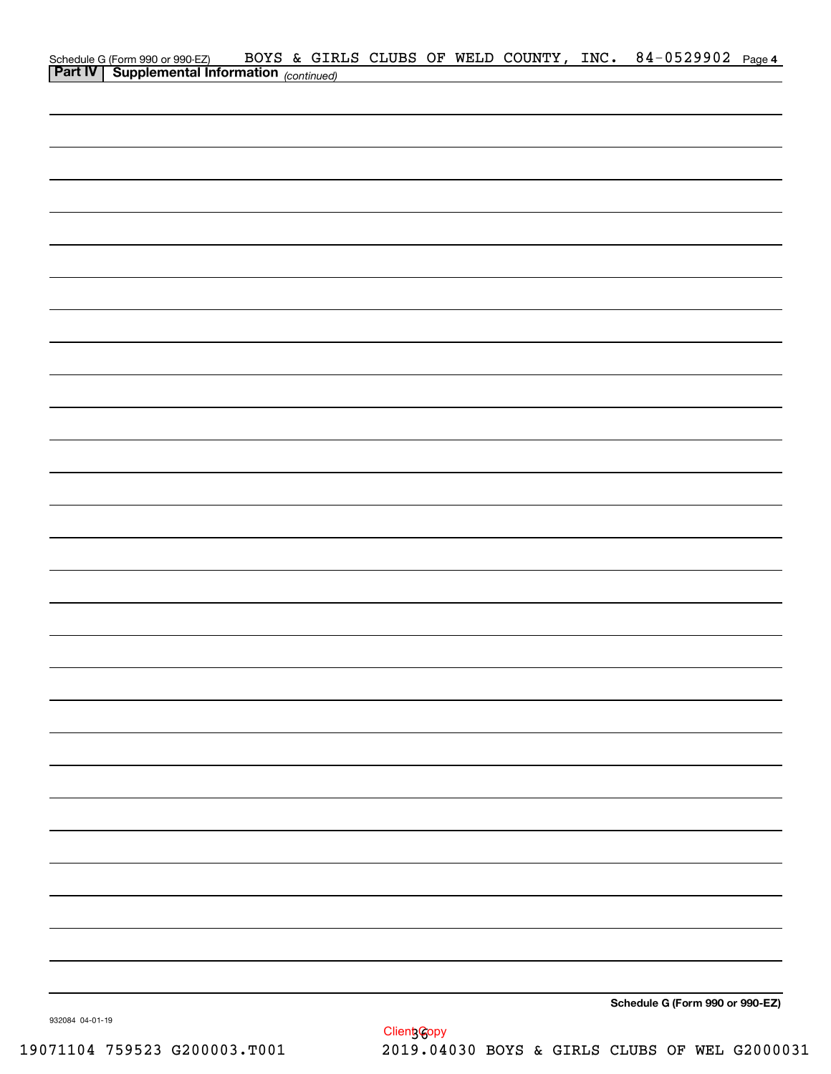| Schedule G (Form 990 or 990-EZ) BOYS & GIR.<br>Part IV Supplemental Information (continued) |  |  |  | BOYS & GIRLS CLUBS OF WELD COUNTY, INC. 84-0529902 Page 4 |  |
|---------------------------------------------------------------------------------------------|--|--|--|-----------------------------------------------------------|--|
|                                                                                             |  |  |  |                                                           |  |
|                                                                                             |  |  |  |                                                           |  |
|                                                                                             |  |  |  |                                                           |  |
|                                                                                             |  |  |  |                                                           |  |
|                                                                                             |  |  |  |                                                           |  |
|                                                                                             |  |  |  |                                                           |  |
|                                                                                             |  |  |  |                                                           |  |
|                                                                                             |  |  |  |                                                           |  |
|                                                                                             |  |  |  |                                                           |  |
|                                                                                             |  |  |  |                                                           |  |
|                                                                                             |  |  |  |                                                           |  |
|                                                                                             |  |  |  |                                                           |  |
|                                                                                             |  |  |  |                                                           |  |
|                                                                                             |  |  |  |                                                           |  |
|                                                                                             |  |  |  |                                                           |  |
|                                                                                             |  |  |  |                                                           |  |
|                                                                                             |  |  |  |                                                           |  |
|                                                                                             |  |  |  |                                                           |  |
|                                                                                             |  |  |  |                                                           |  |
|                                                                                             |  |  |  |                                                           |  |
|                                                                                             |  |  |  |                                                           |  |
|                                                                                             |  |  |  |                                                           |  |
|                                                                                             |  |  |  |                                                           |  |
|                                                                                             |  |  |  |                                                           |  |
|                                                                                             |  |  |  |                                                           |  |
|                                                                                             |  |  |  |                                                           |  |
|                                                                                             |  |  |  |                                                           |  |
|                                                                                             |  |  |  |                                                           |  |
|                                                                                             |  |  |  |                                                           |  |
|                                                                                             |  |  |  |                                                           |  |
|                                                                                             |  |  |  |                                                           |  |
|                                                                                             |  |  |  |                                                           |  |
|                                                                                             |  |  |  |                                                           |  |
|                                                                                             |  |  |  |                                                           |  |
|                                                                                             |  |  |  |                                                           |  |
|                                                                                             |  |  |  |                                                           |  |
|                                                                                             |  |  |  |                                                           |  |
|                                                                                             |  |  |  |                                                           |  |
|                                                                                             |  |  |  |                                                           |  |
|                                                                                             |  |  |  |                                                           |  |
|                                                                                             |  |  |  | Schedule G (Form 990 or 990-EZ)                           |  |

932084 04-01-19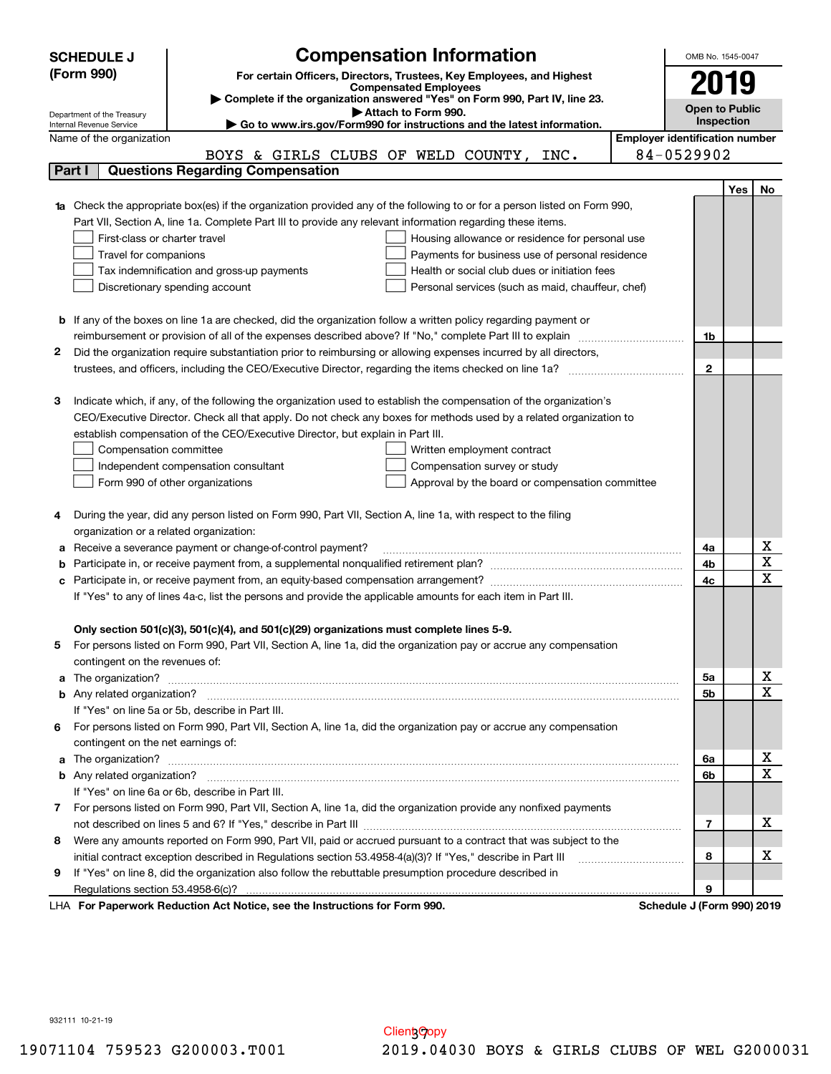|                                                                                                               | <b>Compensation Information</b><br><b>SCHEDULE J</b>                                                                                                                                                          |                                       | OMB No. 1545-0047          |     |                                     |  |  |  |
|---------------------------------------------------------------------------------------------------------------|---------------------------------------------------------------------------------------------------------------------------------------------------------------------------------------------------------------|---------------------------------------|----------------------------|-----|-------------------------------------|--|--|--|
|                                                                                                               | (Form 990)<br>For certain Officers, Directors, Trustees, Key Employees, and Highest                                                                                                                           |                                       |                            |     |                                     |  |  |  |
|                                                                                                               | <b>Compensated Employees</b>                                                                                                                                                                                  |                                       |                            |     |                                     |  |  |  |
|                                                                                                               | Complete if the organization answered "Yes" on Form 990, Part IV, line 23.                                                                                                                                    |                                       | <b>Open to Public</b>      |     |                                     |  |  |  |
|                                                                                                               | Attach to Form 990.<br>Department of the Treasury<br>Go to www.irs.gov/Form990 for instructions and the latest information.<br>Internal Revenue Service                                                       |                                       | Inspection                 |     |                                     |  |  |  |
|                                                                                                               | Name of the organization                                                                                                                                                                                      | <b>Employer identification number</b> |                            |     |                                     |  |  |  |
|                                                                                                               | BOYS & GIRLS CLUBS OF WELD COUNTY, INC.                                                                                                                                                                       |                                       | 84-0529902                 |     |                                     |  |  |  |
|                                                                                                               | <b>Questions Regarding Compensation</b><br>Part I                                                                                                                                                             |                                       |                            |     |                                     |  |  |  |
|                                                                                                               |                                                                                                                                                                                                               |                                       |                            | Yes | No                                  |  |  |  |
|                                                                                                               | <b>1a</b> Check the appropriate box(es) if the organization provided any of the following to or for a person listed on Form 990,                                                                              |                                       |                            |     |                                     |  |  |  |
|                                                                                                               | Part VII, Section A, line 1a. Complete Part III to provide any relevant information regarding these items.                                                                                                    |                                       |                            |     |                                     |  |  |  |
|                                                                                                               | First-class or charter travel<br>Housing allowance or residence for personal use                                                                                                                              |                                       |                            |     |                                     |  |  |  |
|                                                                                                               | Travel for companions<br>Payments for business use of personal residence                                                                                                                                      |                                       |                            |     |                                     |  |  |  |
|                                                                                                               | Health or social club dues or initiation fees<br>Tax indemnification and gross-up payments                                                                                                                    |                                       |                            |     |                                     |  |  |  |
|                                                                                                               | Discretionary spending account<br>Personal services (such as maid, chauffeur, chef)                                                                                                                           |                                       |                            |     |                                     |  |  |  |
|                                                                                                               |                                                                                                                                                                                                               |                                       |                            |     |                                     |  |  |  |
|                                                                                                               | <b>b</b> If any of the boxes on line 1a are checked, did the organization follow a written policy regarding payment or                                                                                        |                                       |                            |     |                                     |  |  |  |
|                                                                                                               | reimbursement or provision of all of the expenses described above? If "No," complete Part III to explain                                                                                                      |                                       | 1b                         |     |                                     |  |  |  |
| 2                                                                                                             | Did the organization require substantiation prior to reimbursing or allowing expenses incurred by all directors,                                                                                              |                                       |                            |     |                                     |  |  |  |
|                                                                                                               |                                                                                                                                                                                                               |                                       | $\mathbf{2}$               |     |                                     |  |  |  |
|                                                                                                               |                                                                                                                                                                                                               |                                       |                            |     |                                     |  |  |  |
| з                                                                                                             | Indicate which, if any, of the following the organization used to establish the compensation of the organization's                                                                                            |                                       |                            |     |                                     |  |  |  |
|                                                                                                               | CEO/Executive Director. Check all that apply. Do not check any boxes for methods used by a related organization to                                                                                            |                                       |                            |     |                                     |  |  |  |
| establish compensation of the CEO/Executive Director, but explain in Part III.                                |                                                                                                                                                                                                               |                                       |                            |     |                                     |  |  |  |
|                                                                                                               | Compensation committee<br>Written employment contract                                                                                                                                                         |                                       |                            |     |                                     |  |  |  |
|                                                                                                               | Independent compensation consultant<br>Compensation survey or study                                                                                                                                           |                                       |                            |     |                                     |  |  |  |
|                                                                                                               | Form 990 of other organizations<br>Approval by the board or compensation committee                                                                                                                            |                                       |                            |     |                                     |  |  |  |
|                                                                                                               |                                                                                                                                                                                                               |                                       |                            |     |                                     |  |  |  |
|                                                                                                               | During the year, did any person listed on Form 990, Part VII, Section A, line 1a, with respect to the filing                                                                                                  |                                       |                            |     |                                     |  |  |  |
|                                                                                                               | organization or a related organization:                                                                                                                                                                       |                                       |                            |     |                                     |  |  |  |
|                                                                                                               | Receive a severance payment or change-of-control payment?                                                                                                                                                     |                                       | 4a                         |     | <u>x</u><br>$\overline{\mathtt{x}}$ |  |  |  |
|                                                                                                               |                                                                                                                                                                                                               |                                       | 4b                         |     | $\overline{\text{x}}$               |  |  |  |
|                                                                                                               | 4c<br>Participate in, or receive payment from, an equity-based compensation arrangement?<br>с                                                                                                                 |                                       |                            |     |                                     |  |  |  |
| If "Yes" to any of lines 4a-c, list the persons and provide the applicable amounts for each item in Part III. |                                                                                                                                                                                                               |                                       |                            |     |                                     |  |  |  |
|                                                                                                               |                                                                                                                                                                                                               |                                       |                            |     |                                     |  |  |  |
|                                                                                                               | Only section 501(c)(3), 501(c)(4), and 501(c)(29) organizations must complete lines 5-9.<br>For persons listed on Form 990, Part VII, Section A, line 1a, did the organization pay or accrue any compensation |                                       |                            |     |                                     |  |  |  |
| 5.                                                                                                            | contingent on the revenues of:                                                                                                                                                                                |                                       |                            |     |                                     |  |  |  |
|                                                                                                               |                                                                                                                                                                                                               |                                       | 5a                         |     |                                     |  |  |  |
|                                                                                                               |                                                                                                                                                                                                               |                                       | 5b                         |     | $\frac{\text{X}}{\text{X}}$         |  |  |  |
|                                                                                                               | If "Yes" on line 5a or 5b, describe in Part III.                                                                                                                                                              |                                       |                            |     |                                     |  |  |  |
| 6.                                                                                                            | For persons listed on Form 990, Part VII, Section A, line 1a, did the organization pay or accrue any compensation                                                                                             |                                       |                            |     |                                     |  |  |  |
|                                                                                                               | contingent on the net earnings of:                                                                                                                                                                            |                                       |                            |     |                                     |  |  |  |
|                                                                                                               |                                                                                                                                                                                                               |                                       | 6a                         |     | <u>x</u>                            |  |  |  |
|                                                                                                               |                                                                                                                                                                                                               |                                       | 6b                         |     | $\overline{\mathtt{x}}$             |  |  |  |
|                                                                                                               | If "Yes" on line 6a or 6b, describe in Part III.                                                                                                                                                              |                                       |                            |     |                                     |  |  |  |
|                                                                                                               | 7 For persons listed on Form 990, Part VII, Section A, line 1a, did the organization provide any nonfixed payments                                                                                            |                                       |                            |     |                                     |  |  |  |
|                                                                                                               |                                                                                                                                                                                                               |                                       | 7                          |     | x                                   |  |  |  |
| 8                                                                                                             | Were any amounts reported on Form 990, Part VII, paid or accrued pursuant to a contract that was subject to the                                                                                               |                                       |                            |     |                                     |  |  |  |
|                                                                                                               | initial contract exception described in Regulations section 53.4958-4(a)(3)? If "Yes," describe in Part III                                                                                                   |                                       | 8                          |     | x                                   |  |  |  |
| 9                                                                                                             | If "Yes" on line 8, did the organization also follow the rebuttable presumption procedure described in                                                                                                        |                                       |                            |     |                                     |  |  |  |
|                                                                                                               | Regulations section 53.4958-6(c)?                                                                                                                                                                             |                                       | 9                          |     |                                     |  |  |  |
|                                                                                                               | LHA For Paperwork Reduction Act Notice, see the Instructions for Form 990.                                                                                                                                    |                                       | Schedule J (Form 990) 2019 |     |                                     |  |  |  |

932111 10-21-19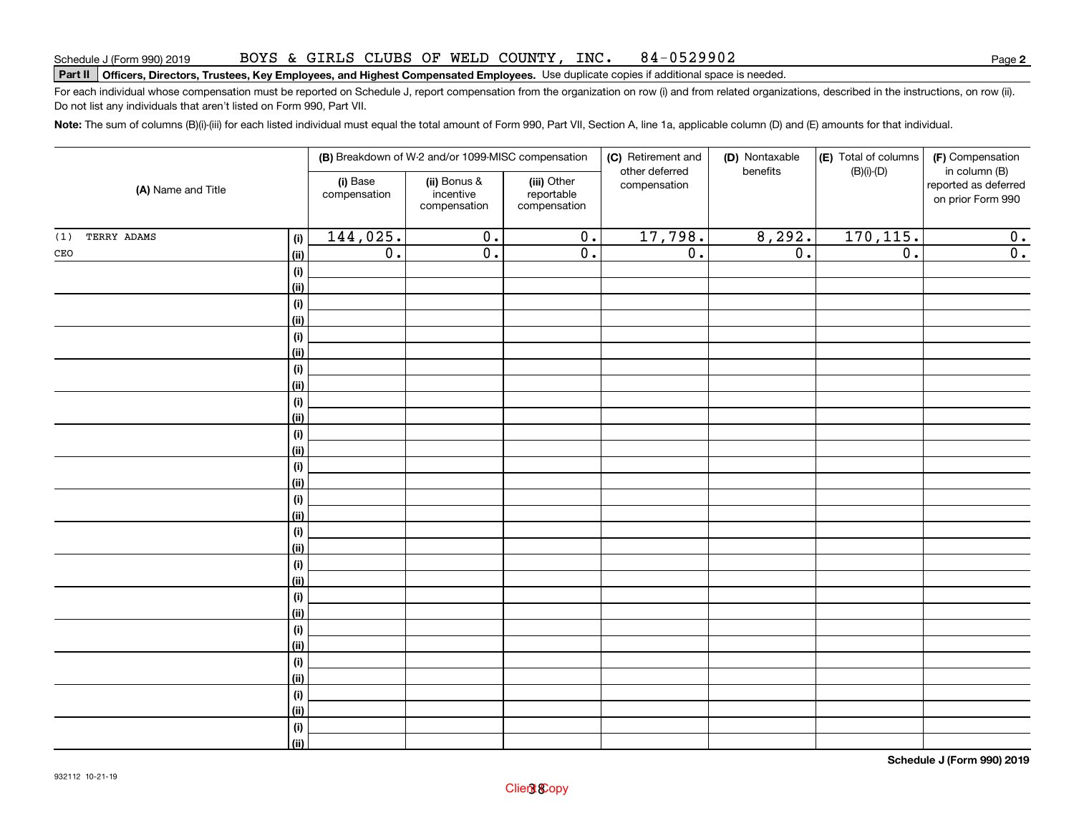#### BOYS & GIRLS CLUBS OF WELD COUNTY, INC. 84-0529902

# **Part II Officers, Directors, Trustees, Key Employees, and Highest Compensated Employees.**  Schedule J (Form 990) 2019 Page Use duplicate copies if additional space is needed.

For each individual whose compensation must be reported on Schedule J, report compensation from the organization on row (i) and from related organizations, described in the instructions, on row (ii). Do not list any individuals that aren't listed on Form 990, Part VII.

**Note:**  The sum of columns (B)(i)-(iii) for each listed individual must equal the total amount of Form 990, Part VII, Section A, line 1a, applicable column (D) and (E) amounts for that individual.

|                    | (B) Breakdown of W-2 and/or 1099-MISC compensation |                          |                                           |                                           | (C) Retirement and<br>other deferred | (D) Nontaxable<br>benefits | (E) Total of columns<br>$(B)(i)-(D)$ | (F) Compensation<br>in column (B)         |
|--------------------|----------------------------------------------------|--------------------------|-------------------------------------------|-------------------------------------------|--------------------------------------|----------------------------|--------------------------------------|-------------------------------------------|
| (A) Name and Title |                                                    | (i) Base<br>compensation | (ii) Bonus &<br>incentive<br>compensation | (iii) Other<br>reportable<br>compensation | compensation                         |                            |                                      | reported as deferred<br>on prior Form 990 |
| TERRY ADAMS<br>(1) | (i)                                                | 144,025.                 | $\overline{0}$ .                          | $\overline{0}$ .                          | 17,798.                              | 8,292.                     | 170, 115.                            | 0.                                        |
| $\mathtt{CEO}$     | <u>(ii)</u>                                        | $\overline{0}$ .         | $\overline{0}$ .                          | $\overline{0}$ .                          | $\overline{0}$ .                     | $\overline{0}$ .           | $\overline{0}$ .                     | $\overline{0}$ .                          |
|                    | $\qquad \qquad \textbf{(i)}$                       |                          |                                           |                                           |                                      |                            |                                      |                                           |
|                    | <u>(ii)</u>                                        |                          |                                           |                                           |                                      |                            |                                      |                                           |
|                    | (i)                                                |                          |                                           |                                           |                                      |                            |                                      |                                           |
|                    | <u>(ii)</u>                                        |                          |                                           |                                           |                                      |                            |                                      |                                           |
|                    | (i)                                                |                          |                                           |                                           |                                      |                            |                                      |                                           |
|                    | <u>(ii)</u>                                        |                          |                                           |                                           |                                      |                            |                                      |                                           |
|                    | (i)                                                |                          |                                           |                                           |                                      |                            |                                      |                                           |
|                    | <u>(ii)</u>                                        |                          |                                           |                                           |                                      |                            |                                      |                                           |
|                    | (i)                                                |                          |                                           |                                           |                                      |                            |                                      |                                           |
|                    | <u>(ii)</u>                                        |                          |                                           |                                           |                                      |                            |                                      |                                           |
|                    | $\qquad \qquad \textbf{(i)}$                       |                          |                                           |                                           |                                      |                            |                                      |                                           |
|                    | (ii)                                               |                          |                                           |                                           |                                      |                            |                                      |                                           |
|                    | $(\sf{i})$<br>(ii)                                 |                          |                                           |                                           |                                      |                            |                                      |                                           |
|                    | (i)                                                |                          |                                           |                                           |                                      |                            |                                      |                                           |
|                    | <u>(ii)</u>                                        |                          |                                           |                                           |                                      |                            |                                      |                                           |
|                    | (i)                                                |                          |                                           |                                           |                                      |                            |                                      |                                           |
|                    | <u>(ii)</u>                                        |                          |                                           |                                           |                                      |                            |                                      |                                           |
|                    | (i)                                                |                          |                                           |                                           |                                      |                            |                                      |                                           |
|                    | <u>(ii)</u>                                        |                          |                                           |                                           |                                      |                            |                                      |                                           |
|                    | (i)                                                |                          |                                           |                                           |                                      |                            |                                      |                                           |
|                    | <u>(ii)</u>                                        |                          |                                           |                                           |                                      |                            |                                      |                                           |
|                    | (i)                                                |                          |                                           |                                           |                                      |                            |                                      |                                           |
|                    | <u>(ii)</u>                                        |                          |                                           |                                           |                                      |                            |                                      |                                           |
|                    | (i)                                                |                          |                                           |                                           |                                      |                            |                                      |                                           |
|                    | <u>(ii)</u>                                        |                          |                                           |                                           |                                      |                            |                                      |                                           |
|                    | $(\sf{i})$                                         |                          |                                           |                                           |                                      |                            |                                      |                                           |
|                    | <u>(ii)</u>                                        |                          |                                           |                                           |                                      |                            |                                      |                                           |
|                    | (i)                                                |                          |                                           |                                           |                                      |                            |                                      |                                           |
|                    | $\overline{}}$                                     |                          |                                           |                                           |                                      |                            |                                      |                                           |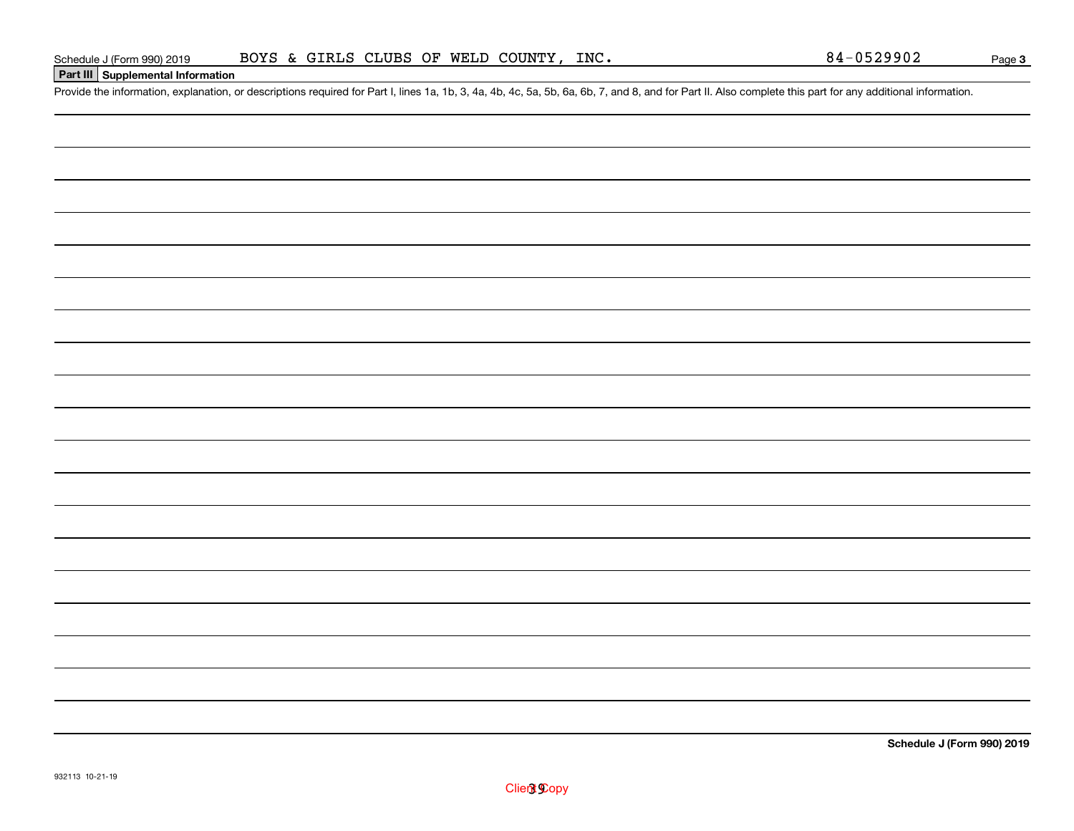### **Part III Supplemental Information**

Schedule J (Form 990) 2019 BOYS & GIRLS CLUBS OF WELD COUNTY, INC.<br>Part III Supplemental Information<br>Provide the information, explanation, or descriptions required for Part I, lines 1a, 1b, 3, 4a, 4b, 4c, 5a, 5b, 6a, 6b, 7

**Schedule J (Form 990) 2019**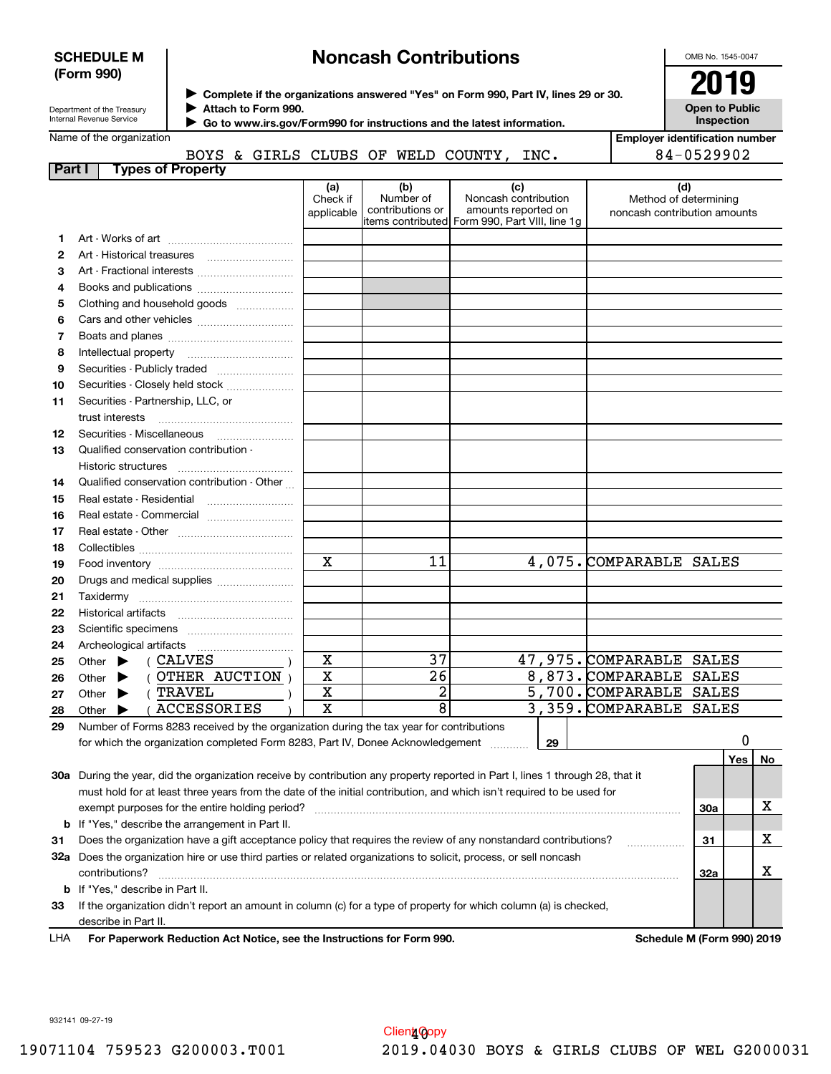### **SCHEDULE M (Form 990)**

# **Noncash Contributions**

OMB No. 1545-0047

| Department of the Treasury |
|----------------------------|
| Internal Revenue Service   |

**Complete if the organizations answered "Yes" on Form 990, Part IV, lines 29 or 30.** <sup>J</sup>**2019 Attach to Form 990.** J

**Open to Public Inspection**

**Employer identification number**

|  | Name of the organization |  |
|--|--------------------------|--|

 **Go to www.irs.gov/Form990 for instructions and the latest information.** J

|               |                          |  |  | BOYS & GIRLS CLUBS OF WELD COUNTY, | INC. | 84-0529902 |
|---------------|--------------------------|--|--|------------------------------------|------|------------|
| <b>Part I</b> | <b>Tynes of Property</b> |  |  |                                    |      |            |

| ו טונו | <u>i ypea ui rhupeity</u>                                                                                                           | (a)<br>Check if<br>applicable | (b)<br>Number of<br>contributions or | (c)<br>Noncash contribution<br>amounts reported on |    | (d)<br>Method of determining<br>noncash contribution amounts |            |     |    |
|--------|-------------------------------------------------------------------------------------------------------------------------------------|-------------------------------|--------------------------------------|----------------------------------------------------|----|--------------------------------------------------------------|------------|-----|----|
|        |                                                                                                                                     |                               |                                      | litems contributed Form 990, Part VIII, line 1g    |    |                                                              |            |     |    |
| 1      |                                                                                                                                     |                               |                                      |                                                    |    |                                                              |            |     |    |
| 2      |                                                                                                                                     |                               |                                      |                                                    |    |                                                              |            |     |    |
| 3      |                                                                                                                                     |                               |                                      |                                                    |    |                                                              |            |     |    |
| 4      |                                                                                                                                     |                               |                                      |                                                    |    |                                                              |            |     |    |
| 5      | Clothing and household goods                                                                                                        |                               |                                      |                                                    |    |                                                              |            |     |    |
| 6      |                                                                                                                                     |                               |                                      |                                                    |    |                                                              |            |     |    |
| 7      |                                                                                                                                     |                               |                                      |                                                    |    |                                                              |            |     |    |
| 8      |                                                                                                                                     |                               |                                      |                                                    |    |                                                              |            |     |    |
| 9      |                                                                                                                                     |                               |                                      |                                                    |    |                                                              |            |     |    |
| 10     | Securities - Closely held stock                                                                                                     |                               |                                      |                                                    |    |                                                              |            |     |    |
| 11     | Securities - Partnership, LLC, or<br>trust interests                                                                                |                               |                                      |                                                    |    |                                                              |            |     |    |
| 12     | Securities Miscellaneous                                                                                                            |                               |                                      |                                                    |    |                                                              |            |     |    |
| 13     | Qualified conservation contribution -                                                                                               |                               |                                      |                                                    |    |                                                              |            |     |    |
|        | Historic structures                                                                                                                 |                               |                                      |                                                    |    |                                                              |            |     |    |
| 14     | Qualified conservation contribution - Other                                                                                         |                               |                                      |                                                    |    |                                                              |            |     |    |
| 15     | Real estate - Residential                                                                                                           |                               |                                      |                                                    |    |                                                              |            |     |    |
| 16     |                                                                                                                                     |                               |                                      |                                                    |    |                                                              |            |     |    |
| 17     |                                                                                                                                     |                               |                                      |                                                    |    |                                                              |            |     |    |
| 18     |                                                                                                                                     |                               |                                      |                                                    |    |                                                              |            |     |    |
| 19     |                                                                                                                                     | $\mathbf x$                   | 11                                   |                                                    |    | 4,075. COMPARABLE SALES                                      |            |     |    |
| 20     | Drugs and medical supplies                                                                                                          |                               |                                      |                                                    |    |                                                              |            |     |    |
| 21     |                                                                                                                                     |                               |                                      |                                                    |    |                                                              |            |     |    |
| 22     |                                                                                                                                     |                               |                                      |                                                    |    |                                                              |            |     |    |
| 23     |                                                                                                                                     |                               |                                      |                                                    |    |                                                              |            |     |    |
| 24     |                                                                                                                                     |                               |                                      |                                                    |    |                                                              |            |     |    |
| 25     | ( CALVES<br>Other $\blacktriangleright$                                                                                             | X                             | 37                                   |                                                    |    | 47,975. COMPARABLE SALES                                     |            |     |    |
| 26     | (OTHER AUCTION)<br>Other $\blacktriangleright$                                                                                      | $\overline{\textbf{X}}$       | $\overline{26}$                      |                                                    |    | 8,873. COMPARABLE SALES                                      |            |     |    |
| 27     | (TRAVEL<br>Other $\blacktriangleright$                                                                                              | X                             | $\overline{2}$                       |                                                    |    | 5,700. COMPARABLE SALES                                      |            |     |    |
| 28     | <b>ACCESSORIES</b><br>Other $\blacktriangleright$                                                                                   | $\overline{\mathbf{x}}$       | $\overline{8}$                       |                                                    |    | 3,359. COMPARABLE SALES                                      |            |     |    |
| 29     | Number of Forms 8283 received by the organization during the tax year for contributions                                             |                               |                                      |                                                    |    |                                                              |            |     |    |
|        | for which the organization completed Form 8283, Part IV, Donee Acknowledgement                                                      |                               |                                      |                                                    | 29 |                                                              |            | 0   |    |
|        |                                                                                                                                     |                               |                                      |                                                    |    |                                                              |            | Yes | No |
|        | 30a During the year, did the organization receive by contribution any property reported in Part I, lines 1 through 28, that it      |                               |                                      |                                                    |    |                                                              |            |     |    |
|        | must hold for at least three years from the date of the initial contribution, and which isn't required to be used for               |                               |                                      |                                                    |    |                                                              |            |     |    |
|        |                                                                                                                                     |                               |                                      |                                                    |    |                                                              | <b>30a</b> |     | x  |
| b      | If "Yes," describe the arrangement in Part II.                                                                                      |                               |                                      |                                                    |    |                                                              |            |     |    |
| 31     | Does the organization have a gift acceptance policy that requires the review of any nonstandard contributions?                      |                               |                                      |                                                    |    |                                                              | 31         |     | x  |
|        | 32a Does the organization hire or use third parties or related organizations to solicit, process, or sell noncash<br>contributions? |                               |                                      |                                                    |    |                                                              | 32a        |     | x  |
|        | <b>b</b> If "Yes," describe in Part II.                                                                                             |                               |                                      |                                                    |    |                                                              |            |     |    |

describe in Part II. LHA

**33**If the organization didn't report an amount in column (c) for a type of property for which column (a) is checked,

**For Paperwork Reduction Act Notice, see the Instructions for Form 990. Schedule M (Form 990) 2019**

932141 09-27-19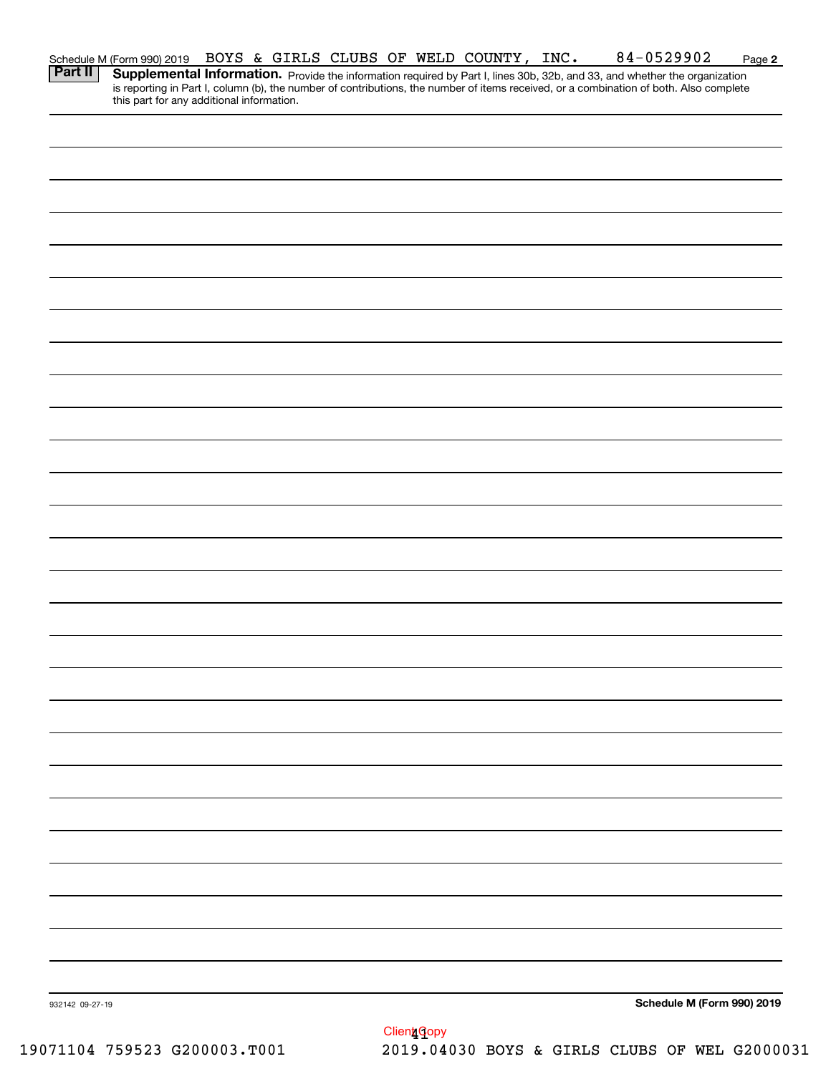|                 |                                                                                                                                                                                |  |  |  | 84-0529902                                                                                                                                                                                                                          | Page 2 |
|-----------------|--------------------------------------------------------------------------------------------------------------------------------------------------------------------------------|--|--|--|-------------------------------------------------------------------------------------------------------------------------------------------------------------------------------------------------------------------------------------|--------|
|                 | Schedule M (Form 990) 2019 BOYS & GIRLS CLUBS OF WELD COUNTY, INC.<br><b>Part II</b>   Supplemental Information. Provide the information required by Port Llince 20b, 20b, and |  |  |  | <b>Supplemental Information.</b> Provide the information required by Part I, lines 30b, 32b, and 33, and whether the organization is reporting in Part I, column (b), the number of contributions, the number of items received, or |        |
|                 |                                                                                                                                                                                |  |  |  |                                                                                                                                                                                                                                     |        |
|                 |                                                                                                                                                                                |  |  |  |                                                                                                                                                                                                                                     |        |
|                 |                                                                                                                                                                                |  |  |  |                                                                                                                                                                                                                                     |        |
|                 |                                                                                                                                                                                |  |  |  |                                                                                                                                                                                                                                     |        |
|                 |                                                                                                                                                                                |  |  |  |                                                                                                                                                                                                                                     |        |
|                 |                                                                                                                                                                                |  |  |  |                                                                                                                                                                                                                                     |        |
|                 |                                                                                                                                                                                |  |  |  |                                                                                                                                                                                                                                     |        |
|                 |                                                                                                                                                                                |  |  |  |                                                                                                                                                                                                                                     |        |
|                 |                                                                                                                                                                                |  |  |  |                                                                                                                                                                                                                                     |        |
|                 |                                                                                                                                                                                |  |  |  |                                                                                                                                                                                                                                     |        |
|                 |                                                                                                                                                                                |  |  |  |                                                                                                                                                                                                                                     |        |
|                 |                                                                                                                                                                                |  |  |  |                                                                                                                                                                                                                                     |        |
|                 |                                                                                                                                                                                |  |  |  |                                                                                                                                                                                                                                     |        |
|                 |                                                                                                                                                                                |  |  |  |                                                                                                                                                                                                                                     |        |
|                 |                                                                                                                                                                                |  |  |  |                                                                                                                                                                                                                                     |        |
|                 |                                                                                                                                                                                |  |  |  |                                                                                                                                                                                                                                     |        |
|                 |                                                                                                                                                                                |  |  |  |                                                                                                                                                                                                                                     |        |
|                 |                                                                                                                                                                                |  |  |  |                                                                                                                                                                                                                                     |        |
|                 |                                                                                                                                                                                |  |  |  |                                                                                                                                                                                                                                     |        |
|                 |                                                                                                                                                                                |  |  |  |                                                                                                                                                                                                                                     |        |
|                 |                                                                                                                                                                                |  |  |  |                                                                                                                                                                                                                                     |        |
|                 |                                                                                                                                                                                |  |  |  |                                                                                                                                                                                                                                     |        |
|                 |                                                                                                                                                                                |  |  |  |                                                                                                                                                                                                                                     |        |
|                 |                                                                                                                                                                                |  |  |  |                                                                                                                                                                                                                                     |        |
|                 |                                                                                                                                                                                |  |  |  |                                                                                                                                                                                                                                     |        |
|                 |                                                                                                                                                                                |  |  |  |                                                                                                                                                                                                                                     |        |
|                 |                                                                                                                                                                                |  |  |  |                                                                                                                                                                                                                                     |        |
|                 |                                                                                                                                                                                |  |  |  |                                                                                                                                                                                                                                     |        |
|                 |                                                                                                                                                                                |  |  |  |                                                                                                                                                                                                                                     |        |
|                 |                                                                                                                                                                                |  |  |  |                                                                                                                                                                                                                                     |        |
|                 |                                                                                                                                                                                |  |  |  |                                                                                                                                                                                                                                     |        |
|                 |                                                                                                                                                                                |  |  |  |                                                                                                                                                                                                                                     |        |
|                 |                                                                                                                                                                                |  |  |  |                                                                                                                                                                                                                                     |        |
|                 |                                                                                                                                                                                |  |  |  |                                                                                                                                                                                                                                     |        |
|                 |                                                                                                                                                                                |  |  |  |                                                                                                                                                                                                                                     |        |
|                 |                                                                                                                                                                                |  |  |  |                                                                                                                                                                                                                                     |        |
|                 |                                                                                                                                                                                |  |  |  |                                                                                                                                                                                                                                     |        |
|                 |                                                                                                                                                                                |  |  |  |                                                                                                                                                                                                                                     |        |
|                 |                                                                                                                                                                                |  |  |  |                                                                                                                                                                                                                                     |        |
|                 |                                                                                                                                                                                |  |  |  |                                                                                                                                                                                                                                     |        |
|                 |                                                                                                                                                                                |  |  |  |                                                                                                                                                                                                                                     |        |
|                 |                                                                                                                                                                                |  |  |  |                                                                                                                                                                                                                                     |        |
|                 |                                                                                                                                                                                |  |  |  |                                                                                                                                                                                                                                     |        |
|                 |                                                                                                                                                                                |  |  |  |                                                                                                                                                                                                                                     |        |
|                 |                                                                                                                                                                                |  |  |  |                                                                                                                                                                                                                                     |        |
|                 |                                                                                                                                                                                |  |  |  |                                                                                                                                                                                                                                     |        |
|                 |                                                                                                                                                                                |  |  |  |                                                                                                                                                                                                                                     |        |
|                 |                                                                                                                                                                                |  |  |  |                                                                                                                                                                                                                                     |        |
| 932142 09-27-19 |                                                                                                                                                                                |  |  |  | Schedule M (Form 990) 2019                                                                                                                                                                                                          |        |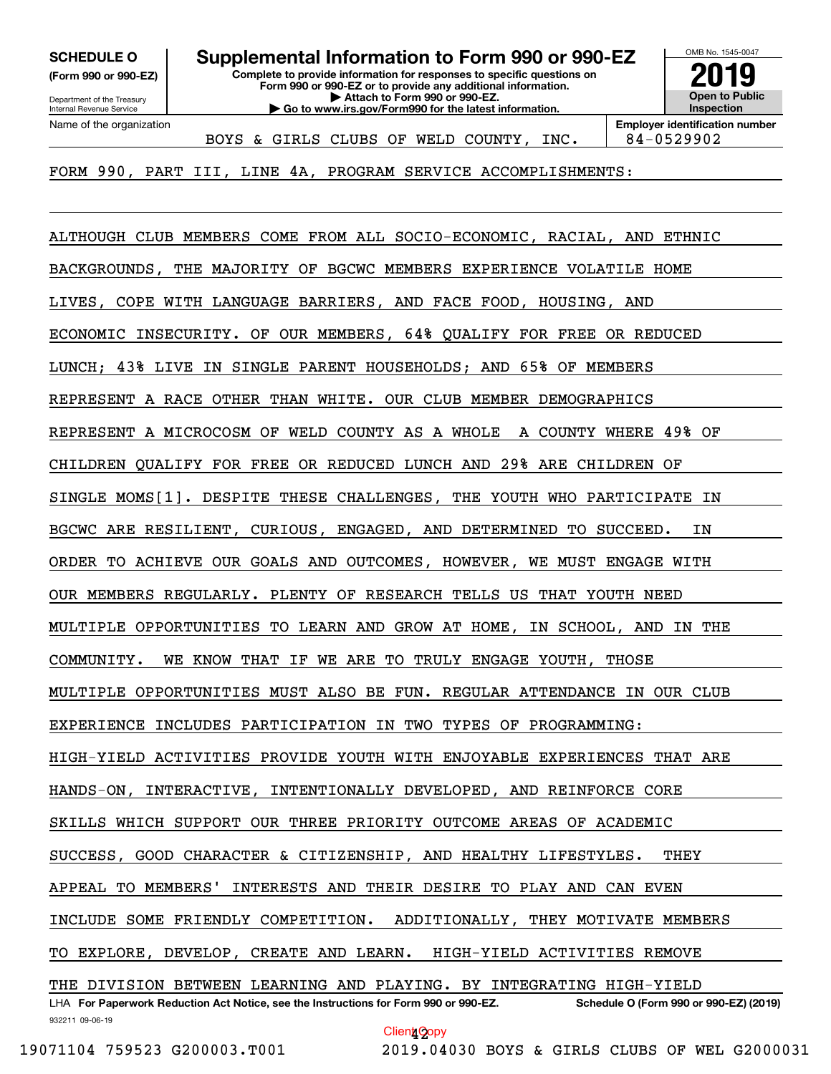**(Form 990 or 990-EZ)**

Department of the Treasury Internal Revenue Service Name of the organization

**Complete to provide information for responses to specific questions on Form 990 or 990-EZ or to provide any additional information. | Attach to Form 990 or 990-EZ. | Go to www.irs.gov/Form990 for the latest information. SCHEDULE O Supplemental Information to Form 990 or 990-EZ**



BOYS & GIRLS CLUBS OF WELD COUNTY,  $INC.$  | 84-0529902

FORM 990, PART III, LINE 4A, PROGRAM SERVICE ACCOMPLISHMENTS:

932211 09-06-19 LHA For Paperwork Reduction Act Notice, see the Instructions for Form 990 or 990-EZ. Schedule O (Form 990 or 990-EZ) (2019) ALTHOUGH CLUB MEMBERS COME FROM ALL SOCIO-ECONOMIC, RACIAL, AND ETHNIC BACKGROUNDS, THE MAJORITY OF BGCWC MEMBERS EXPERIENCE VOLATILE HOME LIVES, COPE WITH LANGUAGE BARRIERS, AND FACE FOOD, HOUSING, AND ECONOMIC INSECURITY. OF OUR MEMBERS, 64% QUALIFY FOR FREE OR REDUCED LUNCH; 43% LIVE IN SINGLE PARENT HOUSEHOLDS; AND 65% OF MEMBERS REPRESENT A RACE OTHER THAN WHITE. OUR CLUB MEMBER DEMOGRAPHICS REPRESENT A MICROCOSM OF WELD COUNTY AS A WHOLE A COUNTY WHERE 49% OF CHILDREN QUALIFY FOR FREE OR REDUCED LUNCH AND 29% ARE CHILDREN OF SINGLE MOMS[1]. DESPITE THESE CHALLENGES, THE YOUTH WHO PARTICIPATE IN BGCWC ARE RESILIENT, CURIOUS, ENGAGED, AND DETERMINED TO SUCCEED. IN ORDER TO ACHIEVE OUR GOALS AND OUTCOMES, HOWEVER, WE MUST ENGAGE WITH OUR MEMBERS REGULARLY. PLENTY OF RESEARCH TELLS US THAT YOUTH NEED MULTIPLE OPPORTUNITIES TO LEARN AND GROW AT HOME, IN SCHOOL, AND IN THE COMMUNITY. WE KNOW THAT IF WE ARE TO TRULY ENGAGE YOUTH, THOSE MULTIPLE OPPORTUNITIES MUST ALSO BE FUN. REGULAR ATTENDANCE IN OUR CLUB EXPERIENCE INCLUDES PARTICIPATION IN TWO TYPES OF PROGRAMMING: HIGH-YIELD ACTIVITIES PROVIDE YOUTH WITH ENJOYABLE EXPERIENCES THAT ARE HANDS-ON, INTERACTIVE, INTENTIONALLY DEVELOPED, AND REINFORCE CORE SKILLS WHICH SUPPORT OUR THREE PRIORITY OUTCOME AREAS OF ACADEMIC SUCCESS, GOOD CHARACTER & CITIZENSHIP, AND HEALTHY LIFESTYLES. THEY APPEAL TO MEMBERS' INTERESTS AND THEIR DESIRE TO PLAY AND CAN EVEN INCLUDE SOME FRIENDLY COMPETITION. ADDITIONALLY, THEY MOTIVATE MEMBERS TO EXPLORE, DEVELOP, CREATE AND LEARN. HIGH-YIELD ACTIVITIES REMOVE THE DIVISION BETWEEN LEARNING AND PLAYING. BY INTEGRATING HIGH-YIELD Client<sub>1</sub>Copy

19071104 759523 G200003.T001 2019.04030 BOYS & GIRLS CLUBS OF WEL G2000031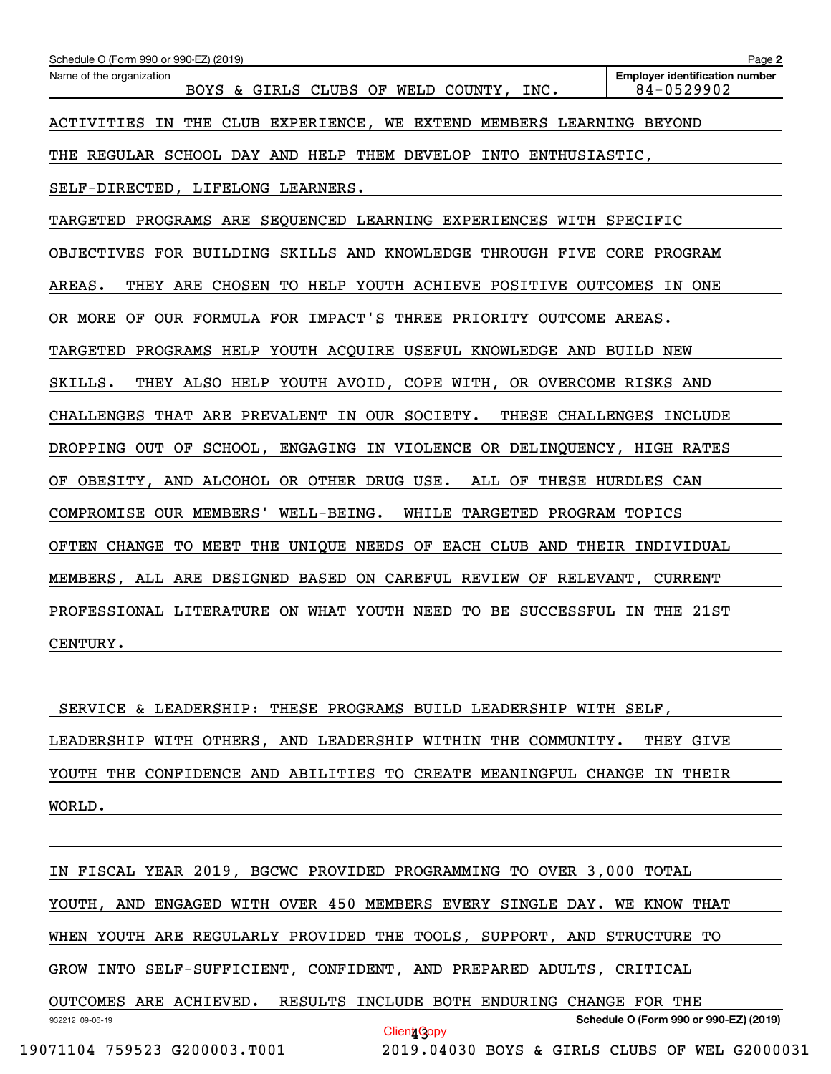| Schedule O (Form 990 or 990-EZ) (2019)                                   | Page 2                                              |
|--------------------------------------------------------------------------|-----------------------------------------------------|
| Name of the organization<br>BOYS & GIRLS CLUBS OF WELD COUNTY, INC.      | <b>Employer identification number</b><br>84-0529902 |
| ACTIVITIES IN THE CLUB EXPERIENCE, WE EXTEND MEMBERS LEARNING BEYOND     |                                                     |
| THE REGULAR SCHOOL DAY AND HELP THEM DEVELOP INTO ENTHUSIASTIC,          |                                                     |
| SELF-DIRECTED, LIFELONG LEARNERS.                                        |                                                     |
| TARGETED PROGRAMS ARE SEQUENCED LEARNING EXPERIENCES WITH SPECIFIC       |                                                     |
| OBJECTIVES FOR BUILDING SKILLS AND KNOWLEDGE THROUGH FIVE CORE PROGRAM   |                                                     |
| AREAS.<br>THEY ARE CHOSEN TO HELP YOUTH ACHIEVE POSITIVE OUTCOMES IN ONE |                                                     |
| OR MORE OF OUR FORMULA FOR IMPACT'S THREE PRIORITY OUTCOME AREAS.        |                                                     |
| TARGETED PROGRAMS HELP YOUTH ACQUIRE USEFUL KNOWLEDGE AND BUILD NEW      |                                                     |
| SKILLS.<br>THEY ALSO HELP YOUTH AVOID, COPE WITH, OR OVERCOME RISKS AND  |                                                     |
| CHALLENGES THAT ARE PREVALENT IN OUR SOCIETY.                            | THESE CHALLENGES INCLUDE                            |
| DROPPING OUT OF SCHOOL, ENGAGING IN VIOLENCE OR DELINQUENCY, HIGH RATES  |                                                     |
| OF OBESITY, AND ALCOHOL OR OTHER DRUG USE. ALL OF THESE HURDLES CAN      |                                                     |
| COMPROMISE OUR MEMBERS' WELL-BEING.<br>WHILE TARGETED PROGRAM TOPICS     |                                                     |
| OFTEN CHANGE TO MEET THE UNIQUE NEEDS OF EACH CLUB AND THEIR INDIVIDUAL  |                                                     |
| MEMBERS, ALL ARE DESIGNED BASED ON CAREFUL REVIEW OF RELEVANT, CURRENT   |                                                     |
| PROFESSIONAL LITERATURE ON WHAT YOUTH NEED TO BE SUCCESSFUL IN THE 21ST  |                                                     |
| CENTURY.                                                                 |                                                     |
|                                                                          |                                                     |

 SERVICE & LEADERSHIP: THESE PROGRAMS BUILD LEADERSHIP WITH SELF, LEADERSHIP WITH OTHERS, AND LEADERSHIP WITHIN THE COMMUNITY. THEY GIVE YOUTH THE CONFIDENCE AND ABILITIES TO CREATE MEANINGFUL CHANGE IN THEIR WORLD.

932212 09-06-19 **Schedule O (Form 990 or 990-EZ) (2019)** IN FISCAL YEAR 2019, BGCWC PROVIDED PROGRAMMING TO OVER 3,000 TOTAL YOUTH, AND ENGAGED WITH OVER 450 MEMBERS EVERY SINGLE DAY. WE KNOW THAT WHEN YOUTH ARE REGULARLY PROVIDED THE TOOLS, SUPPORT, AND STRUCTURE TO GROW INTO SELF-SUFFICIENT, CONFIDENT, AND PREPARED ADULTS, CRITICAL OUTCOMES ARE ACHIEVED. RESULTS INCLUDE BOTH ENDURING CHANGE FOR THE Client<sub>1</sub>Copy

```
 19071104 759523 G200003.T001 2019.04030 BOYS & GIRLS CLUBS OF WEL G2000031
```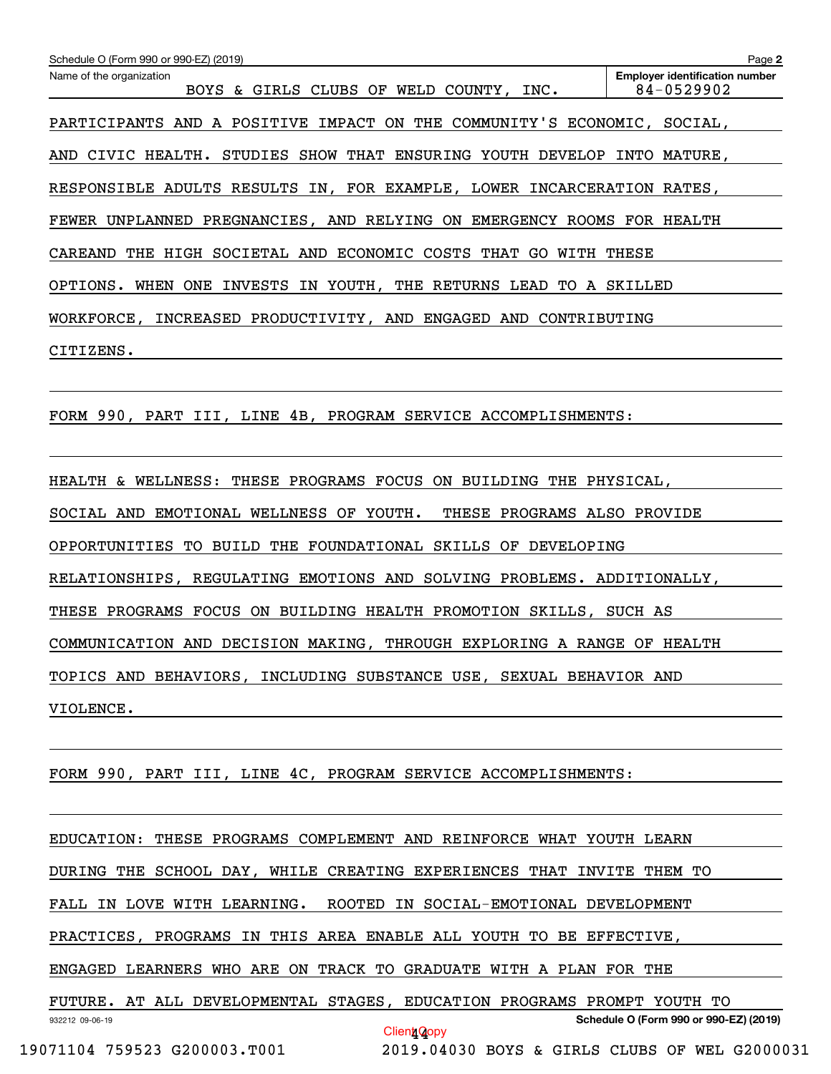| Name of the organization<br>BOYS & GIRLS CLUBS OF WELD COUNTY, INC.           | <b>Employer identification number</b><br>84-0529902 |
|-------------------------------------------------------------------------------|-----------------------------------------------------|
| PARTICIPANTS AND A POSITIVE IMPACT ON THE COMMUNITY'S ECONOMIC, SOCIAL,       |                                                     |
| AND CIVIC HEALTH. STUDIES SHOW THAT ENSURING YOUTH DEVELOP INTO MATURE,       |                                                     |
| RESPONSIBLE ADULTS RESULTS IN, FOR EXAMPLE, LOWER INCARCERATION RATES,        |                                                     |
| FEWER UNPLANNED PREGNANCIES, AND RELYING ON EMERGENCY ROOMS FOR HEALTH        |                                                     |
| CAREAND THE HIGH SOCIETAL AND ECONOMIC COSTS THAT GO WITH THESE               |                                                     |
| OPTIONS. WHEN ONE INVESTS IN YOUTH, THE RETURNS LEAD TO A SKILLED             |                                                     |
| WORKFORCE, INCREASED PRODUCTIVITY, AND ENGAGED AND CONTRIBUTING               |                                                     |
| CITIZENS.                                                                     |                                                     |
|                                                                               |                                                     |
| FORM 990, PART III, LINE 4B, PROGRAM SERVICE ACCOMPLISHMENTS:                 |                                                     |
|                                                                               |                                                     |
| HEALTH & WELLNESS: THESE PROGRAMS FOCUS ON BUILDING THE PHYSICAL,             |                                                     |
| SOCIAL AND EMOTIONAL WELLNESS OF YOUTH.<br>THESE PROGRAMS ALSO PROVIDE        |                                                     |
| OPPORTUNITIES TO BUILD THE FOUNDATIONAL SKILLS OF DEVELOPING                  |                                                     |
| RELATIONSHIPS, REGULATING EMOTIONS AND SOLVING PROBLEMS. ADDITIONALLY,        |                                                     |
| THESE PROGRAMS FOCUS ON BUILDING HEALTH PROMOTION SKILLS, SUCH AS             |                                                     |
| COMMUNICATION AND DECISION MAKING, THROUGH EXPLORING A RANGE OF HEALTH        |                                                     |
| TOPICS AND BEHAVIORS, INCLUDING SUBSTANCE USE, SEXUAL BEHAVIOR AND            |                                                     |
| VIOLENCE.                                                                     |                                                     |
|                                                                               |                                                     |
| FORM 990, PART III, LINE 4C, PROGRAM SERVICE ACCOMPLISHMENTS:                 |                                                     |
|                                                                               |                                                     |
| EDUCATION: THESE PROGRAMS COMPLEMENT AND REINFORCE WHAT YOUTH LEARN           |                                                     |
| DURING THE SCHOOL DAY, WHILE CREATING EXPERIENCES THAT INVITE THEM TO         |                                                     |
| FALL IN LOVE WITH LEARNING. ROOTED IN SOCIAL-EMOTIONAL DEVELOPMENT            |                                                     |
| PRACTICES, PROGRAMS IN THIS AREA ENABLE ALL YOUTH TO BE EFFECTIVE,            |                                                     |
| ENGAGED LEARNERS WHO ARE ON TRACK TO GRADUATE WITH A PLAN FOR THE             |                                                     |
| FUTURE. AT ALL DEVELOPMENTAL STAGES, EDUCATION PROGRAMS PROMPT YOUTH TO       |                                                     |
| 932212 09-06-19<br>Client <sub>1</sub> Qopy                                   | Schedule O (Form 990 or 990-EZ) (2019)              |
| 19071104 759523 G200003.T001<br>2019.04030 BOYS & GIRLS CLUBS OF WEL G2000031 |                                                     |

Schedule O (Form 990 or 990-EZ) (2019)

**2**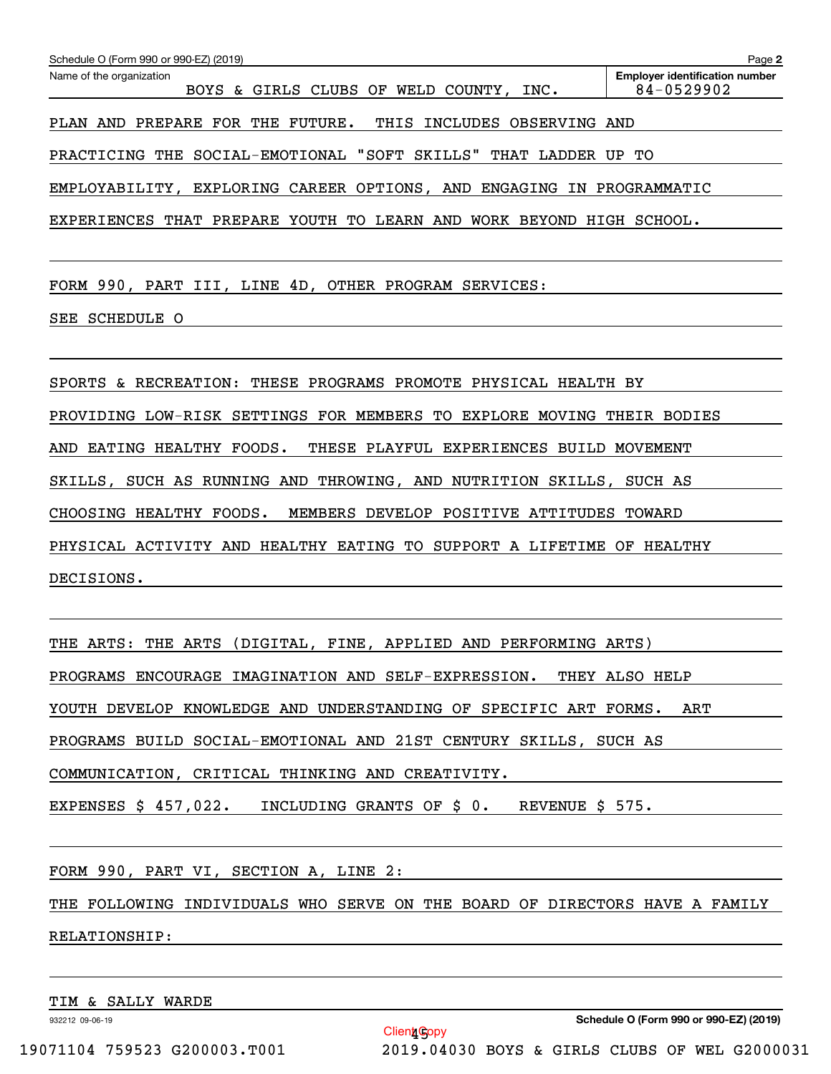| Schedule O (Form 990 or 990-EZ) (2019)                                 | Page 2                                              |
|------------------------------------------------------------------------|-----------------------------------------------------|
| Name of the organization<br>BOYS & GIRLS CLUBS OF WELD COUNTY, INC.    | <b>Emplover identification number</b><br>84-0529902 |
| PLAN AND PREPARE FOR THE FUTURE.<br>THIS INCLUDES OBSERVING AND        |                                                     |
| PRACTICING THE SOCIAL-EMOTIONAL "SOFT SKILLS" THAT LADDER UP TO        |                                                     |
| EMPLOYABILITY, EXPLORING CAREER OPTIONS, AND ENGAGING IN PROGRAMMATIC  |                                                     |
| EXPERIENCES THAT PREPARE YOUTH TO LEARN AND WORK BEYOND HIGH SCHOOL.   |                                                     |
|                                                                        |                                                     |
| FORM 990, PART III, LINE 4D, OTHER PROGRAM SERVICES:                   |                                                     |
| SEE SCHEDULE O                                                         |                                                     |
|                                                                        |                                                     |
| SPORTS & RECREATION: THESE PROGRAMS PROMOTE PHYSICAL HEALTH BY         |                                                     |
| PROVIDING LOW-RISK SETTINGS FOR MEMBERS TO EXPLORE MOVING THEIR BODIES |                                                     |
| AND EATING HEALTHY FOODS.<br>THESE PLAYFUL EXPERIENCES BUILD MOVEMENT  |                                                     |
| SKILLS, SUCH AS RUNNING AND THROWING, AND NUTRITION SKILLS, SUCH AS    |                                                     |
| CHOOSING HEALTHY FOODS.<br>MEMBERS DEVELOP POSITIVE ATTITUDES TOWARD   |                                                     |
| PHYSICAL ACTIVITY AND HEALTHY EATING TO SUPPORT A LIFETIME OF HEALTHY  |                                                     |
| DECISIONS.                                                             |                                                     |

THE ARTS: THE ARTS (DIGITAL, FINE, APPLIED AND PERFORMING ARTS)

PROGRAMS ENCOURAGE IMAGINATION AND SELF-EXPRESSION. THEY ALSO HELP

YOUTH DEVELOP KNOWLEDGE AND UNDERSTANDING OF SPECIFIC ART FORMS. ART

PROGRAMS BUILD SOCIAL-EMOTIONAL AND 21ST CENTURY SKILLS, SUCH AS

COMMUNICATION, CRITICAL THINKING AND CREATIVITY.

EXPENSES \$ 457,022. INCLUDING GRANTS OF \$ 0. REVENUE \$ 575.

FORM 990, PART VI, SECTION A, LINE 2:

THE FOLLOWING INDIVIDUALS WHO SERVE ON THE BOARD OF DIRECTORS HAVE A FAMILY RELATIONSHIP:

TIM & SALLY WARDE

932212 09-06-19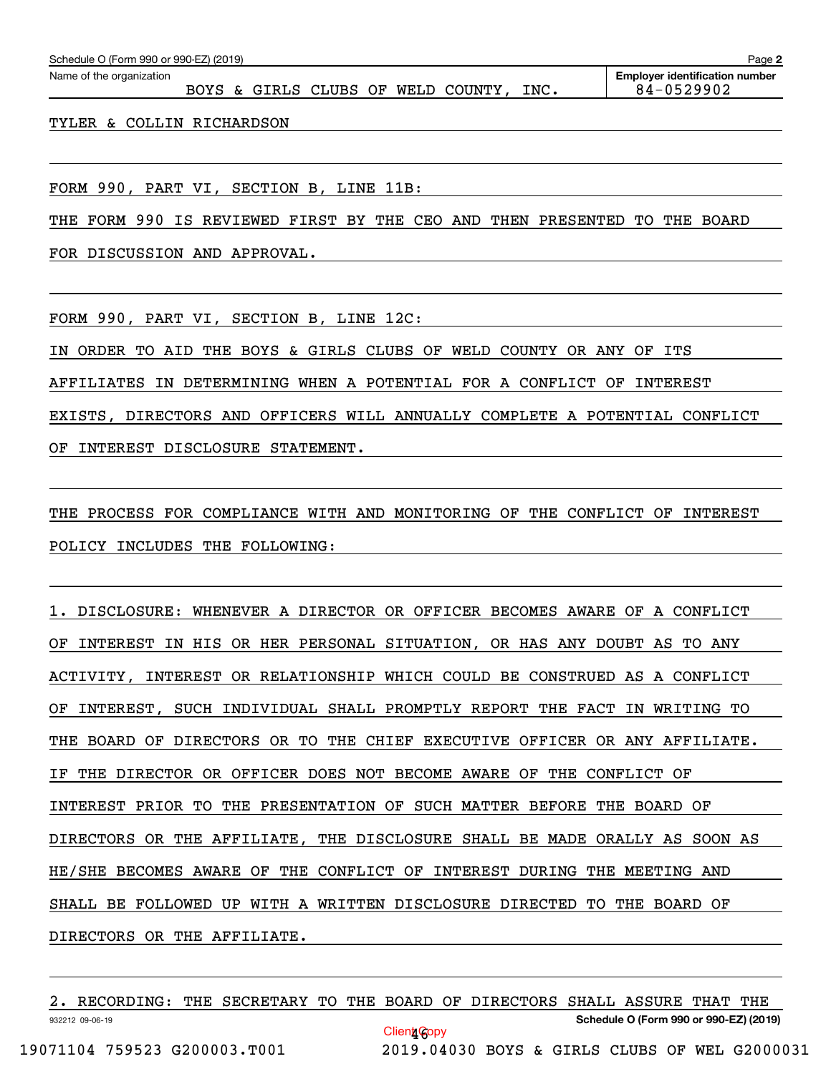TYLER & COLLIN RICHARDSON

FORM 990, PART VI, SECTION B, LINE 11B:

THE FORM 990 IS REVIEWED FIRST BY THE CEO AND THEN PRESENTED TO THE BOARD

FOR DISCUSSION AND APPROVAL.

FORM 990, PART VI, SECTION B, LINE 12C:

IN ORDER TO AID THE BOYS & GIRLS CLUBS OF WELD COUNTY OR ANY OF ITS AFFILIATES IN DETERMINING WHEN A POTENTIAL FOR A CONFLICT OF INTEREST EXISTS, DIRECTORS AND OFFICERS WILL ANNUALLY COMPLETE A POTENTIAL CONFLICT OF INTEREST DISCLOSURE STATEMENT.

THE PROCESS FOR COMPLIANCE WITH AND MONITORING OF THE CONFLICT OF INTEREST POLICY INCLUDES THE FOLLOWING:

1. DISCLOSURE: WHENEVER A DIRECTOR OR OFFICER BECOMES AWARE OF A CONFLICT OF INTEREST IN HIS OR HER PERSONAL SITUATION, OR HAS ANY DOUBT AS TO ANY ACTIVITY, INTEREST OR RELATIONSHIP WHICH COULD BE CONSTRUED AS A CONFLICT OF INTEREST, SUCH INDIVIDUAL SHALL PROMPTLY REPORT THE FACT IN WRITING TO THE BOARD OF DIRECTORS OR TO THE CHIEF EXECUTIVE OFFICER OR ANY AFFILIATE. IF THE DIRECTOR OR OFFICER DOES NOT BECOME AWARE OF THE CONFLICT OF INTEREST PRIOR TO THE PRESENTATION OF SUCH MATTER BEFORE THE BOARD OF DIRECTORS OR THE AFFILIATE, THE DISCLOSURE SHALL BE MADE ORALLY AS SOON AS HE/SHE BECOMES AWARE OF THE CONFLICT OF INTEREST DURING THE MEETING AND SHALL BE FOLLOWED UP WITH A WRITTEN DISCLOSURE DIRECTED TO THE BOARD OF DIRECTORS OR THE AFFILIATE.

2. RECORDING: THE SECRETARY TO THE BOARD OF DIRECTORS SHALL ASSURE THAT THE

Client<sub>i</sub>Copy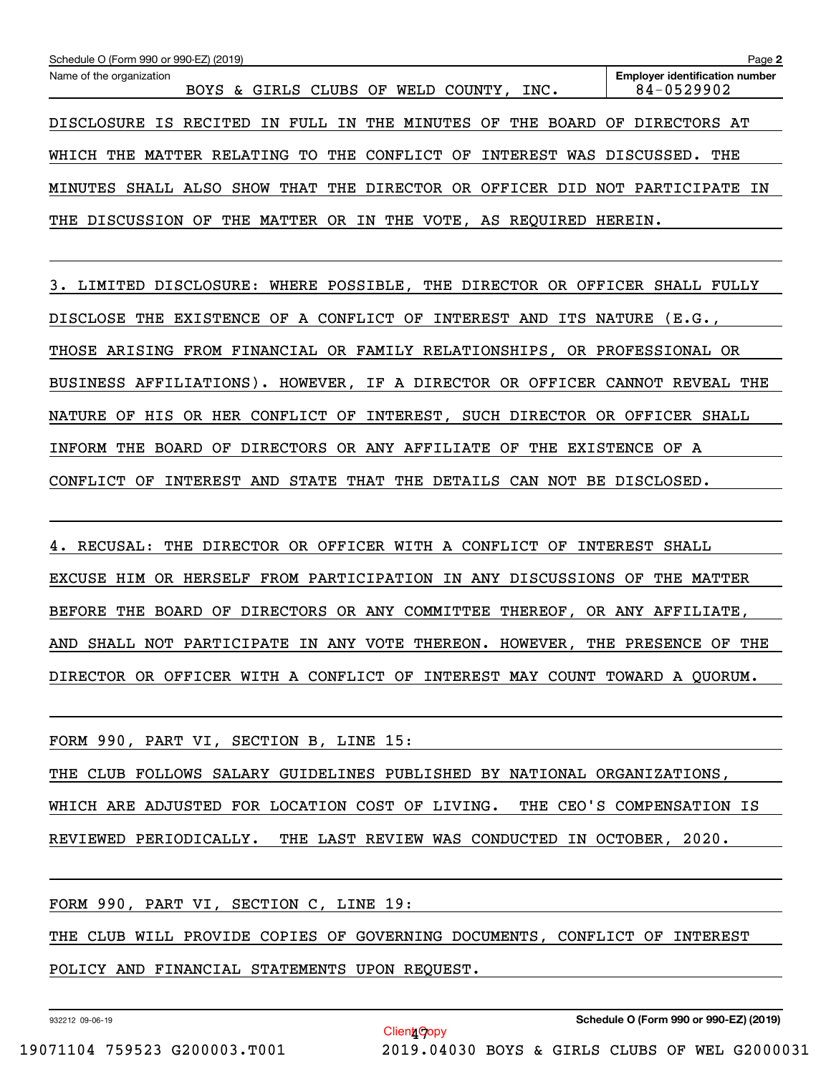| Schedule O (Form 990 or 990-EZ) (2019) |                                                                             | Page 2                                              |
|----------------------------------------|-----------------------------------------------------------------------------|-----------------------------------------------------|
| Name of the organization               | BOYS & GIRLS CLUBS OF WELD COUNTY, INC.                                     | <b>Employer identification number</b><br>84-0529902 |
|                                        | DISCLOSURE IS RECITED IN FULL IN THE MINUTES OF THE BOARD OF DIRECTORS AT   |                                                     |
|                                        | WHICH THE MATTER RELATING TO THE CONFLICT OF INTEREST WAS DISCUSSED. THE    |                                                     |
|                                        | MINUTES SHALL ALSO SHOW THAT THE DIRECTOR OR OFFICER DID NOT PARTICIPATE IN |                                                     |
|                                        | THE DISCUSSION OF THE MATTER OR IN THE VOTE, AS REQUIRED HEREIN.            |                                                     |

3. LIMITED DISCLOSURE: WHERE POSSIBLE, THE DIRECTOR OR OFFICER SHALL FULLY DISCLOSE THE EXISTENCE OF A CONFLICT OF INTEREST AND ITS NATURE (E.G., THOSE ARISING FROM FINANCIAL OR FAMILY RELATIONSHIPS, OR PROFESSIONAL OR BUSINESS AFFILIATIONS). HOWEVER, IF A DIRECTOR OR OFFICER CANNOT REVEAL THE NATURE OF HIS OR HER CONFLICT OF INTEREST, SUCH DIRECTOR OR OFFICER SHALL INFORM THE BOARD OF DIRECTORS OR ANY AFFILIATE OF THE EXISTENCE OF A CONFLICT OF INTEREST AND STATE THAT THE DETAILS CAN NOT BE DISCLOSED.

4. RECUSAL: THE DIRECTOR OR OFFICER WITH A CONFLICT OF INTEREST SHALL EXCUSE HIM OR HERSELF FROM PARTICIPATION IN ANY DISCUSSIONS OF THE MATTER BEFORE THE BOARD OF DIRECTORS OR ANY COMMITTEE THEREOF, OR ANY AFFILIATE, AND SHALL NOT PARTICIPATE IN ANY VOTE THEREON. HOWEVER, THE PRESENCE OF THE DIRECTOR OR OFFICER WITH A CONFLICT OF INTEREST MAY COUNT TOWARD A QUORUM.

FORM 990, PART VI, SECTION B, LINE 15:

THE CLUB FOLLOWS SALARY GUIDELINES PUBLISHED BY NATIONAL ORGANIZATIONS, WHICH ARE ADJUSTED FOR LOCATION COST OF LIVING. THE CEO'S COMPENSATION IS REVIEWED PERIODICALLY. THE LAST REVIEW WAS CONDUCTED IN OCTOBER, 2020.

FORM 990, PART VI, SECTION C, LINE 19:

THE CLUB WILL PROVIDE COPIES OF GOVERNING DOCUMENTS, CONFLICT OF INTEREST

Clien**t** Copy

POLICY AND FINANCIAL STATEMENTS UPON REQUEST.

932212 09-06-19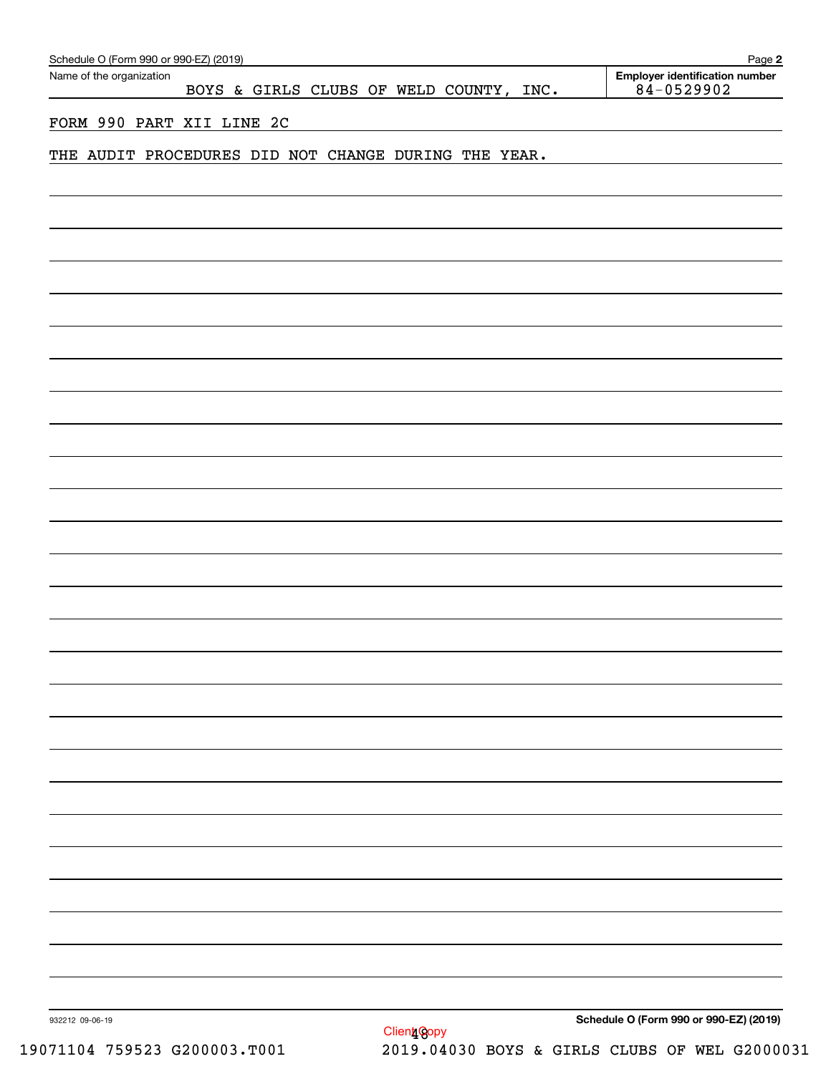| Schedule O (Form 990 or 990-EZ) (2019)                              | Page 2                                                  |
|---------------------------------------------------------------------|---------------------------------------------------------|
| Name of the organization<br>BOYS & GIRLS CLUBS OF WELD COUNTY, INC. | <b>Employer identification number</b><br>$84 - 0529902$ |
|                                                                     |                                                         |
| FORM 990 PART XII LINE 2C                                           |                                                         |
| THE AUDIT PROCEDURES DID NOT CHANGE DURING THE YEAR.                |                                                         |
|                                                                     |                                                         |
|                                                                     |                                                         |
|                                                                     |                                                         |
|                                                                     |                                                         |
|                                                                     |                                                         |
|                                                                     |                                                         |
|                                                                     |                                                         |
|                                                                     |                                                         |
|                                                                     |                                                         |
|                                                                     |                                                         |
|                                                                     |                                                         |
|                                                                     |                                                         |
|                                                                     |                                                         |
|                                                                     |                                                         |
|                                                                     |                                                         |
|                                                                     |                                                         |
|                                                                     |                                                         |
|                                                                     |                                                         |
|                                                                     |                                                         |
|                                                                     |                                                         |
|                                                                     |                                                         |
|                                                                     |                                                         |
|                                                                     |                                                         |
|                                                                     |                                                         |
|                                                                     |                                                         |
|                                                                     |                                                         |
|                                                                     |                                                         |
|                                                                     |                                                         |
|                                                                     |                                                         |
|                                                                     |                                                         |
|                                                                     |                                                         |
|                                                                     |                                                         |
|                                                                     |                                                         |
|                                                                     |                                                         |
|                                                                     |                                                         |
|                                                                     |                                                         |
|                                                                     |                                                         |
|                                                                     |                                                         |
| 932212 09-06-19                                                     | Schedule O (Form 990 or 990-EZ) (2019)                  |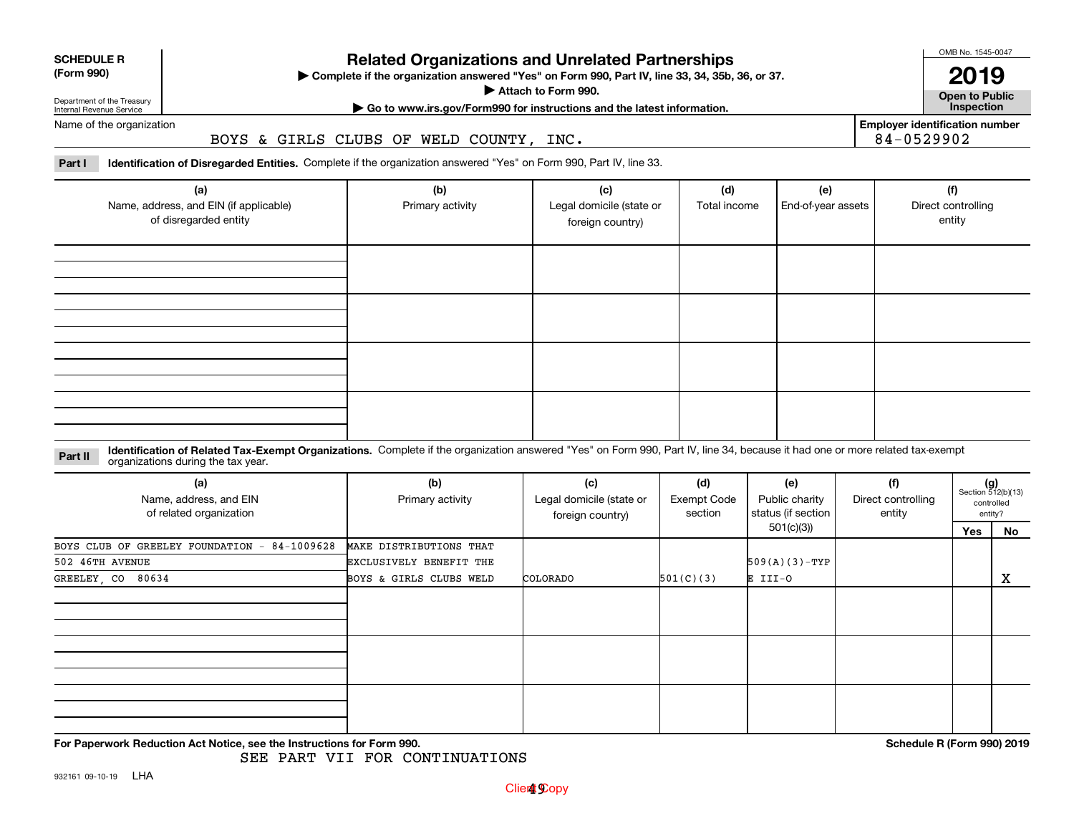| <b>SCHEDULE R</b> |  |
|-------------------|--|
| (Form 990)        |  |

### **(Form 990)**

# **Related Organizations and Unrelated Partnerships**

**Complete if the organization answered "Yes" on Form 990, Part IV, line 33, 34, 35b, 36, or 37.** |

**Attach to Form 990.**  |

OMB No. 1545-0047

**Open to Public 2019**

**Employer identification number**

84-0529902

Department of the Treasury Internal Revenue Service Name of the organization **| Go to www.irs.gov/Form990 for instructions and the latest information. Inspection**

BOYS & GIRLS CLUBS OF WELD COUNTY, INC.

**Part I Identification of Disregarded Entities.**  Complete if the organization answered "Yes" on Form 990, Part IV, line 33.

| (a)<br>Name, address, and EIN (if applicable)<br>of disregarded entity | (b)<br>Primary activity | (c)<br>Legal domicile (state or<br>foreign country) | (d)<br>Total income | (e)<br>End-of-year assets | (f)<br>Direct controlling<br>entity |
|------------------------------------------------------------------------|-------------------------|-----------------------------------------------------|---------------------|---------------------------|-------------------------------------|
|                                                                        |                         |                                                     |                     |                           |                                     |
|                                                                        |                         |                                                     |                     |                           |                                     |
|                                                                        |                         |                                                     |                     |                           |                                     |
|                                                                        |                         |                                                     |                     |                           |                                     |

**Identification of Related Tax-Exempt Organizations.** Complete if the organization answered "Yes" on Form 990, Part IV, line 34, because it had one or more related tax-exempt **Part II** organizations during the tax year.

| (a)<br>Name, address, and EIN<br>of related organization | (b)<br>Primary activity | (c)<br>Legal domicile (state or<br>foreign country) | (d)<br><b>Exempt Code</b><br>section | (e)<br>Public charity<br>status (if section | (f)<br>Direct controlling<br>entity | $(g)$<br>Section 512(b)(13) | controlled<br>entity? |
|----------------------------------------------------------|-------------------------|-----------------------------------------------------|--------------------------------------|---------------------------------------------|-------------------------------------|-----------------------------|-----------------------|
|                                                          |                         |                                                     |                                      | 501(c)(3))                                  |                                     | Yes                         | <u>No</u>             |
| BOYS CLUB OF GREELEY FOUNDATION - 84-1009628             | MAKE DISTRIBUTIONS THAT |                                                     |                                      |                                             |                                     |                             |                       |
| 502 46TH AVENUE                                          | EXCLUSIVELY BENEFIT THE |                                                     |                                      | $509(A)(3)-TYP$                             |                                     |                             |                       |
| 80634<br>GREELEY, CO                                     | BOYS & GIRLS CLUBS WELD | COLORADO                                            | 501(C)(3)                            | E III-O                                     |                                     |                             | x                     |
|                                                          |                         |                                                     |                                      |                                             |                                     |                             |                       |
|                                                          |                         |                                                     |                                      |                                             |                                     |                             |                       |
|                                                          |                         |                                                     |                                      |                                             |                                     |                             |                       |
|                                                          |                         |                                                     |                                      |                                             |                                     |                             |                       |
|                                                          |                         |                                                     |                                      |                                             |                                     |                             |                       |
|                                                          |                         |                                                     |                                      |                                             |                                     |                             |                       |

**For Paperwork Reduction Act Notice, see the Instructions for Form 990. Schedule R (Form 990) 2019**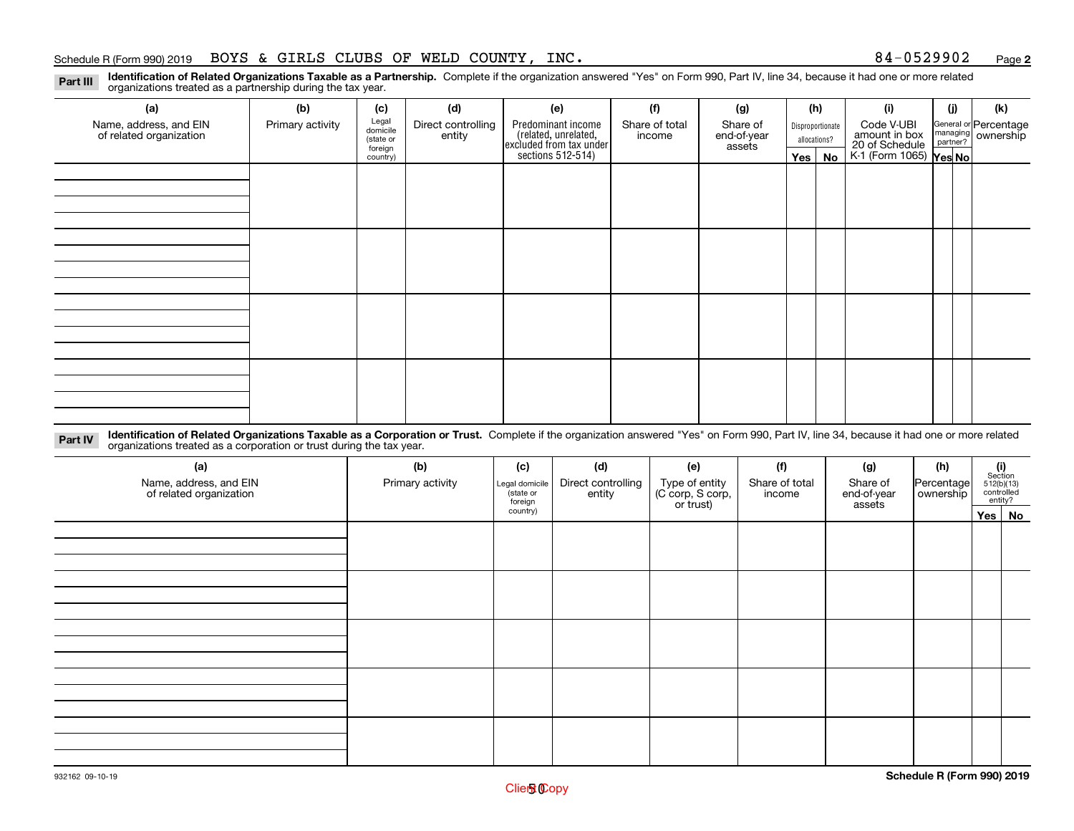**2**

**Identification of Related Organizations Taxable as a Partnership.** Complete if the organization answered "Yes" on Form 990, Part IV, line 34, because it had one or more related **Part III** organizations treated as a partnership during the tax year.

| (a)<br>Name, address, and EIN<br>of related organization | (b)<br>Primary activity | (c)<br>Legal<br>domicile         | (d)<br>Direct controlling | (e)                                                                                        | (f)<br>Share of total | (g)<br>Share of       |                               | (h)<br>Disproportionate | (i)<br>Code V-UBI                                                | (i) | (k)<br>General or Percentage<br>managing<br>partner?<br>partner? |
|----------------------------------------------------------|-------------------------|----------------------------------|---------------------------|--------------------------------------------------------------------------------------------|-----------------------|-----------------------|-------------------------------|-------------------------|------------------------------------------------------------------|-----|------------------------------------------------------------------|
|                                                          |                         | (state or<br>foreign<br>country) | entity                    | Predominant income<br>(related, unrelated,<br>excluded from tax under<br>sections 512-514) | income                | end-of-year<br>assets | allocations?<br>Yes $ $<br>No |                         | amount in box<br>20 of Schedule<br>K-1 (Form 1065) <b>Yes No</b> |     |                                                                  |
|                                                          |                         |                                  |                           |                                                                                            |                       |                       |                               |                         |                                                                  |     |                                                                  |
|                                                          |                         |                                  |                           |                                                                                            |                       |                       |                               |                         |                                                                  |     |                                                                  |
|                                                          |                         |                                  |                           |                                                                                            |                       |                       |                               |                         |                                                                  |     |                                                                  |
|                                                          |                         |                                  |                           |                                                                                            |                       |                       |                               |                         |                                                                  |     |                                                                  |
|                                                          |                         |                                  |                           |                                                                                            |                       |                       |                               |                         |                                                                  |     |                                                                  |
|                                                          |                         |                                  |                           |                                                                                            |                       |                       |                               |                         |                                                                  |     |                                                                  |
|                                                          |                         |                                  |                           |                                                                                            |                       |                       |                               |                         |                                                                  |     |                                                                  |
|                                                          |                         |                                  |                           |                                                                                            |                       |                       |                               |                         |                                                                  |     |                                                                  |
|                                                          |                         |                                  |                           |                                                                                            |                       |                       |                               |                         |                                                                  |     |                                                                  |
|                                                          |                         |                                  |                           |                                                                                            |                       |                       |                               |                         |                                                                  |     |                                                                  |

**Identification of Related Organizations Taxable as a Corporation or Trust.** Complete if the organization answered "Yes" on Form 990, Part IV, line 34, because it had one or more related **Part IV** organizations treated as a corporation or trust during the tax year.

| (a)<br>Name, address, and EIN<br>of related organization | (b)<br>Primary activity | (f)<br>(d)<br>(c)<br>(e)<br>Direct controlling<br>Type of entity<br>(C corp, S corp,<br>Share of total<br>Legal domicile<br>(state or<br>entity<br>income<br>foreign<br>or trust) |  | (g)<br>Share of<br>end-of-year<br>assets | (h)<br>Percentage<br>ownership | $\begin{array}{c} \textbf{(i)}\\ \text{Section}\\ 512 \text{(b)} \text{(13)}\\ \text{controlled}\end{array}$ | entity? |        |
|----------------------------------------------------------|-------------------------|-----------------------------------------------------------------------------------------------------------------------------------------------------------------------------------|--|------------------------------------------|--------------------------------|--------------------------------------------------------------------------------------------------------------|---------|--------|
|                                                          |                         | country)                                                                                                                                                                          |  |                                          |                                |                                                                                                              |         | Yes No |
|                                                          |                         |                                                                                                                                                                                   |  |                                          |                                |                                                                                                              |         |        |
|                                                          |                         |                                                                                                                                                                                   |  |                                          |                                |                                                                                                              |         |        |
|                                                          |                         |                                                                                                                                                                                   |  |                                          |                                |                                                                                                              |         |        |
|                                                          |                         |                                                                                                                                                                                   |  |                                          |                                |                                                                                                              |         |        |
|                                                          |                         |                                                                                                                                                                                   |  |                                          |                                |                                                                                                              |         |        |
|                                                          |                         |                                                                                                                                                                                   |  |                                          |                                |                                                                                                              |         |        |
|                                                          |                         |                                                                                                                                                                                   |  |                                          |                                |                                                                                                              |         |        |
|                                                          |                         |                                                                                                                                                                                   |  |                                          |                                |                                                                                                              |         |        |
|                                                          |                         |                                                                                                                                                                                   |  |                                          |                                |                                                                                                              |         |        |
|                                                          |                         |                                                                                                                                                                                   |  |                                          |                                |                                                                                                              |         |        |
|                                                          |                         |                                                                                                                                                                                   |  |                                          |                                |                                                                                                              |         |        |
|                                                          |                         |                                                                                                                                                                                   |  |                                          |                                |                                                                                                              |         |        |
|                                                          |                         |                                                                                                                                                                                   |  |                                          |                                |                                                                                                              |         |        |
|                                                          |                         |                                                                                                                                                                                   |  |                                          |                                |                                                                                                              |         |        |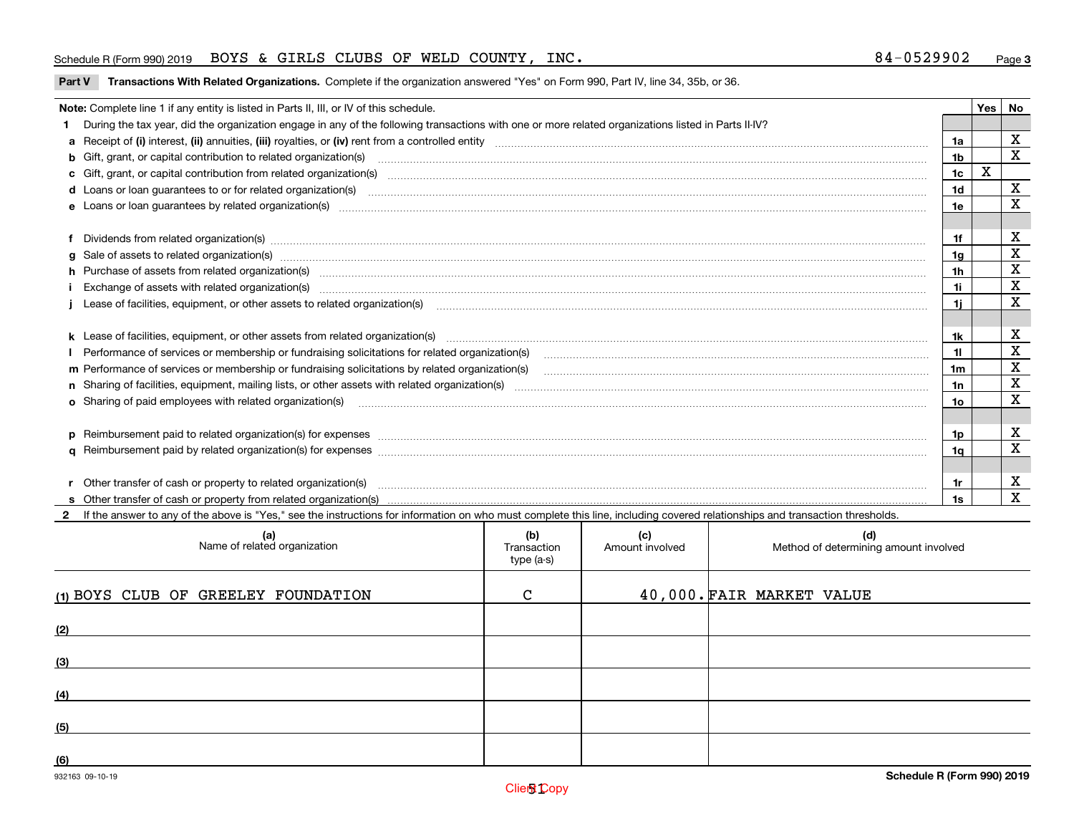### Schedule R (Form 990) 2019 Page BOYS & GIRLS CLUBS OF WELD COUNTY, INC. 84-0529902

**Part V Transactions With Related Organizations. Complete if the organization answered "Yes" on Form 990, Part IV, line 34, 35b, or 36.<br>** 

| Note: Complete line 1 if any entity is listed in Parts II, III, or IV of this schedule.                                                                                                                                           |                | Yes | No          |
|-----------------------------------------------------------------------------------------------------------------------------------------------------------------------------------------------------------------------------------|----------------|-----|-------------|
| During the tax year, did the organization engage in any of the following transactions with one or more related organizations listed in Parts II-IV?                                                                               |                |     |             |
|                                                                                                                                                                                                                                   | 1a             |     | X           |
| b Gift, grant, or capital contribution to related organization(s) mature and contained and contribution to related organization(s) matures are contained and contribution to related organization(s)                              | 1 <sub>b</sub> |     | $\mathbf x$ |
| c Gift, grant, or capital contribution from related organization(s) manufaction(s) and contribution from related organization(s) manufaction contribution from related organization(s) manufaction contribution from related o    | 1c             | X   |             |
| d Loans or loan guarantees to or for related organization(s) committion contracts are constructed as a control or contract or contract or contract or contract or contract or contract or contract or contract or contract or     | 1 <sub>d</sub> |     | X           |
|                                                                                                                                                                                                                                   | 1e             |     | X           |
| Dividends from related organization(s) www.communically.communically.communically and all proportional contracts of the contracts of the contracts of the contracts of the contracts of the contracts of the contracts of the     | 1f             |     | х           |
|                                                                                                                                                                                                                                   | 1g             |     | X           |
| h Purchase of assets from related organization(s) www.assettion.com/www.assettion.com/www.assettion.com/www.assettion.com/www.assettion.com/www.assettion.com/www.assettion.com/www.assettion.com/www.assettion.com/www.assett    | 1h             |     | х           |
| Exchange of assets with related organization(s) www.communically.communically contract and a set of assets with related organization(s) www.communically.communically and a set of a set of the set of a set of a set of a set    | 1i.            |     | X           |
| Lease of facilities, equipment, or other assets to related organization(s) [11] manufactured manufactured manufactured manufactured manufactured manufactured manufactured manufactured manufactured manufactured manufactured    | 1i.            |     | X           |
|                                                                                                                                                                                                                                   | 1k.            |     | х           |
| Performance of services or membership or fundraising solicitations for related organization(s) manufaction manufactured content and the services or membership or fundraising solicitations for related organization(s) manufa    |                |     | $\mathbf X$ |
| m Performance of services or membership or fundraising solicitations by related organization(s)                                                                                                                                   | 1m             |     | X           |
|                                                                                                                                                                                                                                   | 1n             |     | $\mathbf X$ |
| <b>o</b> Sharing of paid employees with related organization(s)                                                                                                                                                                   | 1o.            |     | X           |
|                                                                                                                                                                                                                                   | 1p.            |     | X           |
|                                                                                                                                                                                                                                   | 1q             |     | X           |
| r Other transfer of cash or property to related organization(s)                                                                                                                                                                   | 1r             |     | х           |
| r Other transfer of cash or property to related organization(s) www.community.com/www.community.com/www.communi<br>S Other transfer of cash or property from related organization(s) www.community.community.community.community. | 1s             |     | $\mathbf X$ |
| 2 If the answer to any of the above is "Yes." see the instructions for information on who must complete this line, including covered relationships and transaction thresholds.                                                    |                |     |             |

| (a)<br>Name of related organization | (b)<br>Transaction<br>type (a-s) | (c)<br>Amount involved | (d)<br>Method of determining amount involved |
|-------------------------------------|----------------------------------|------------------------|----------------------------------------------|
| (1) BOYS CLUB OF GREELEY FOUNDATION | C                                |                        | 40,000. FAIR MARKET VALUE                    |
| (2)                                 |                                  |                        |                                              |
| (3)                                 |                                  |                        |                                              |
| (4)                                 |                                  |                        |                                              |
| (5)                                 |                                  |                        |                                              |
| (6)                                 |                                  |                        |                                              |

 $\overline{\phantom{a}}$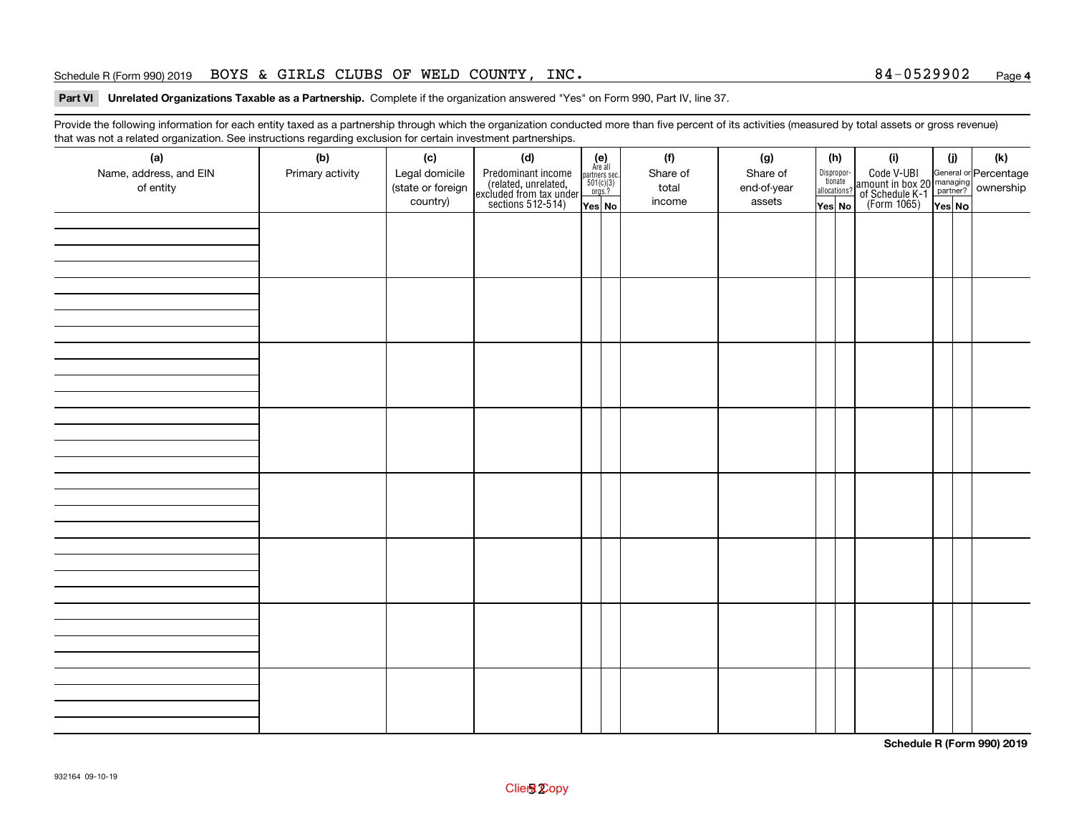### Schedule R (Form 990) 2019 Page BOYS & GIRLS CLUBS OF WELD COUNTY, INC. 84-0529902

### **4**

# **Part VI Unrelated Organizations Taxable as a Partnership.**  Complete if the organization answered "Yes" on Form 990, Part IV, line 37.

Provide the following information for each entity taxed as a partnership through which the organization conducted more than five percent of its activities (measured by total assets or gross revenue) that was not a related organization. See instructions regarding exclusion for certain investment partnerships.

| (a)<br>Name, address, and EIN<br>of entity | (b)<br>Primary activity | (c)<br>Legal domicile<br>(state or foreign<br>country) | (d)<br>Predominant income<br>(related, unrelated,<br>excluded from tax under<br>sections 512-514) | $(e)$<br>Are all<br>partners sec.<br>$501(c)(3)$<br>orgs.?<br>$\sqrt{\mathsf{Yes}}$ No | (f)<br>Share of<br>total<br>income | (g)<br>Share of<br>end-of-year<br>assets | (h)<br>tionate<br>allocations?<br>$\sqrt{\mathsf{Yes}}$ No | Dispropor- | (i)<br>Code V-UBI<br>amount in box 20 managing<br>of Schedule K-1<br>(Form 1065)<br>$\overline{Yes}$ No | (i)<br>Yes No | (k) |
|--------------------------------------------|-------------------------|--------------------------------------------------------|---------------------------------------------------------------------------------------------------|----------------------------------------------------------------------------------------|------------------------------------|------------------------------------------|------------------------------------------------------------|------------|---------------------------------------------------------------------------------------------------------|---------------|-----|
|                                            |                         |                                                        |                                                                                                   |                                                                                        |                                    |                                          |                                                            |            |                                                                                                         |               |     |
|                                            |                         |                                                        |                                                                                                   |                                                                                        |                                    |                                          |                                                            |            |                                                                                                         |               |     |
|                                            |                         |                                                        |                                                                                                   |                                                                                        |                                    |                                          |                                                            |            |                                                                                                         |               |     |
|                                            |                         |                                                        |                                                                                                   |                                                                                        |                                    |                                          |                                                            |            |                                                                                                         |               |     |
|                                            |                         |                                                        |                                                                                                   |                                                                                        |                                    |                                          |                                                            |            |                                                                                                         |               |     |
|                                            |                         |                                                        |                                                                                                   |                                                                                        |                                    |                                          |                                                            |            |                                                                                                         |               |     |
|                                            |                         |                                                        |                                                                                                   |                                                                                        |                                    |                                          |                                                            |            |                                                                                                         |               |     |
|                                            |                         |                                                        |                                                                                                   |                                                                                        |                                    |                                          |                                                            |            |                                                                                                         |               |     |

**Schedule R (Form 990) 2019**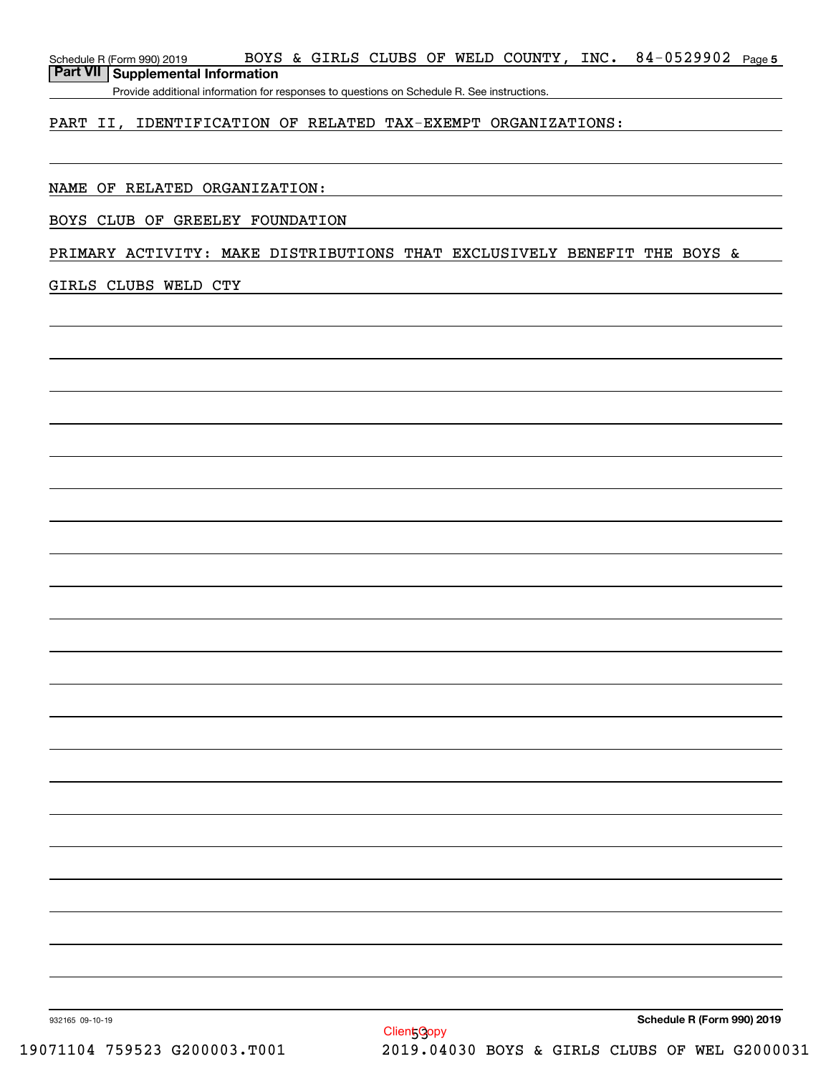**5**Schedule R (Form 990) 2019 Page BOYS & GIRLS CLUBS OF WELD COUNTY, INC. 84-0529902 **Part VII Supplemental Information**

Provide additional information for responses to questions on Schedule R. See instructions.

### PART II, IDENTIFICATION OF RELATED TAX-EXEMPT ORGANIZATIONS:

### NAME OF RELATED ORGANIZATION:

#### BOYS CLUB OF GREELEY FOUNDATION

### PRIMARY ACTIVITY: MAKE DISTRIBUTIONS THAT EXCLUSIVELY BENEFIT THE BOYS &

#### GIRLS CLUBS WELD CTY

**Schedule R (Form 990) 2019**

932165 09-10-19